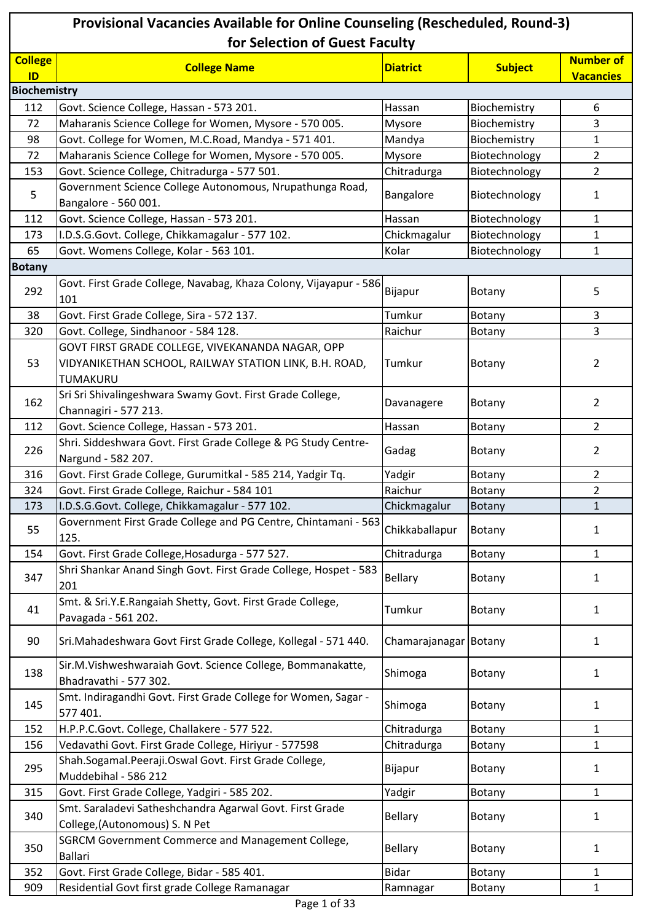| Provisional Vacancies Available for Online Counseling (Rescheduled, Round-3)<br>for Selection of Guest Faculty |                                                                                                                        |                       |                |                  |
|----------------------------------------------------------------------------------------------------------------|------------------------------------------------------------------------------------------------------------------------|-----------------------|----------------|------------------|
| <b>College</b><br>ID                                                                                           | <b>College Name</b>                                                                                                    | <b>Diatrict</b>       | <b>Subject</b> | <b>Number of</b> |
| <b>Biochemistry</b>                                                                                            |                                                                                                                        |                       |                | <b>Vacancies</b> |
| 112                                                                                                            | Govt. Science College, Hassan - 573 201.                                                                               | Hassan                | Biochemistry   | 6                |
| 72                                                                                                             | Maharanis Science College for Women, Mysore - 570 005.                                                                 | Mysore                | Biochemistry   | 3                |
| 98                                                                                                             | Govt. College for Women, M.C.Road, Mandya - 571 401.                                                                   | Mandya                | Biochemistry   | $\mathbf{1}$     |
| 72                                                                                                             | Maharanis Science College for Women, Mysore - 570 005.                                                                 | Mysore                | Biotechnology  | $\overline{2}$   |
| 153                                                                                                            | Govt. Science College, Chitradurga - 577 501.                                                                          | Chitradurga           | Biotechnology  | $\overline{2}$   |
| 5                                                                                                              | Government Science College Autonomous, Nrupathunga Road,<br>Bangalore - 560 001.                                       | Bangalore             | Biotechnology  | 1                |
| 112                                                                                                            | Govt. Science College, Hassan - 573 201.                                                                               | Hassan                | Biotechnology  | $\mathbf{1}$     |
| 173                                                                                                            | I.D.S.G.Govt. College, Chikkamagalur - 577 102.                                                                        | Chickmagalur          | Biotechnology  | 1                |
| 65                                                                                                             | Govt. Womens College, Kolar - 563 101.                                                                                 | Kolar                 | Biotechnology  | 1                |
| <b>Botany</b>                                                                                                  |                                                                                                                        |                       |                |                  |
| 292                                                                                                            | Govt. First Grade College, Navabag, Khaza Colony, Vijayapur - 586<br>101                                               | Bijapur               | Botany         | 5                |
| 38                                                                                                             | Govt. First Grade College, Sira - 572 137.                                                                             | Tumkur                | Botany         | 3                |
| 320                                                                                                            | Govt. College, Sindhanoor - 584 128.                                                                                   | Raichur               | Botany         | 3                |
| 53                                                                                                             | GOVT FIRST GRADE COLLEGE, VIVEKANANDA NAGAR, OPP<br>VIDYANIKETHAN SCHOOL, RAILWAY STATION LINK, B.H. ROAD,<br>TUMAKURU | Tumkur                | Botany         | 2                |
| 162                                                                                                            | Sri Sri Shivalingeshwara Swamy Govt. First Grade College,<br>Channagiri - 577 213.                                     | Davanagere            | Botany         | $\overline{2}$   |
| 112                                                                                                            | Govt. Science College, Hassan - 573 201.                                                                               | Hassan                | Botany         | $\overline{2}$   |
| 226                                                                                                            | Shri. Siddeshwara Govt. First Grade College & PG Study Centre-<br>Nargund - 582 207.                                   | Gadag                 | Botany         | 2                |
| 316                                                                                                            | Govt. First Grade College, Gurumitkal - 585 214, Yadgir Tq.                                                            | Yadgir                | Botany         | $\overline{2}$   |
| 324                                                                                                            | Govt. First Grade College, Raichur - 584 101                                                                           | Raichur               | Botany         | $\overline{2}$   |
| 173                                                                                                            | I.D.S.G.Govt. College, Chikkamagalur - 577 102.                                                                        | Chickmagalur          | Botany         | 1                |
| 55                                                                                                             | Government First Grade College and PG Centre, Chintamani - 563<br>125.                                                 | Chikkaballapur        | Botany         | 1                |
| 154                                                                                                            | Govt. First Grade College, Hosadurga - 577 527.                                                                        | Chitradurga           | Botany         | $\mathbf{1}$     |
| 347                                                                                                            | Shri Shankar Anand Singh Govt. First Grade College, Hospet - 583<br>201                                                | <b>Bellary</b>        | Botany         | 1                |
| 41                                                                                                             | Smt. & Sri.Y.E.Rangaiah Shetty, Govt. First Grade College,<br>Pavagada - 561 202.                                      | Tumkur                | Botany         | 1                |
| 90                                                                                                             | Sri.Mahadeshwara Govt First Grade College, Kollegal - 571 440.                                                         | Chamarajanagar Botany |                | 1                |
| 138                                                                                                            | Sir.M.Vishweshwaraiah Govt. Science College, Bommanakatte,<br>Bhadravathi - 577 302.                                   | Shimoga               | Botany         | 1                |
| 145                                                                                                            | Smt. Indiragandhi Govt. First Grade College for Women, Sagar -<br>577 401.                                             | Shimoga               | Botany         | 1                |
| 152                                                                                                            | H.P.P.C.Govt. College, Challakere - 577 522.                                                                           | Chitradurga           | Botany         | $\mathbf{1}$     |
| 156                                                                                                            | Vedavathi Govt. First Grade College, Hiriyur - 577598                                                                  | Chitradurga           | Botany         | $\mathbf{1}$     |
| 295                                                                                                            | Shah.Sogamal.Peeraji.Oswal Govt. First Grade College,<br>Muddebihal - 586 212                                          | Bijapur               | Botany         | 1                |
| 315                                                                                                            | Govt. First Grade College, Yadgiri - 585 202.                                                                          | Yadgir                | Botany         | 1                |
| 340                                                                                                            | Smt. Saraladevi Satheshchandra Agarwal Govt. First Grade<br>College, (Autonomous) S. N Pet                             | <b>Bellary</b>        | Botany         | 1                |
| 350                                                                                                            | <b>SGRCM Government Commerce and Management College,</b><br><b>Ballari</b>                                             | <b>Bellary</b>        | Botany         | 1                |
| 352                                                                                                            | Govt. First Grade College, Bidar - 585 401.                                                                            | <b>Bidar</b>          | Botany         | 1                |
| 909                                                                                                            | Residential Govt first grade College Ramanagar                                                                         | Ramnagar              | Botany         | $\mathbf{1}$     |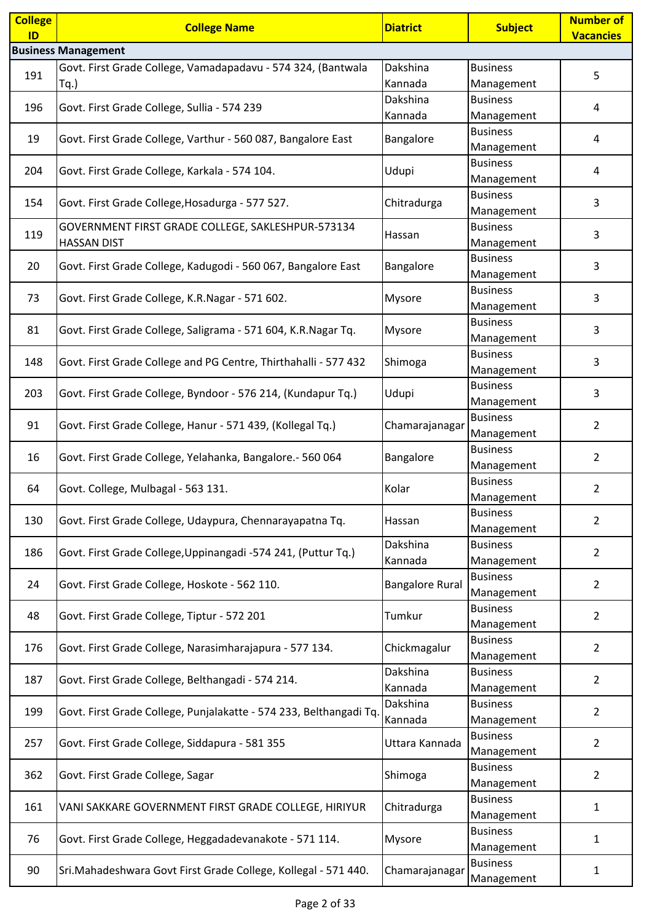| <b>College</b> | <b>College Name</b>                                                | <b>Diatrict</b>        | <b>Subject</b>                | <b>Number of</b> |
|----------------|--------------------------------------------------------------------|------------------------|-------------------------------|------------------|
| ID             |                                                                    |                        |                               | <b>Vacancies</b> |
|                | <b>Business Management</b>                                         |                        |                               |                  |
| 191            | Govt. First Grade College, Vamadapadavu - 574 324, (Bantwala       | Dakshina               | <b>Business</b>               | 5                |
|                | Tq.)                                                               | Kannada                | Management                    |                  |
| 196            | Govt. First Grade College, Sullia - 574 239                        | Dakshina<br>Kannada    | <b>Business</b>               | 4                |
|                |                                                                    |                        | Management<br><b>Business</b> |                  |
| 19             | Govt. First Grade College, Varthur - 560 087, Bangalore East       | Bangalore              | Management                    | 4                |
|                |                                                                    |                        | <b>Business</b>               |                  |
| 204            | Govt. First Grade College, Karkala - 574 104.                      | Udupi                  | Management                    | 4                |
|                |                                                                    |                        | <b>Business</b>               |                  |
| 154            | Govt. First Grade College, Hosadurga - 577 527.                    | Chitradurga            | Management                    | 3                |
|                | GOVERNMENT FIRST GRADE COLLEGE, SAKLESHPUR-573134                  |                        | <b>Business</b>               |                  |
| 119            | <b>HASSAN DIST</b>                                                 | Hassan                 | Management                    | 3                |
| 20             | Govt. First Grade College, Kadugodi - 560 067, Bangalore East      | Bangalore              | <b>Business</b>               | 3                |
|                |                                                                    |                        | Management                    |                  |
| 73             | Govt. First Grade College, K.R.Nagar - 571 602.                    | Mysore                 | <b>Business</b>               | 3                |
|                |                                                                    |                        | Management                    |                  |
| 81             | Govt. First Grade College, Saligrama - 571 604, K.R.Nagar Tq.      | Mysore                 | <b>Business</b>               | 3                |
|                |                                                                    |                        | Management                    |                  |
| 148            | Govt. First Grade College and PG Centre, Thirthahalli - 577 432    | Shimoga                | <b>Business</b>               | 3                |
|                |                                                                    |                        | Management                    |                  |
| 203            | Govt. First Grade College, Byndoor - 576 214, (Kundapur Tq.)       | Udupi                  | <b>Business</b>               | 3                |
|                |                                                                    |                        | Management<br><b>Business</b> |                  |
| 91             | Govt. First Grade College, Hanur - 571 439, (Kollegal Tq.)         | Chamarajanagai         | Management                    | $\overline{2}$   |
|                |                                                                    |                        | <b>Business</b>               |                  |
| 16             | Govt. First Grade College, Yelahanka, Bangalore.- 560 064          | Bangalore              | Management                    | 2                |
|                |                                                                    |                        | <b>Business</b>               |                  |
| 64             | Govt. College, Mulbagal - 563 131.                                 | Kolar                  | Management                    | 2                |
|                |                                                                    |                        | <b>Business</b>               |                  |
| 130            | Govt. First Grade College, Udaypura, Chennarayapatna Tq.           | Hassan                 | Management                    | 2                |
| 186            | Govt. First Grade College, Uppinangadi -574 241, (Puttur Tq.)      | Dakshina               | <b>Business</b>               | 2                |
|                |                                                                    | Kannada                | Management                    |                  |
| 24             | Govt. First Grade College, Hoskote - 562 110.                      | <b>Bangalore Rural</b> | <b>Business</b>               | $\overline{2}$   |
|                |                                                                    |                        | Management                    |                  |
| 48             | Govt. First Grade College, Tiptur - 572 201                        | Tumkur                 | <b>Business</b>               | $\overline{2}$   |
|                |                                                                    |                        | Management                    |                  |
| 176            | Govt. First Grade College, Narasimharajapura - 577 134.            | Chickmagalur           | <b>Business</b>               | 2                |
|                |                                                                    | Dakshina               | Management<br><b>Business</b> |                  |
| 187            | Govt. First Grade College, Belthangadi - 574 214.                  | Kannada                | Management                    | $\overline{2}$   |
|                |                                                                    | Dakshina               | <b>Business</b>               |                  |
| 199            | Govt. First Grade College, Punjalakatte - 574 233, Belthangadi Tq. | Kannada                | Management                    | 2                |
|                |                                                                    |                        | <b>Business</b>               |                  |
| 257            | Govt. First Grade College, Siddapura - 581 355                     | Uttara Kannada         | Management                    | 2                |
|                |                                                                    |                        | <b>Business</b>               |                  |
| 362            | Govt. First Grade College, Sagar                                   | Shimoga                | Management                    | $\overline{2}$   |
| 161            | VANI SAKKARE GOVERNMENT FIRST GRADE COLLEGE, HIRIYUR               | Chitradurga            | <b>Business</b>               | 1                |
|                |                                                                    |                        | Management                    |                  |
| 76             | Govt. First Grade College, Heggadadevanakote - 571 114.            | Mysore                 | <b>Business</b>               | $\mathbf{1}$     |
|                |                                                                    |                        | Management                    |                  |
| 90             | Sri.Mahadeshwara Govt First Grade College, Kollegal - 571 440.     | Chamarajanagar         | <b>Business</b>               | $\mathbf{1}$     |
|                |                                                                    |                        | Management                    |                  |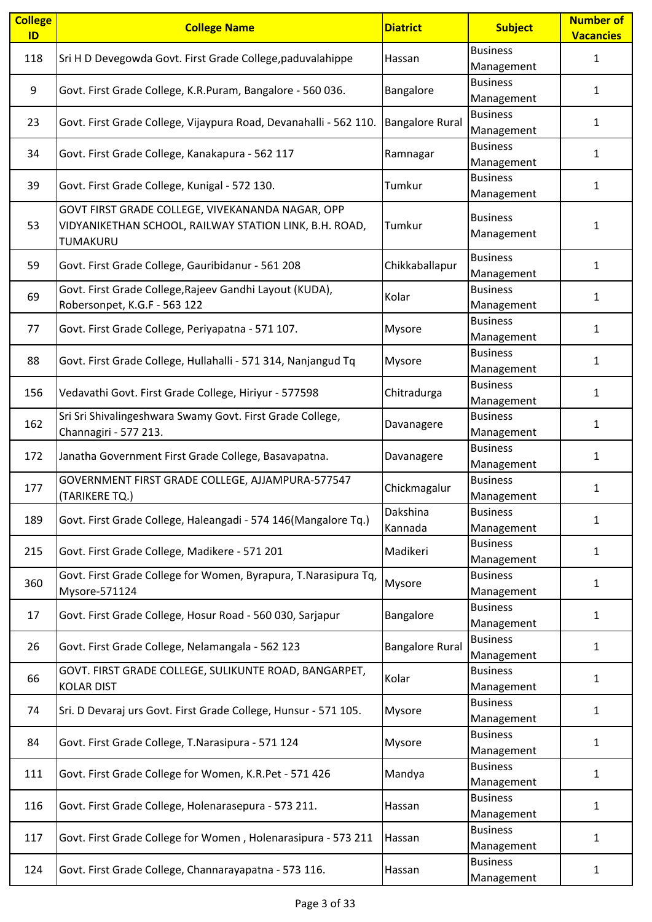| <b>Business</b><br>Sri H D Devegowda Govt. First Grade College, paduvalahippe<br>118<br>$\mathbf{1}$<br>Hassan<br>Management<br><b>Business</b><br>9<br>Govt. First Grade College, K.R.Puram, Bangalore - 560 036.<br>Bangalore<br>$\mathbf{1}$<br>Management<br><b>Business</b><br><b>Bangalore Rural</b><br>23<br>Govt. First Grade College, Vijaypura Road, Devanahalli - 562 110.<br>1<br>Management<br><b>Business</b><br>34<br>Govt. First Grade College, Kanakapura - 562 117<br>Ramnagar<br>1<br>Management<br><b>Business</b><br>Govt. First Grade College, Kunigal - 572 130.<br>39<br>Tumkur<br>1<br>Management<br>GOVT FIRST GRADE COLLEGE, VIVEKANANDA NAGAR, OPP<br><b>Business</b><br>VIDYANIKETHAN SCHOOL, RAILWAY STATION LINK, B.H. ROAD,<br>Tumkur<br>53<br>$\mathbf{1}$<br>Management<br>TUMAKURU<br><b>Business</b><br>Chikkaballapur<br>59<br>Govt. First Grade College, Gauribidanur - 561 208<br>$\mathbf{1}$<br>Management<br>Govt. First Grade College, Rajeev Gandhi Layout (KUDA),<br><b>Business</b><br>Kolar<br>69<br>$\mathbf{1}$<br>Robersonpet, K.G.F - 563 122<br>Management<br><b>Business</b><br>Govt. First Grade College, Periyapatna - 571 107.<br>77<br><b>Mysore</b><br>1<br>Management<br><b>Business</b><br>88<br>Govt. First Grade College, Hullahalli - 571 314, Nanjangud Tq<br>Mysore<br>$\mathbf{1}$<br>Management<br><b>Business</b><br>Chitradurga<br>156<br>Vedavathi Govt. First Grade College, Hiriyur - 577598<br>$\mathbf{1}$<br>Management<br>Sri Sri Shivalingeshwara Swamy Govt. First Grade College,<br><b>Business</b><br>162<br>Davanagere<br>1<br>Channagiri - 577 213.<br>Management<br><b>Business</b><br>172<br>Janatha Government First Grade College, Basavapatna.<br>1<br>Davanagere<br>Management<br>GOVERNMENT FIRST GRADE COLLEGE, AJJAMPURA-577547<br><b>Business</b><br>Chickmagalur<br>177<br>1<br>(TARIKERE TQ.)<br>Management<br>Dakshina<br><b>Business</b><br>Govt. First Grade College, Haleangadi - 574 146(Mangalore Tq.)<br>189<br>1<br>Kannada<br>Management<br><b>Business</b><br>215<br>Govt. First Grade College, Madikere - 571 201<br>Madikeri<br>$\mathbf{1}$<br>Management<br>Govt. First Grade College for Women, Byrapura, T.Narasipura Tq,<br><b>Business</b><br>360<br>Mysore<br>1<br>Mysore-571124<br>Management<br><b>Business</b><br>Govt. First Grade College, Hosur Road - 560 030, Sarjapur<br>Bangalore<br>17<br>$\mathbf{1}$<br>Management<br><b>Business</b><br>Govt. First Grade College, Nelamangala - 562 123<br><b>Bangalore Rural</b><br>26<br>1<br>Management<br>GOVT. FIRST GRADE COLLEGE, SULIKUNTE ROAD, BANGARPET,<br><b>Business</b><br>Kolar<br>66<br>1<br><b>KOLAR DIST</b><br>Management<br><b>Business</b><br>Sri. D Devaraj urs Govt. First Grade College, Hunsur - 571 105.<br>Mysore<br>1<br>74<br>Management<br><b>Business</b><br>Govt. First Grade College, T.Narasipura - 571 124<br>84<br>Mysore<br>1<br>Management<br><b>Business</b><br>111<br>Govt. First Grade College for Women, K.R.Pet - 571 426<br>Mandya<br>$\mathbf{1}$<br>Management<br><b>Business</b><br>116<br>Govt. First Grade College, Holenarasepura - 573 211.<br>$\mathbf{1}$<br>Hassan<br>Management<br><b>Business</b><br>Govt. First Grade College for Women, Holenarasipura - 573 211<br>117<br>Hassan<br>1<br>Management<br><b>Business</b><br>Govt. First Grade College, Channarayapatna - 573 116.<br>124<br>Hassan<br>1<br>Management | <b>College</b><br>ID | <b>College Name</b> | <b>Diatrict</b> | <b>Subject</b> | <b>Number of</b><br><b>Vacancies</b> |
|-------------------------------------------------------------------------------------------------------------------------------------------------------------------------------------------------------------------------------------------------------------------------------------------------------------------------------------------------------------------------------------------------------------------------------------------------------------------------------------------------------------------------------------------------------------------------------------------------------------------------------------------------------------------------------------------------------------------------------------------------------------------------------------------------------------------------------------------------------------------------------------------------------------------------------------------------------------------------------------------------------------------------------------------------------------------------------------------------------------------------------------------------------------------------------------------------------------------------------------------------------------------------------------------------------------------------------------------------------------------------------------------------------------------------------------------------------------------------------------------------------------------------------------------------------------------------------------------------------------------------------------------------------------------------------------------------------------------------------------------------------------------------------------------------------------------------------------------------------------------------------------------------------------------------------------------------------------------------------------------------------------------------------------------------------------------------------------------------------------------------------------------------------------------------------------------------------------------------------------------------------------------------------------------------------------------------------------------------------------------------------------------------------------------------------------------------------------------------------------------------------------------------------------------------------------------------------------------------------------------------------------------------------------------------------------------------------------------------------------------------------------------------------------------------------------------------------------------------------------------------------------------------------------------------------------------------------------------------------------------------------------------------------------------------------------------------------------------------------------------------------------------------------------------------------------------------------------------------------------------------------------------------------------------------------------------------------------------------------------------------------------------------------------------------------------------------|----------------------|---------------------|-----------------|----------------|--------------------------------------|
|                                                                                                                                                                                                                                                                                                                                                                                                                                                                                                                                                                                                                                                                                                                                                                                                                                                                                                                                                                                                                                                                                                                                                                                                                                                                                                                                                                                                                                                                                                                                                                                                                                                                                                                                                                                                                                                                                                                                                                                                                                                                                                                                                                                                                                                                                                                                                                                                                                                                                                                                                                                                                                                                                                                                                                                                                                                                                                                                                                                                                                                                                                                                                                                                                                                                                                                                                                                                                                                 |                      |                     |                 |                |                                      |
|                                                                                                                                                                                                                                                                                                                                                                                                                                                                                                                                                                                                                                                                                                                                                                                                                                                                                                                                                                                                                                                                                                                                                                                                                                                                                                                                                                                                                                                                                                                                                                                                                                                                                                                                                                                                                                                                                                                                                                                                                                                                                                                                                                                                                                                                                                                                                                                                                                                                                                                                                                                                                                                                                                                                                                                                                                                                                                                                                                                                                                                                                                                                                                                                                                                                                                                                                                                                                                                 |                      |                     |                 |                |                                      |
|                                                                                                                                                                                                                                                                                                                                                                                                                                                                                                                                                                                                                                                                                                                                                                                                                                                                                                                                                                                                                                                                                                                                                                                                                                                                                                                                                                                                                                                                                                                                                                                                                                                                                                                                                                                                                                                                                                                                                                                                                                                                                                                                                                                                                                                                                                                                                                                                                                                                                                                                                                                                                                                                                                                                                                                                                                                                                                                                                                                                                                                                                                                                                                                                                                                                                                                                                                                                                                                 |                      |                     |                 |                |                                      |
|                                                                                                                                                                                                                                                                                                                                                                                                                                                                                                                                                                                                                                                                                                                                                                                                                                                                                                                                                                                                                                                                                                                                                                                                                                                                                                                                                                                                                                                                                                                                                                                                                                                                                                                                                                                                                                                                                                                                                                                                                                                                                                                                                                                                                                                                                                                                                                                                                                                                                                                                                                                                                                                                                                                                                                                                                                                                                                                                                                                                                                                                                                                                                                                                                                                                                                                                                                                                                                                 |                      |                     |                 |                |                                      |
|                                                                                                                                                                                                                                                                                                                                                                                                                                                                                                                                                                                                                                                                                                                                                                                                                                                                                                                                                                                                                                                                                                                                                                                                                                                                                                                                                                                                                                                                                                                                                                                                                                                                                                                                                                                                                                                                                                                                                                                                                                                                                                                                                                                                                                                                                                                                                                                                                                                                                                                                                                                                                                                                                                                                                                                                                                                                                                                                                                                                                                                                                                                                                                                                                                                                                                                                                                                                                                                 |                      |                     |                 |                |                                      |
|                                                                                                                                                                                                                                                                                                                                                                                                                                                                                                                                                                                                                                                                                                                                                                                                                                                                                                                                                                                                                                                                                                                                                                                                                                                                                                                                                                                                                                                                                                                                                                                                                                                                                                                                                                                                                                                                                                                                                                                                                                                                                                                                                                                                                                                                                                                                                                                                                                                                                                                                                                                                                                                                                                                                                                                                                                                                                                                                                                                                                                                                                                                                                                                                                                                                                                                                                                                                                                                 |                      |                     |                 |                |                                      |
|                                                                                                                                                                                                                                                                                                                                                                                                                                                                                                                                                                                                                                                                                                                                                                                                                                                                                                                                                                                                                                                                                                                                                                                                                                                                                                                                                                                                                                                                                                                                                                                                                                                                                                                                                                                                                                                                                                                                                                                                                                                                                                                                                                                                                                                                                                                                                                                                                                                                                                                                                                                                                                                                                                                                                                                                                                                                                                                                                                                                                                                                                                                                                                                                                                                                                                                                                                                                                                                 |                      |                     |                 |                |                                      |
|                                                                                                                                                                                                                                                                                                                                                                                                                                                                                                                                                                                                                                                                                                                                                                                                                                                                                                                                                                                                                                                                                                                                                                                                                                                                                                                                                                                                                                                                                                                                                                                                                                                                                                                                                                                                                                                                                                                                                                                                                                                                                                                                                                                                                                                                                                                                                                                                                                                                                                                                                                                                                                                                                                                                                                                                                                                                                                                                                                                                                                                                                                                                                                                                                                                                                                                                                                                                                                                 |                      |                     |                 |                |                                      |
|                                                                                                                                                                                                                                                                                                                                                                                                                                                                                                                                                                                                                                                                                                                                                                                                                                                                                                                                                                                                                                                                                                                                                                                                                                                                                                                                                                                                                                                                                                                                                                                                                                                                                                                                                                                                                                                                                                                                                                                                                                                                                                                                                                                                                                                                                                                                                                                                                                                                                                                                                                                                                                                                                                                                                                                                                                                                                                                                                                                                                                                                                                                                                                                                                                                                                                                                                                                                                                                 |                      |                     |                 |                |                                      |
|                                                                                                                                                                                                                                                                                                                                                                                                                                                                                                                                                                                                                                                                                                                                                                                                                                                                                                                                                                                                                                                                                                                                                                                                                                                                                                                                                                                                                                                                                                                                                                                                                                                                                                                                                                                                                                                                                                                                                                                                                                                                                                                                                                                                                                                                                                                                                                                                                                                                                                                                                                                                                                                                                                                                                                                                                                                                                                                                                                                                                                                                                                                                                                                                                                                                                                                                                                                                                                                 |                      |                     |                 |                |                                      |
|                                                                                                                                                                                                                                                                                                                                                                                                                                                                                                                                                                                                                                                                                                                                                                                                                                                                                                                                                                                                                                                                                                                                                                                                                                                                                                                                                                                                                                                                                                                                                                                                                                                                                                                                                                                                                                                                                                                                                                                                                                                                                                                                                                                                                                                                                                                                                                                                                                                                                                                                                                                                                                                                                                                                                                                                                                                                                                                                                                                                                                                                                                                                                                                                                                                                                                                                                                                                                                                 |                      |                     |                 |                |                                      |
|                                                                                                                                                                                                                                                                                                                                                                                                                                                                                                                                                                                                                                                                                                                                                                                                                                                                                                                                                                                                                                                                                                                                                                                                                                                                                                                                                                                                                                                                                                                                                                                                                                                                                                                                                                                                                                                                                                                                                                                                                                                                                                                                                                                                                                                                                                                                                                                                                                                                                                                                                                                                                                                                                                                                                                                                                                                                                                                                                                                                                                                                                                                                                                                                                                                                                                                                                                                                                                                 |                      |                     |                 |                |                                      |
|                                                                                                                                                                                                                                                                                                                                                                                                                                                                                                                                                                                                                                                                                                                                                                                                                                                                                                                                                                                                                                                                                                                                                                                                                                                                                                                                                                                                                                                                                                                                                                                                                                                                                                                                                                                                                                                                                                                                                                                                                                                                                                                                                                                                                                                                                                                                                                                                                                                                                                                                                                                                                                                                                                                                                                                                                                                                                                                                                                                                                                                                                                                                                                                                                                                                                                                                                                                                                                                 |                      |                     |                 |                |                                      |
|                                                                                                                                                                                                                                                                                                                                                                                                                                                                                                                                                                                                                                                                                                                                                                                                                                                                                                                                                                                                                                                                                                                                                                                                                                                                                                                                                                                                                                                                                                                                                                                                                                                                                                                                                                                                                                                                                                                                                                                                                                                                                                                                                                                                                                                                                                                                                                                                                                                                                                                                                                                                                                                                                                                                                                                                                                                                                                                                                                                                                                                                                                                                                                                                                                                                                                                                                                                                                                                 |                      |                     |                 |                |                                      |
|                                                                                                                                                                                                                                                                                                                                                                                                                                                                                                                                                                                                                                                                                                                                                                                                                                                                                                                                                                                                                                                                                                                                                                                                                                                                                                                                                                                                                                                                                                                                                                                                                                                                                                                                                                                                                                                                                                                                                                                                                                                                                                                                                                                                                                                                                                                                                                                                                                                                                                                                                                                                                                                                                                                                                                                                                                                                                                                                                                                                                                                                                                                                                                                                                                                                                                                                                                                                                                                 |                      |                     |                 |                |                                      |
|                                                                                                                                                                                                                                                                                                                                                                                                                                                                                                                                                                                                                                                                                                                                                                                                                                                                                                                                                                                                                                                                                                                                                                                                                                                                                                                                                                                                                                                                                                                                                                                                                                                                                                                                                                                                                                                                                                                                                                                                                                                                                                                                                                                                                                                                                                                                                                                                                                                                                                                                                                                                                                                                                                                                                                                                                                                                                                                                                                                                                                                                                                                                                                                                                                                                                                                                                                                                                                                 |                      |                     |                 |                |                                      |
|                                                                                                                                                                                                                                                                                                                                                                                                                                                                                                                                                                                                                                                                                                                                                                                                                                                                                                                                                                                                                                                                                                                                                                                                                                                                                                                                                                                                                                                                                                                                                                                                                                                                                                                                                                                                                                                                                                                                                                                                                                                                                                                                                                                                                                                                                                                                                                                                                                                                                                                                                                                                                                                                                                                                                                                                                                                                                                                                                                                                                                                                                                                                                                                                                                                                                                                                                                                                                                                 |                      |                     |                 |                |                                      |
|                                                                                                                                                                                                                                                                                                                                                                                                                                                                                                                                                                                                                                                                                                                                                                                                                                                                                                                                                                                                                                                                                                                                                                                                                                                                                                                                                                                                                                                                                                                                                                                                                                                                                                                                                                                                                                                                                                                                                                                                                                                                                                                                                                                                                                                                                                                                                                                                                                                                                                                                                                                                                                                                                                                                                                                                                                                                                                                                                                                                                                                                                                                                                                                                                                                                                                                                                                                                                                                 |                      |                     |                 |                |                                      |
|                                                                                                                                                                                                                                                                                                                                                                                                                                                                                                                                                                                                                                                                                                                                                                                                                                                                                                                                                                                                                                                                                                                                                                                                                                                                                                                                                                                                                                                                                                                                                                                                                                                                                                                                                                                                                                                                                                                                                                                                                                                                                                                                                                                                                                                                                                                                                                                                                                                                                                                                                                                                                                                                                                                                                                                                                                                                                                                                                                                                                                                                                                                                                                                                                                                                                                                                                                                                                                                 |                      |                     |                 |                |                                      |
|                                                                                                                                                                                                                                                                                                                                                                                                                                                                                                                                                                                                                                                                                                                                                                                                                                                                                                                                                                                                                                                                                                                                                                                                                                                                                                                                                                                                                                                                                                                                                                                                                                                                                                                                                                                                                                                                                                                                                                                                                                                                                                                                                                                                                                                                                                                                                                                                                                                                                                                                                                                                                                                                                                                                                                                                                                                                                                                                                                                                                                                                                                                                                                                                                                                                                                                                                                                                                                                 |                      |                     |                 |                |                                      |
|                                                                                                                                                                                                                                                                                                                                                                                                                                                                                                                                                                                                                                                                                                                                                                                                                                                                                                                                                                                                                                                                                                                                                                                                                                                                                                                                                                                                                                                                                                                                                                                                                                                                                                                                                                                                                                                                                                                                                                                                                                                                                                                                                                                                                                                                                                                                                                                                                                                                                                                                                                                                                                                                                                                                                                                                                                                                                                                                                                                                                                                                                                                                                                                                                                                                                                                                                                                                                                                 |                      |                     |                 |                |                                      |
|                                                                                                                                                                                                                                                                                                                                                                                                                                                                                                                                                                                                                                                                                                                                                                                                                                                                                                                                                                                                                                                                                                                                                                                                                                                                                                                                                                                                                                                                                                                                                                                                                                                                                                                                                                                                                                                                                                                                                                                                                                                                                                                                                                                                                                                                                                                                                                                                                                                                                                                                                                                                                                                                                                                                                                                                                                                                                                                                                                                                                                                                                                                                                                                                                                                                                                                                                                                                                                                 |                      |                     |                 |                |                                      |
|                                                                                                                                                                                                                                                                                                                                                                                                                                                                                                                                                                                                                                                                                                                                                                                                                                                                                                                                                                                                                                                                                                                                                                                                                                                                                                                                                                                                                                                                                                                                                                                                                                                                                                                                                                                                                                                                                                                                                                                                                                                                                                                                                                                                                                                                                                                                                                                                                                                                                                                                                                                                                                                                                                                                                                                                                                                                                                                                                                                                                                                                                                                                                                                                                                                                                                                                                                                                                                                 |                      |                     |                 |                |                                      |
|                                                                                                                                                                                                                                                                                                                                                                                                                                                                                                                                                                                                                                                                                                                                                                                                                                                                                                                                                                                                                                                                                                                                                                                                                                                                                                                                                                                                                                                                                                                                                                                                                                                                                                                                                                                                                                                                                                                                                                                                                                                                                                                                                                                                                                                                                                                                                                                                                                                                                                                                                                                                                                                                                                                                                                                                                                                                                                                                                                                                                                                                                                                                                                                                                                                                                                                                                                                                                                                 |                      |                     |                 |                |                                      |
|                                                                                                                                                                                                                                                                                                                                                                                                                                                                                                                                                                                                                                                                                                                                                                                                                                                                                                                                                                                                                                                                                                                                                                                                                                                                                                                                                                                                                                                                                                                                                                                                                                                                                                                                                                                                                                                                                                                                                                                                                                                                                                                                                                                                                                                                                                                                                                                                                                                                                                                                                                                                                                                                                                                                                                                                                                                                                                                                                                                                                                                                                                                                                                                                                                                                                                                                                                                                                                                 |                      |                     |                 |                |                                      |
|                                                                                                                                                                                                                                                                                                                                                                                                                                                                                                                                                                                                                                                                                                                                                                                                                                                                                                                                                                                                                                                                                                                                                                                                                                                                                                                                                                                                                                                                                                                                                                                                                                                                                                                                                                                                                                                                                                                                                                                                                                                                                                                                                                                                                                                                                                                                                                                                                                                                                                                                                                                                                                                                                                                                                                                                                                                                                                                                                                                                                                                                                                                                                                                                                                                                                                                                                                                                                                                 |                      |                     |                 |                |                                      |
|                                                                                                                                                                                                                                                                                                                                                                                                                                                                                                                                                                                                                                                                                                                                                                                                                                                                                                                                                                                                                                                                                                                                                                                                                                                                                                                                                                                                                                                                                                                                                                                                                                                                                                                                                                                                                                                                                                                                                                                                                                                                                                                                                                                                                                                                                                                                                                                                                                                                                                                                                                                                                                                                                                                                                                                                                                                                                                                                                                                                                                                                                                                                                                                                                                                                                                                                                                                                                                                 |                      |                     |                 |                |                                      |
|                                                                                                                                                                                                                                                                                                                                                                                                                                                                                                                                                                                                                                                                                                                                                                                                                                                                                                                                                                                                                                                                                                                                                                                                                                                                                                                                                                                                                                                                                                                                                                                                                                                                                                                                                                                                                                                                                                                                                                                                                                                                                                                                                                                                                                                                                                                                                                                                                                                                                                                                                                                                                                                                                                                                                                                                                                                                                                                                                                                                                                                                                                                                                                                                                                                                                                                                                                                                                                                 |                      |                     |                 |                |                                      |
|                                                                                                                                                                                                                                                                                                                                                                                                                                                                                                                                                                                                                                                                                                                                                                                                                                                                                                                                                                                                                                                                                                                                                                                                                                                                                                                                                                                                                                                                                                                                                                                                                                                                                                                                                                                                                                                                                                                                                                                                                                                                                                                                                                                                                                                                                                                                                                                                                                                                                                                                                                                                                                                                                                                                                                                                                                                                                                                                                                                                                                                                                                                                                                                                                                                                                                                                                                                                                                                 |                      |                     |                 |                |                                      |
|                                                                                                                                                                                                                                                                                                                                                                                                                                                                                                                                                                                                                                                                                                                                                                                                                                                                                                                                                                                                                                                                                                                                                                                                                                                                                                                                                                                                                                                                                                                                                                                                                                                                                                                                                                                                                                                                                                                                                                                                                                                                                                                                                                                                                                                                                                                                                                                                                                                                                                                                                                                                                                                                                                                                                                                                                                                                                                                                                                                                                                                                                                                                                                                                                                                                                                                                                                                                                                                 |                      |                     |                 |                |                                      |
|                                                                                                                                                                                                                                                                                                                                                                                                                                                                                                                                                                                                                                                                                                                                                                                                                                                                                                                                                                                                                                                                                                                                                                                                                                                                                                                                                                                                                                                                                                                                                                                                                                                                                                                                                                                                                                                                                                                                                                                                                                                                                                                                                                                                                                                                                                                                                                                                                                                                                                                                                                                                                                                                                                                                                                                                                                                                                                                                                                                                                                                                                                                                                                                                                                                                                                                                                                                                                                                 |                      |                     |                 |                |                                      |
|                                                                                                                                                                                                                                                                                                                                                                                                                                                                                                                                                                                                                                                                                                                                                                                                                                                                                                                                                                                                                                                                                                                                                                                                                                                                                                                                                                                                                                                                                                                                                                                                                                                                                                                                                                                                                                                                                                                                                                                                                                                                                                                                                                                                                                                                                                                                                                                                                                                                                                                                                                                                                                                                                                                                                                                                                                                                                                                                                                                                                                                                                                                                                                                                                                                                                                                                                                                                                                                 |                      |                     |                 |                |                                      |
|                                                                                                                                                                                                                                                                                                                                                                                                                                                                                                                                                                                                                                                                                                                                                                                                                                                                                                                                                                                                                                                                                                                                                                                                                                                                                                                                                                                                                                                                                                                                                                                                                                                                                                                                                                                                                                                                                                                                                                                                                                                                                                                                                                                                                                                                                                                                                                                                                                                                                                                                                                                                                                                                                                                                                                                                                                                                                                                                                                                                                                                                                                                                                                                                                                                                                                                                                                                                                                                 |                      |                     |                 |                |                                      |
|                                                                                                                                                                                                                                                                                                                                                                                                                                                                                                                                                                                                                                                                                                                                                                                                                                                                                                                                                                                                                                                                                                                                                                                                                                                                                                                                                                                                                                                                                                                                                                                                                                                                                                                                                                                                                                                                                                                                                                                                                                                                                                                                                                                                                                                                                                                                                                                                                                                                                                                                                                                                                                                                                                                                                                                                                                                                                                                                                                                                                                                                                                                                                                                                                                                                                                                                                                                                                                                 |                      |                     |                 |                |                                      |
|                                                                                                                                                                                                                                                                                                                                                                                                                                                                                                                                                                                                                                                                                                                                                                                                                                                                                                                                                                                                                                                                                                                                                                                                                                                                                                                                                                                                                                                                                                                                                                                                                                                                                                                                                                                                                                                                                                                                                                                                                                                                                                                                                                                                                                                                                                                                                                                                                                                                                                                                                                                                                                                                                                                                                                                                                                                                                                                                                                                                                                                                                                                                                                                                                                                                                                                                                                                                                                                 |                      |                     |                 |                |                                      |
|                                                                                                                                                                                                                                                                                                                                                                                                                                                                                                                                                                                                                                                                                                                                                                                                                                                                                                                                                                                                                                                                                                                                                                                                                                                                                                                                                                                                                                                                                                                                                                                                                                                                                                                                                                                                                                                                                                                                                                                                                                                                                                                                                                                                                                                                                                                                                                                                                                                                                                                                                                                                                                                                                                                                                                                                                                                                                                                                                                                                                                                                                                                                                                                                                                                                                                                                                                                                                                                 |                      |                     |                 |                |                                      |
|                                                                                                                                                                                                                                                                                                                                                                                                                                                                                                                                                                                                                                                                                                                                                                                                                                                                                                                                                                                                                                                                                                                                                                                                                                                                                                                                                                                                                                                                                                                                                                                                                                                                                                                                                                                                                                                                                                                                                                                                                                                                                                                                                                                                                                                                                                                                                                                                                                                                                                                                                                                                                                                                                                                                                                                                                                                                                                                                                                                                                                                                                                                                                                                                                                                                                                                                                                                                                                                 |                      |                     |                 |                |                                      |
|                                                                                                                                                                                                                                                                                                                                                                                                                                                                                                                                                                                                                                                                                                                                                                                                                                                                                                                                                                                                                                                                                                                                                                                                                                                                                                                                                                                                                                                                                                                                                                                                                                                                                                                                                                                                                                                                                                                                                                                                                                                                                                                                                                                                                                                                                                                                                                                                                                                                                                                                                                                                                                                                                                                                                                                                                                                                                                                                                                                                                                                                                                                                                                                                                                                                                                                                                                                                                                                 |                      |                     |                 |                |                                      |
|                                                                                                                                                                                                                                                                                                                                                                                                                                                                                                                                                                                                                                                                                                                                                                                                                                                                                                                                                                                                                                                                                                                                                                                                                                                                                                                                                                                                                                                                                                                                                                                                                                                                                                                                                                                                                                                                                                                                                                                                                                                                                                                                                                                                                                                                                                                                                                                                                                                                                                                                                                                                                                                                                                                                                                                                                                                                                                                                                                                                                                                                                                                                                                                                                                                                                                                                                                                                                                                 |                      |                     |                 |                |                                      |
|                                                                                                                                                                                                                                                                                                                                                                                                                                                                                                                                                                                                                                                                                                                                                                                                                                                                                                                                                                                                                                                                                                                                                                                                                                                                                                                                                                                                                                                                                                                                                                                                                                                                                                                                                                                                                                                                                                                                                                                                                                                                                                                                                                                                                                                                                                                                                                                                                                                                                                                                                                                                                                                                                                                                                                                                                                                                                                                                                                                                                                                                                                                                                                                                                                                                                                                                                                                                                                                 |                      |                     |                 |                |                                      |
|                                                                                                                                                                                                                                                                                                                                                                                                                                                                                                                                                                                                                                                                                                                                                                                                                                                                                                                                                                                                                                                                                                                                                                                                                                                                                                                                                                                                                                                                                                                                                                                                                                                                                                                                                                                                                                                                                                                                                                                                                                                                                                                                                                                                                                                                                                                                                                                                                                                                                                                                                                                                                                                                                                                                                                                                                                                                                                                                                                                                                                                                                                                                                                                                                                                                                                                                                                                                                                                 |                      |                     |                 |                |                                      |
|                                                                                                                                                                                                                                                                                                                                                                                                                                                                                                                                                                                                                                                                                                                                                                                                                                                                                                                                                                                                                                                                                                                                                                                                                                                                                                                                                                                                                                                                                                                                                                                                                                                                                                                                                                                                                                                                                                                                                                                                                                                                                                                                                                                                                                                                                                                                                                                                                                                                                                                                                                                                                                                                                                                                                                                                                                                                                                                                                                                                                                                                                                                                                                                                                                                                                                                                                                                                                                                 |                      |                     |                 |                |                                      |
|                                                                                                                                                                                                                                                                                                                                                                                                                                                                                                                                                                                                                                                                                                                                                                                                                                                                                                                                                                                                                                                                                                                                                                                                                                                                                                                                                                                                                                                                                                                                                                                                                                                                                                                                                                                                                                                                                                                                                                                                                                                                                                                                                                                                                                                                                                                                                                                                                                                                                                                                                                                                                                                                                                                                                                                                                                                                                                                                                                                                                                                                                                                                                                                                                                                                                                                                                                                                                                                 |                      |                     |                 |                |                                      |
|                                                                                                                                                                                                                                                                                                                                                                                                                                                                                                                                                                                                                                                                                                                                                                                                                                                                                                                                                                                                                                                                                                                                                                                                                                                                                                                                                                                                                                                                                                                                                                                                                                                                                                                                                                                                                                                                                                                                                                                                                                                                                                                                                                                                                                                                                                                                                                                                                                                                                                                                                                                                                                                                                                                                                                                                                                                                                                                                                                                                                                                                                                                                                                                                                                                                                                                                                                                                                                                 |                      |                     |                 |                |                                      |
|                                                                                                                                                                                                                                                                                                                                                                                                                                                                                                                                                                                                                                                                                                                                                                                                                                                                                                                                                                                                                                                                                                                                                                                                                                                                                                                                                                                                                                                                                                                                                                                                                                                                                                                                                                                                                                                                                                                                                                                                                                                                                                                                                                                                                                                                                                                                                                                                                                                                                                                                                                                                                                                                                                                                                                                                                                                                                                                                                                                                                                                                                                                                                                                                                                                                                                                                                                                                                                                 |                      |                     |                 |                |                                      |
|                                                                                                                                                                                                                                                                                                                                                                                                                                                                                                                                                                                                                                                                                                                                                                                                                                                                                                                                                                                                                                                                                                                                                                                                                                                                                                                                                                                                                                                                                                                                                                                                                                                                                                                                                                                                                                                                                                                                                                                                                                                                                                                                                                                                                                                                                                                                                                                                                                                                                                                                                                                                                                                                                                                                                                                                                                                                                                                                                                                                                                                                                                                                                                                                                                                                                                                                                                                                                                                 |                      |                     |                 |                |                                      |
|                                                                                                                                                                                                                                                                                                                                                                                                                                                                                                                                                                                                                                                                                                                                                                                                                                                                                                                                                                                                                                                                                                                                                                                                                                                                                                                                                                                                                                                                                                                                                                                                                                                                                                                                                                                                                                                                                                                                                                                                                                                                                                                                                                                                                                                                                                                                                                                                                                                                                                                                                                                                                                                                                                                                                                                                                                                                                                                                                                                                                                                                                                                                                                                                                                                                                                                                                                                                                                                 |                      |                     |                 |                |                                      |
|                                                                                                                                                                                                                                                                                                                                                                                                                                                                                                                                                                                                                                                                                                                                                                                                                                                                                                                                                                                                                                                                                                                                                                                                                                                                                                                                                                                                                                                                                                                                                                                                                                                                                                                                                                                                                                                                                                                                                                                                                                                                                                                                                                                                                                                                                                                                                                                                                                                                                                                                                                                                                                                                                                                                                                                                                                                                                                                                                                                                                                                                                                                                                                                                                                                                                                                                                                                                                                                 |                      |                     |                 |                |                                      |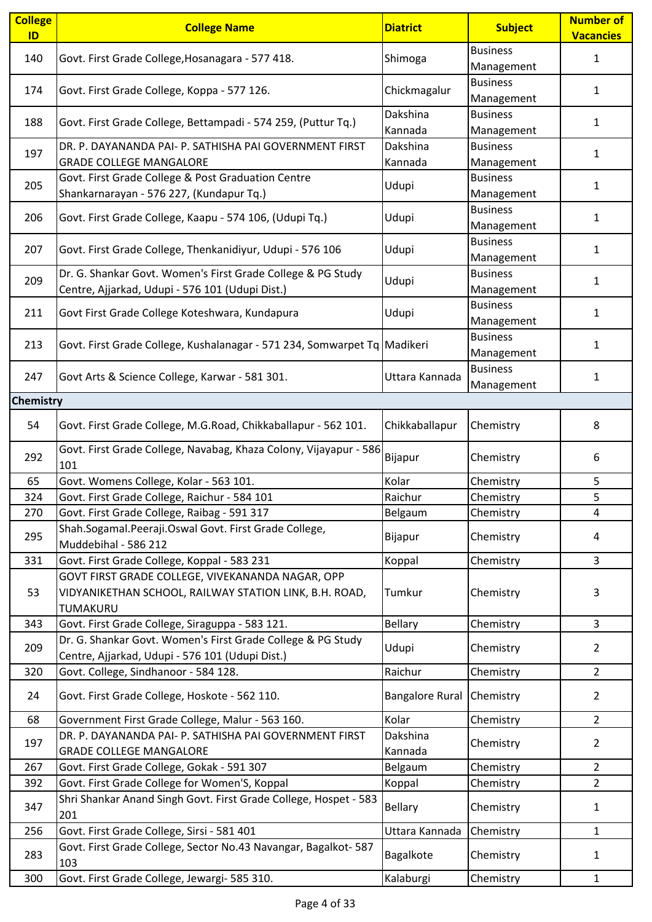| <b>College</b><br>ID | <b>College Name</b>                                                      | <b>Diatrict</b>        | <b>Subject</b>  | <b>Number of</b><br><b>Vacancies</b> |
|----------------------|--------------------------------------------------------------------------|------------------------|-----------------|--------------------------------------|
|                      |                                                                          |                        | <b>Business</b> |                                      |
| 140                  | Govt. First Grade College, Hosanagara - 577 418.                         | Shimoga                | Management      | $\mathbf{1}$                         |
|                      |                                                                          |                        | <b>Business</b> |                                      |
| 174                  | Govt. First Grade College, Koppa - 577 126.                              | Chickmagalur           | Management      | $\mathbf{1}$                         |
|                      |                                                                          | Dakshina               | <b>Business</b> |                                      |
| 188                  | Govt. First Grade College, Bettampadi - 574 259, (Puttur Tq.)            | Kannada                | Management      | 1                                    |
|                      | DR. P. DAYANANDA PAI- P. SATHISHA PAI GOVERNMENT FIRST                   | Dakshina               | <b>Business</b> |                                      |
| 197                  | <b>GRADE COLLEGE MANGALORE</b>                                           |                        |                 | 1                                    |
|                      |                                                                          | Kannada                | Management      |                                      |
| 205                  | Govt. First Grade College & Post Graduation Centre                       | Udupi                  | <b>Business</b> | 1                                    |
|                      | Shankarnarayan - 576 227, (Kundapur Tq.)                                 |                        | Management      |                                      |
| 206                  | Govt. First Grade College, Kaapu - 574 106, (Udupi Tq.)                  | Udupi                  | <b>Business</b> | 1                                    |
|                      |                                                                          |                        | Management      |                                      |
| 207                  | Govt. First Grade College, Thenkanidiyur, Udupi - 576 106                | Udupi                  | <b>Business</b> | 1                                    |
|                      |                                                                          |                        | Management      |                                      |
| 209                  | Dr. G. Shankar Govt. Women's First Grade College & PG Study              | Udupi                  | <b>Business</b> | $\mathbf{1}$                         |
|                      | Centre, Ajjarkad, Udupi - 576 101 (Udupi Dist.)                          |                        | Management      |                                      |
| 211                  | Govt First Grade College Koteshwara, Kundapura                           | Udupi                  | <b>Business</b> | 1                                    |
|                      |                                                                          |                        | Management      |                                      |
| 213                  | Govt. First Grade College, Kushalanagar - 571 234, Somwarpet Tq Madikeri |                        | <b>Business</b> | 1                                    |
|                      |                                                                          |                        | Management      |                                      |
| 247                  | Govt Arts & Science College, Karwar - 581 301.                           | Uttara Kannada         | <b>Business</b> | 1                                    |
|                      |                                                                          |                        | Management      |                                      |
| Chemistry            |                                                                          |                        |                 |                                      |
| 54                   | Govt. First Grade College, M.G.Road, Chikkaballapur - 562 101.           | Chikkaballapur         | Chemistry       | 8                                    |
|                      |                                                                          |                        |                 |                                      |
| 292                  | Govt. First Grade College, Navabag, Khaza Colony, Vijayapur - 586        | Bijapur                | Chemistry       | 6                                    |
|                      | 101                                                                      |                        |                 |                                      |
| 65                   | Govt. Womens College, Kolar - 563 101.                                   | Kolar                  | Chemistry       | 5                                    |
| 324                  | Govt. First Grade College, Raichur - 584 101                             | Raichur                | Chemistry       | 5                                    |
| 270                  | Govt. First Grade College, Raibag - 591 317                              | Belgaum                | Chemistry       | $\overline{4}$                       |
| 295                  | Shah.Sogamal.Peeraji.Oswal Govt. First Grade College,                    | Bijapur                | Chemistry       | 4                                    |
|                      | Muddebihal - 586 212                                                     |                        |                 |                                      |
| 331                  | Govt. First Grade College, Koppal - 583 231                              | Koppal                 | Chemistry       | 3                                    |
|                      | GOVT FIRST GRADE COLLEGE, VIVEKANANDA NAGAR, OPP                         |                        |                 |                                      |
| 53                   | VIDYANIKETHAN SCHOOL, RAILWAY STATION LINK, B.H. ROAD,                   | Tumkur                 | Chemistry       | 3                                    |
|                      | TUMAKURU                                                                 |                        |                 |                                      |
| 343                  | Govt. First Grade College, Siraguppa - 583 121.                          | <b>Bellary</b>         | Chemistry       | 3                                    |
| 209                  | Dr. G. Shankar Govt. Women's First Grade College & PG Study              | Udupi                  | Chemistry       | $\overline{2}$                       |
|                      | Centre, Ajjarkad, Udupi - 576 101 (Udupi Dist.)                          |                        |                 |                                      |
| 320                  | Govt. College, Sindhanoor - 584 128.                                     | Raichur                | Chemistry       | $\overline{2}$                       |
| 24                   | Govt. First Grade College, Hoskote - 562 110.                            | <b>Bangalore Rural</b> | Chemistry       | $\overline{2}$                       |
| 68                   | Government First Grade College, Malur - 563 160.                         | Kolar                  | Chemistry       | $\overline{2}$                       |
|                      | DR. P. DAYANANDA PAI- P. SATHISHA PAI GOVERNMENT FIRST                   | Dakshina               |                 |                                      |
| 197                  | <b>GRADE COLLEGE MANGALORE</b>                                           | Kannada                | Chemistry       | $\overline{2}$                       |
| 267                  | Govt. First Grade College, Gokak - 591 307                               | Belgaum                | Chemistry       | $\overline{2}$                       |
| 392                  | Govt. First Grade College for Women'S, Koppal                            | Koppal                 | Chemistry       | $\overline{2}$                       |
|                      | Shri Shankar Anand Singh Govt. First Grade College, Hospet - 583         |                        |                 |                                      |
| 347                  | 201                                                                      | Bellary                | Chemistry       | 1                                    |
| 256                  | Govt. First Grade College, Sirsi - 581 401                               | Uttara Kannada         | Chemistry       | $\mathbf{1}$                         |
| 283                  | Govt. First Grade College, Sector No.43 Navangar, Bagalkot-587<br>103    | Bagalkote              | Chemistry       | $\mathbf{1}$                         |
| 300                  | Govt. First Grade College, Jewargi- 585 310.                             | Kalaburgi              | Chemistry       | $\mathbf{1}$                         |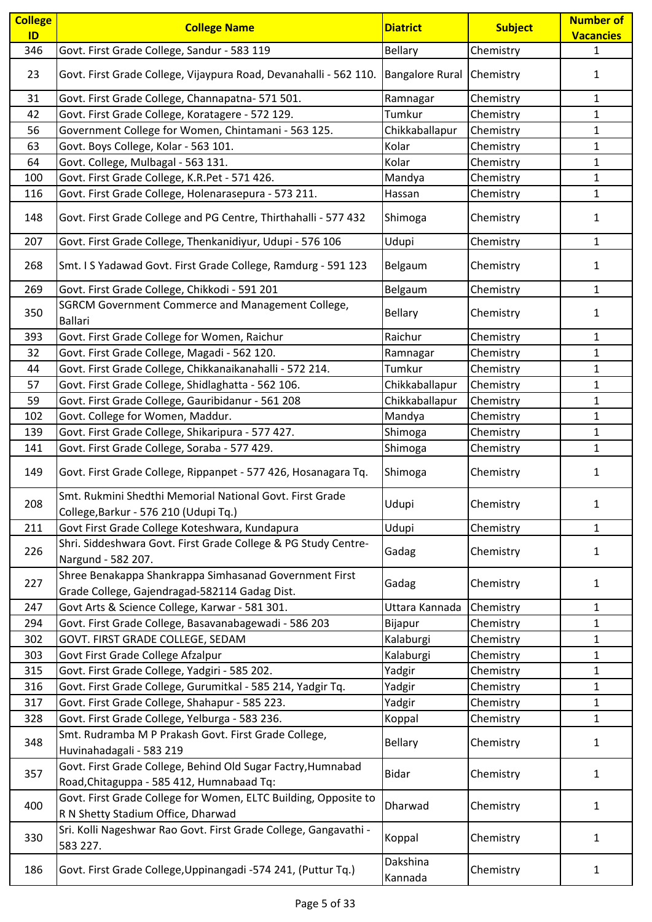| <b>College</b> | <b>College Name</b>                                                                                       | <b>Diatrict</b>        | <b>Subject</b> | <b>Number of</b> |
|----------------|-----------------------------------------------------------------------------------------------------------|------------------------|----------------|------------------|
| ID             |                                                                                                           |                        |                | <b>Vacancies</b> |
| 346            | Govt. First Grade College, Sandur - 583 119                                                               | <b>Bellary</b>         | Chemistry      | $\mathbf{1}$     |
| 23             | Govt. First Grade College, Vijaypura Road, Devanahalli - 562 110.                                         | <b>Bangalore Rural</b> | Chemistry      | 1                |
| 31             | Govt. First Grade College, Channapatna- 571 501.                                                          | Ramnagar               | Chemistry      | $\mathbf{1}$     |
| 42             | Govt. First Grade College, Koratagere - 572 129.                                                          | Tumkur                 | Chemistry      | 1                |
| 56             | Government College for Women, Chintamani - 563 125.                                                       | Chikkaballapur         | Chemistry      | 1                |
| 63             | Govt. Boys College, Kolar - 563 101.                                                                      | Kolar                  | Chemistry      | $\mathbf{1}$     |
| 64             | Govt. College, Mulbagal - 563 131.                                                                        | Kolar                  | Chemistry      | $\mathbf{1}$     |
| 100            | Govt. First Grade College, K.R.Pet - 571 426.                                                             | Mandya                 | Chemistry      | $\mathbf{1}$     |
| 116            | Govt. First Grade College, Holenarasepura - 573 211.                                                      | Hassan                 | Chemistry      | $\mathbf{1}$     |
| 148            | Govt. First Grade College and PG Centre, Thirthahalli - 577 432                                           | Shimoga                | Chemistry      | 1                |
| 207            | Govt. First Grade College, Thenkanidiyur, Udupi - 576 106                                                 | Udupi                  | Chemistry      | $\mathbf{1}$     |
| 268            | Smt. I S Yadawad Govt. First Grade College, Ramdurg - 591 123                                             | Belgaum                | Chemistry      | 1                |
| 269            | Govt. First Grade College, Chikkodi - 591 201                                                             | Belgaum                | Chemistry      | $\mathbf{1}$     |
|                | SGRCM Government Commerce and Management College,                                                         |                        |                |                  |
| 350            | <b>Ballari</b>                                                                                            | <b>Bellary</b>         | Chemistry      | 1                |
| 393            | Govt. First Grade College for Women, Raichur                                                              | Raichur                | Chemistry      | 1                |
| 32             | Govt. First Grade College, Magadi - 562 120.                                                              | Ramnagar               | Chemistry      | $\mathbf{1}$     |
| 44             | Govt. First Grade College, Chikkanaikanahalli - 572 214.                                                  | Tumkur                 | Chemistry      | $\mathbf{1}$     |
| 57             | Govt. First Grade College, Shidlaghatta - 562 106.                                                        | Chikkaballapur         | Chemistry      | 1                |
| 59             | Govt. First Grade College, Gauribidanur - 561 208                                                         | Chikkaballapur         | Chemistry      | $\mathbf{1}$     |
| 102            | Govt. College for Women, Maddur.                                                                          | Mandya                 | Chemistry      | $\mathbf{1}$     |
| 139            | Govt. First Grade College, Shikaripura - 577 427.                                                         | Shimoga                | Chemistry      | $\mathbf{1}$     |
| 141            | Govt. First Grade College, Soraba - 577 429.                                                              | Shimoga                | Chemistry      | $\mathbf{1}$     |
| 149            | Govt. First Grade College, Rippanpet - 577 426, Hosanagara Tq.                                            | Shimoga                | Chemistry      | 1                |
| 208            | Smt. Rukmini Shedthi Memorial National Govt. First Grade<br>College, Barkur - 576 210 (Udupi Tq.)         | Udupi                  | Chemistry      | 1                |
| 211            | Govt First Grade College Koteshwara, Kundapura                                                            | Udupi                  | Chemistry      | $\mathbf{1}$     |
|                | Shri. Siddeshwara Govt. First Grade College & PG Study Centre-                                            |                        |                |                  |
| 226            | Nargund - 582 207.                                                                                        | Gadag                  | Chemistry      | 1                |
| 227            | Shree Benakappa Shankrappa Simhasanad Government First<br>Grade College, Gajendragad-582114 Gadag Dist.   | Gadag                  | Chemistry      | 1                |
| 247            | Govt Arts & Science College, Karwar - 581 301.                                                            | Uttara Kannada         | Chemistry      | 1                |
| 294            | Govt. First Grade College, Basavanabagewadi - 586 203                                                     | Bijapur                | Chemistry      | $\mathbf{1}$     |
| 302            | GOVT. FIRST GRADE COLLEGE, SEDAM                                                                          | Kalaburgi              | Chemistry      | 1                |
| 303            | Govt First Grade College Afzalpur                                                                         | Kalaburgi              | Chemistry      | $\mathbf{1}$     |
| 315            | Govt. First Grade College, Yadgiri - 585 202.                                                             | Yadgir                 | Chemistry      | $\mathbf{1}$     |
| 316            | Govt. First Grade College, Gurumitkal - 585 214, Yadgir Tq.                                               | Yadgir                 | Chemistry      | $\mathbf{1}$     |
| 317            | Govt. First Grade College, Shahapur - 585 223.                                                            | Yadgir                 | Chemistry      | $\mathbf{1}$     |
| 328            | Govt. First Grade College, Yelburga - 583 236.                                                            | Koppal                 | Chemistry      | $\mathbf{1}$     |
| 348            | Smt. Rudramba M P Prakash Govt. First Grade College,<br>Huvinahadagali - 583 219                          | <b>Bellary</b>         | Chemistry      | 1                |
| 357            | Govt. First Grade College, Behind Old Sugar Factry, Humnabad<br>Road, Chitaguppa - 585 412, Humnabaad Tq: | <b>Bidar</b>           | Chemistry      | 1                |
| 400            | Govt. First Grade College for Women, ELTC Building, Opposite to<br>R N Shetty Stadium Office, Dharwad     | Dharwad                | Chemistry      | $\mathbf{1}$     |
| 330            | Sri. Kolli Nageshwar Rao Govt. First Grade College, Gangavathi -<br>583 227.                              | Koppal                 | Chemistry      | 1                |
| 186            | Govt. First Grade College, Uppinangadi -574 241, (Puttur Tq.)                                             | Dakshina<br>Kannada    | Chemistry      | 1                |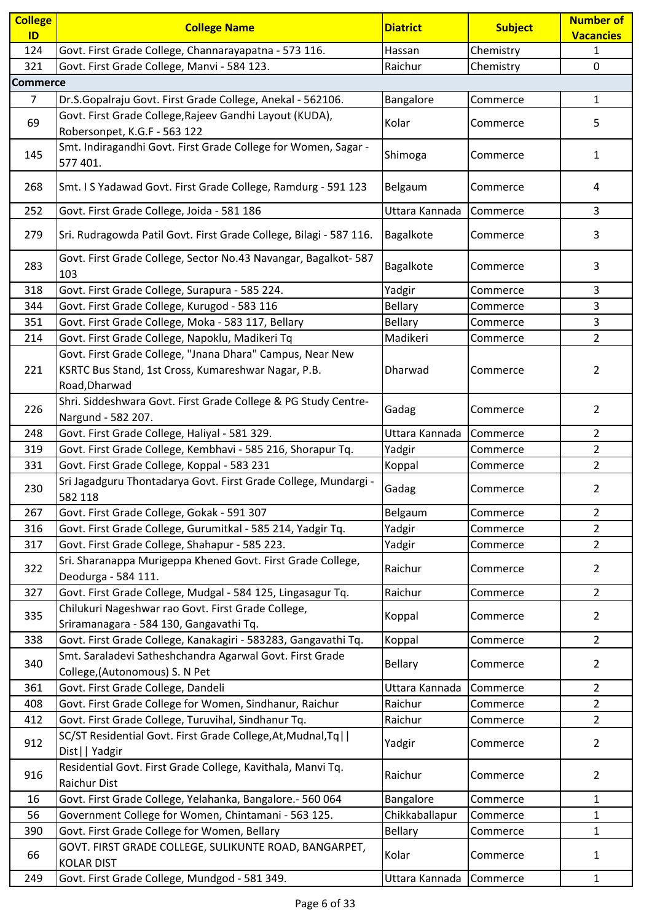| <b>College</b><br>ID | <b>College Name</b>                                                                                                               | <b>Diatrict</b> | <b>Subject</b> | Number of<br><b>Vacancies</b> |
|----------------------|-----------------------------------------------------------------------------------------------------------------------------------|-----------------|----------------|-------------------------------|
| 124                  | Govt. First Grade College, Channarayapatna - 573 116.                                                                             | Hassan          | Chemistry      | $\mathbf{1}$                  |
| 321                  | Govt. First Grade College, Manvi - 584 123.                                                                                       | Raichur         | Chemistry      | 0                             |
| <b>Commerce</b>      |                                                                                                                                   |                 |                |                               |
| 7                    | Dr.S.Gopalraju Govt. First Grade College, Anekal - 562106.                                                                        | Bangalore       | Commerce       | $\mathbf{1}$                  |
| 69                   | Govt. First Grade College, Rajeev Gandhi Layout (KUDA),                                                                           | Kolar           | Commerce       | 5                             |
|                      | Robersonpet, K.G.F - 563 122                                                                                                      |                 |                |                               |
| 145                  | Smt. Indiragandhi Govt. First Grade College for Women, Sagar -<br>577 401.                                                        | Shimoga         | Commerce       | $\mathbf{1}$                  |
| 268                  | Smt. I S Yadawad Govt. First Grade College, Ramdurg - 591 123                                                                     | Belgaum         | Commerce       | 4                             |
| 252                  | Govt. First Grade College, Joida - 581 186                                                                                        | Uttara Kannada  | Commerce       | 3                             |
| 279                  | Sri. Rudragowda Patil Govt. First Grade College, Bilagi - 587 116.                                                                | Bagalkote       | Commerce       | 3                             |
| 283                  | Govt. First Grade College, Sector No.43 Navangar, Bagalkot-587<br>103                                                             | Bagalkote       | Commerce       | 3                             |
| 318                  | Govt. First Grade College, Surapura - 585 224.                                                                                    | Yadgir          | Commerce       | 3                             |
| 344                  | Govt. First Grade College, Kurugod - 583 116                                                                                      | Bellary         | Commerce       | 3                             |
| 351                  | Govt. First Grade College, Moka - 583 117, Bellary                                                                                | Bellary         | Commerce       | $\overline{\mathbf{3}}$       |
| 214                  | Govt. First Grade College, Napoklu, Madikeri Tq                                                                                   | Madikeri        | Commerce       | $\overline{2}$                |
| 221                  | Govt. First Grade College, "Jnana Dhara" Campus, Near New<br>KSRTC Bus Stand, 1st Cross, Kumareshwar Nagar, P.B.<br>Road, Dharwad | Dharwad         | Commerce       | $\overline{2}$                |
| 226                  | Shri. Siddeshwara Govt. First Grade College & PG Study Centre-<br>Nargund - 582 207.                                              | Gadag           | Commerce       | $\overline{2}$                |
| 248                  | Govt. First Grade College, Haliyal - 581 329.                                                                                     | Uttara Kannada  | Commerce       | $\overline{2}$                |
| 319                  | Govt. First Grade College, Kembhavi - 585 216, Shorapur Tq.                                                                       | Yadgir          | Commerce       | 2                             |
| 331                  | Govt. First Grade College, Koppal - 583 231                                                                                       | Koppal          | Commerce       | $\overline{2}$                |
| 230                  | Sri Jagadguru Thontadarya Govt. First Grade College, Mundargi -<br>582 118                                                        | Gadag           | Commerce       | $\overline{2}$                |
| 267                  | Govt. First Grade College, Gokak - 591 307                                                                                        | Belgaum         | Commerce       | $\overline{2}$                |
| 316                  | Govt. First Grade College, Gurumitkal - 585 214, Yadgir Tq.                                                                       | Yadgir          | Commerce       | $\overline{2}$                |
| 317                  | Govt. First Grade College, Shahapur - 585 223.                                                                                    | Yadgir          | Commerce       | $\overline{2}$                |
| 322                  | Sri. Sharanappa Murigeppa Khened Govt. First Grade College,<br>Deodurga - 584 111.                                                | Raichur         | Commerce       | $\overline{2}$                |
| 327                  | Govt. First Grade College, Mudgal - 584 125, Lingasagur Tq.                                                                       | Raichur         | Commerce       | $\overline{2}$                |
| 335                  | Chilukuri Nageshwar rao Govt. First Grade College,<br>Sriramanagara - 584 130, Gangavathi Tq.                                     | Koppal          | Commerce       | $\overline{2}$                |
| 338                  | Govt. First Grade College, Kanakagiri - 583283, Gangavathi Tq.                                                                    | Koppal          | Commerce       | $\overline{2}$                |
| 340                  | Smt. Saraladevi Satheshchandra Agarwal Govt. First Grade<br>College, (Autonomous) S. N Pet                                        | <b>Bellary</b>  | Commerce       | $\overline{2}$                |
| 361                  | Govt. First Grade College, Dandeli                                                                                                | Uttara Kannada  | Commerce       | $\overline{2}$                |
| 408                  | Govt. First Grade College for Women, Sindhanur, Raichur                                                                           | Raichur         | Commerce       | $\overline{2}$                |
| 412                  | Govt. First Grade College, Turuvihal, Sindhanur Tq.                                                                               | Raichur         | Commerce       | $\overline{2}$                |
| 912                  | SC/ST Residential Govt. First Grade College, At, Mudnal, Tq <br>Dist     Yadgir                                                   | Yadgir          | Commerce       | $\overline{2}$                |
| 916                  | Residential Govt. First Grade College, Kavithala, Manvi Tq.<br><b>Raichur Dist</b>                                                | Raichur         | Commerce       | $\overline{2}$                |
| 16                   | Govt. First Grade College, Yelahanka, Bangalore.- 560 064                                                                         | Bangalore       | Commerce       | $\mathbf{1}$                  |
| 56                   | Government College for Women, Chintamani - 563 125.                                                                               | Chikkaballapur  | Commerce       | 1                             |
| 390                  | Govt. First Grade College for Women, Bellary                                                                                      | Bellary         | Commerce       | $\mathbf{1}$                  |
| 66                   | GOVT. FIRST GRADE COLLEGE, SULIKUNTE ROAD, BANGARPET,<br><b>KOLAR DIST</b>                                                        | Kolar           | Commerce       | $\mathbf{1}$                  |
| 249                  | Govt. First Grade College, Mundgod - 581 349.                                                                                     | Uttara Kannada  | Commerce       | $\mathbf{1}$                  |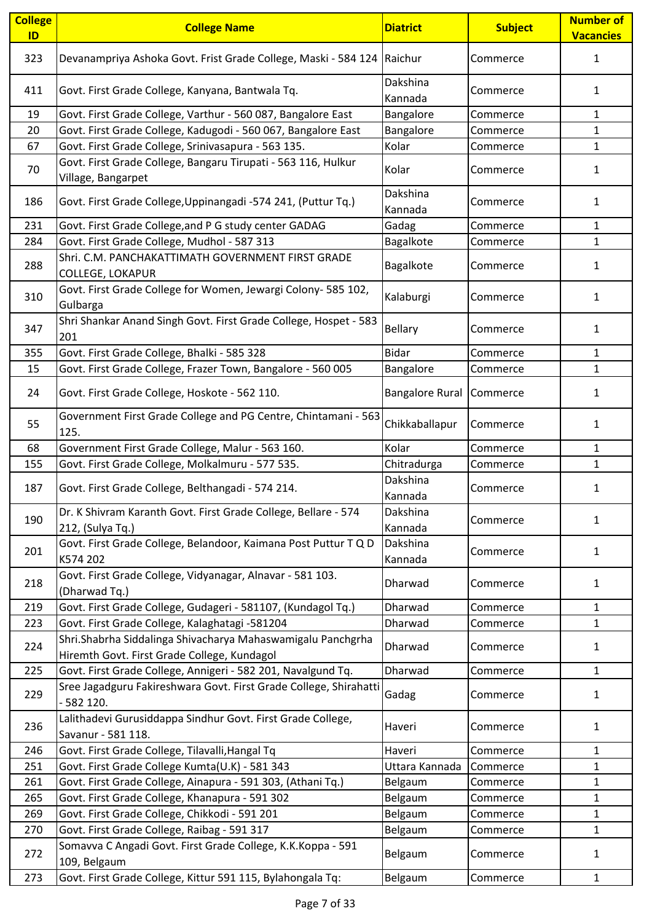| <b>College</b><br>ID | <b>College Name</b>                                                                                        | <b>Diatrict</b>        | <b>Subject</b> | <b>Number of</b><br><b>Vacancies</b> |
|----------------------|------------------------------------------------------------------------------------------------------------|------------------------|----------------|--------------------------------------|
| 323                  | Devanampriya Ashoka Govt. Frist Grade College, Maski - 584 124   Raichur                                   |                        | Commerce       | 1                                    |
| 411                  | Govt. First Grade College, Kanyana, Bantwala Tq.                                                           | Dakshina<br>Kannada    | Commerce       | $\mathbf{1}$                         |
| 19                   | Govt. First Grade College, Varthur - 560 087, Bangalore East                                               | Bangalore              | Commerce       | $\mathbf{1}$                         |
| 20                   | Govt. First Grade College, Kadugodi - 560 067, Bangalore East                                              | Bangalore              | Commerce       | $\mathbf{1}$                         |
| 67                   | Govt. First Grade College, Srinivasapura - 563 135.                                                        | Kolar                  | Commerce       | 1                                    |
| 70                   | Govt. First Grade College, Bangaru Tirupati - 563 116, Hulkur<br>Village, Bangarpet                        | Kolar                  | Commerce       | $\mathbf{1}$                         |
| 186                  | Govt. First Grade College, Uppinangadi -574 241, (Puttur Tq.)                                              | Dakshina<br>Kannada    | Commerce       | 1                                    |
| 231                  | Govt. First Grade College, and P G study center GADAG                                                      | Gadag                  | Commerce       | 1                                    |
| 284                  | Govt. First Grade College, Mudhol - 587 313                                                                | Bagalkote              | Commerce       | $\mathbf{1}$                         |
| 288                  | Shri. C.M. PANCHAKATTIMATH GOVERNMENT FIRST GRADE<br>COLLEGE, LOKAPUR                                      | Bagalkote              | Commerce       | 1                                    |
| 310                  | Govt. First Grade College for Women, Jewargi Colony- 585 102,<br>Gulbarga                                  | Kalaburgi              | Commerce       | 1                                    |
| 347                  | Shri Shankar Anand Singh Govt. First Grade College, Hospet - 583<br>201                                    | <b>Bellary</b>         | Commerce       | 1                                    |
| 355                  | Govt. First Grade College, Bhalki - 585 328                                                                | <b>Bidar</b>           | Commerce       | $\mathbf{1}$                         |
| 15                   | Govt. First Grade College, Frazer Town, Bangalore - 560 005                                                | Bangalore              | Commerce       | $\mathbf{1}$                         |
| 24                   | Govt. First Grade College, Hoskote - 562 110.                                                              | <b>Bangalore Rural</b> | Commerce       | $\mathbf{1}$                         |
| 55                   | Government First Grade College and PG Centre, Chintamani - 563<br>125.                                     | Chikkaballapur         | Commerce       | 1                                    |
| 68                   | Government First Grade College, Malur - 563 160.                                                           | Kolar                  | Commerce       | $\mathbf{1}$                         |
| 155                  | Govt. First Grade College, Molkalmuru - 577 535.                                                           | Chitradurga            | Commerce       | $\mathbf{1}$                         |
| 187                  | Govt. First Grade College, Belthangadi - 574 214.                                                          | Dakshina<br>Kannada    | Commerce       | 1                                    |
| 190                  | Dr. K Shivram Karanth Govt. First Grade College, Bellare - 574<br>212, (Sulya Tq.)                         | Dakshina<br>Kannada    | Commerce       | $\mathbf{1}$                         |
| 201                  | Govt. First Grade College, Belandoor, Kaimana Post Puttur T Q D<br>K574 202                                | Dakshina<br>Kannada    | Commerce       | 1                                    |
| 218                  | Govt. First Grade College, Vidyanagar, Alnavar - 581 103.<br>(Dharwad Tq.)                                 | Dharwad                | Commerce       | $\mathbf{1}$                         |
| 219                  | Govt. First Grade College, Gudageri - 581107, (Kundagol Tq.)                                               | Dharwad                | Commerce       | 1                                    |
| 223                  | Govt. First Grade College, Kalaghatagi -581204                                                             | Dharwad                | Commerce       | $\mathbf{1}$                         |
| 224                  | Shri.Shabrha Siddalinga Shivacharya Mahaswamigalu Panchgrha<br>Hiremth Govt. First Grade College, Kundagol | Dharwad                | Commerce       | $\mathbf{1}$                         |
| 225                  | Govt. First Grade College, Annigeri - 582 201, Navalgund Tq.                                               | Dharwad                | Commerce       | $\mathbf{1}$                         |
| 229                  | Sree Jagadguru Fakireshwara Govt. First Grade College, Shirahatti<br>- 582 120.                            | Gadag                  | Commerce       | 1                                    |
| 236                  | Lalithadevi Gurusiddappa Sindhur Govt. First Grade College,<br>Savanur - 581 118.                          | Haveri                 | Commerce       | $\mathbf{1}$                         |
| 246                  | Govt. First Grade College, Tilavalli, Hangal Tq                                                            | Haveri                 | Commerce       | 1                                    |
| 251                  | Govt. First Grade College Kumta(U.K) - 581 343                                                             | Uttara Kannada         | Commerce       | $\mathbf{1}$                         |
| 261                  | Govt. First Grade College, Ainapura - 591 303, (Athani Tq.)                                                | Belgaum                | Commerce       | $\mathbf 1$                          |
| 265                  | Govt. First Grade College, Khanapura - 591 302                                                             | Belgaum                | Commerce       | 1                                    |
| 269                  | Govt. First Grade College, Chikkodi - 591 201                                                              | Belgaum                | Commerce       | $\mathbf{1}$                         |
| 270                  | Govt. First Grade College, Raibag - 591 317                                                                | Belgaum                | Commerce       | 1                                    |
| 272                  | Somavva C Angadi Govt. First Grade College, K.K.Koppa - 591<br>109, Belgaum                                | Belgaum                | Commerce       | $\mathbf{1}$                         |
| 273                  | Govt. First Grade College, Kittur 591 115, Bylahongala Tq:                                                 | Belgaum                | Commerce       | $\mathbf{1}$                         |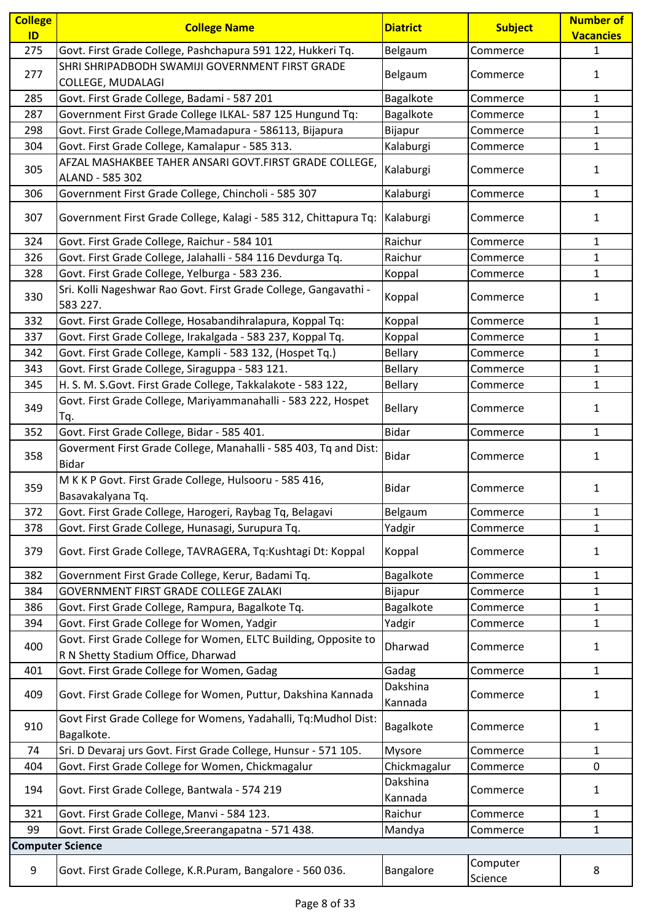| <b>College</b>          | <b>College Name</b>                                                                                   | <b>Diatrict</b>      | <b>Subject</b>      | <b>Number of</b> |
|-------------------------|-------------------------------------------------------------------------------------------------------|----------------------|---------------------|------------------|
| ID                      |                                                                                                       |                      |                     | <b>Vacancies</b> |
| 275                     | Govt. First Grade College, Pashchapura 591 122, Hukkeri Tq.                                           | Belgaum              | Commerce            | $\mathbf{1}$     |
|                         | SHRI SHRIPADBODH SWAMIJI GOVERNMENT FIRST GRADE                                                       |                      |                     |                  |
| 277                     | COLLEGE, MUDALAGI                                                                                     | Belgaum              | Commerce            | 1                |
| 285                     | Govt. First Grade College, Badami - 587 201                                                           | Bagalkote            | Commerce            | $\mathbf{1}$     |
| 287                     | Government First Grade College ILKAL- 587 125 Hungund Tq:                                             | Bagalkote            | Commerce            | $\mathbf{1}$     |
| 298                     | Govt. First Grade College, Mamadapura - 586113, Bijapura                                              | Bijapur              | Commerce            | $\mathbf{1}$     |
| 304                     | Govt. First Grade College, Kamalapur - 585 313.                                                       | Kalaburgi            | Commerce            | $\mathbf{1}$     |
| 305                     | AFZAL MASHAKBEE TAHER ANSARI GOVT.FIRST GRADE COLLEGE,<br>ALAND - 585 302                             | Kalaburgi            | Commerce            | $\mathbf{1}$     |
| 306                     | Government First Grade College, Chincholi - 585 307                                                   | Kalaburgi            | Commerce            | $\mathbf{1}$     |
| 307                     | Government First Grade College, Kalagi - 585 312, Chittapura Tq:                                      | Kalaburgi            | Commerce            | 1                |
| 324                     | Govt. First Grade College, Raichur - 584 101                                                          | Raichur              | Commerce            | $\mathbf{1}$     |
| 326                     | Govt. First Grade College, Jalahalli - 584 116 Devdurga Tq.                                           | Raichur              | Commerce            | $\mathbf{1}$     |
| 328                     | Govt. First Grade College, Yelburga - 583 236.                                                        | Koppal               | Commerce            | $\mathbf{1}$     |
| 330                     | Sri. Kolli Nageshwar Rao Govt. First Grade College, Gangavathi -<br>583 227.                          | Koppal               | Commerce            | 1                |
| 332                     | Govt. First Grade College, Hosabandihralapura, Koppal Tq:                                             | Koppal               | Commerce            | $\mathbf{1}$     |
| 337                     | Govt. First Grade College, Irakalgada - 583 237, Koppal Tq.                                           | Koppal               | Commerce            | $\mathbf{1}$     |
| 342                     | Govt. First Grade College, Kampli - 583 132, (Hospet Tq.)                                             | <b>Bellary</b>       | Commerce            | $\mathbf{1}$     |
| 343                     | Govt. First Grade College, Siraguppa - 583 121.                                                       | <b>Bellary</b>       | Commerce            | $\mathbf{1}$     |
| 345                     | H. S. M. S.Govt. First Grade College, Takkalakote - 583 122,                                          | <b>Bellary</b>       | Commerce            | $\mathbf{1}$     |
| 349                     | Govt. First Grade College, Mariyammanahalli - 583 222, Hospet<br>Tq.                                  | <b>Bellary</b>       | Commerce            | 1                |
| 352                     | Govt. First Grade College, Bidar - 585 401.                                                           | <b>Bidar</b>         | Commerce            | $\mathbf{1}$     |
|                         | Goverment First Grade College, Manahalli - 585 403, Tq and Dist:                                      |                      |                     |                  |
| 358                     | <b>Bidar</b>                                                                                          | <b>Bidar</b>         | Commerce            | 1                |
| 359                     | M K K P Govt. First Grade College, Hulsooru - 585 416,<br>Basavakalyana Tq.                           | <b>Bidar</b>         | Commerce            | 1                |
| 372                     | Govt. First Grade College, Harogeri, Raybag Tq, Belagavi                                              | Belgaum              | Commerce            | $\mathbf{1}$     |
| 378                     | Govt. First Grade College, Hunasagi, Surupura Tq.                                                     | Yadgir               | Commerce            | $\mathbf{1}$     |
| 379                     | Govt. First Grade College, TAVRAGERA, Tq:Kushtagi Dt: Koppal                                          | Koppal               | Commerce            | 1                |
| 382                     | Government First Grade College, Kerur, Badami Tq.                                                     | Bagalkote            | Commerce            | $\mathbf{1}$     |
| 384                     | GOVERNMENT FIRST GRADE COLLEGE ZALAKI                                                                 | Bijapur              | Commerce            | $\mathbf{1}$     |
| 386                     | Govt. First Grade College, Rampura, Bagalkote Tq.                                                     | Bagalkote            | Commerce            | $\mathbf{1}$     |
| 394                     | Govt. First Grade College for Women, Yadgir                                                           | Yadgir               | Commerce            | $\mathbf{1}$     |
| 400                     | Govt. First Grade College for Women, ELTC Building, Opposite to<br>R N Shetty Stadium Office, Dharwad | Dharwad              | Commerce            | $\mathbf{1}$     |
| 401                     | Govt. First Grade College for Women, Gadag                                                            | Gadag                | Commerce            | $\mathbf{1}$     |
| 409                     | Govt. First Grade College for Women, Puttur, Dakshina Kannada                                         | Dakshina             | Commerce            | $\mathbf{1}$     |
| 910                     | Govt First Grade College for Womens, Yadahalli, Tq:Mudhol Dist:                                       | Kannada<br>Bagalkote | Commerce            | 1                |
|                         | Bagalkote.                                                                                            |                      |                     |                  |
| 74                      | Sri. D Devaraj urs Govt. First Grade College, Hunsur - 571 105.                                       | Mysore               | Commerce            | $\mathbf{1}$     |
| 404                     | Govt. First Grade College for Women, Chickmagalur                                                     | Chickmagalur         | Commerce            | 0                |
| 194                     | Govt. First Grade College, Bantwala - 574 219                                                         | Dakshina<br>Kannada  | Commerce            | $\mathbf{1}$     |
| 321                     | Govt. First Grade College, Manvi - 584 123.                                                           | Raichur              | Commerce            | $\mathbf{1}$     |
| 99                      | Govt. First Grade College, Sreerangapatna - 571 438.                                                  | Mandya               | Commerce            | $\mathbf{1}$     |
| <b>Computer Science</b> |                                                                                                       |                      |                     |                  |
| 9                       | Govt. First Grade College, K.R.Puram, Bangalore - 560 036.                                            | Bangalore            | Computer<br>Science | 8                |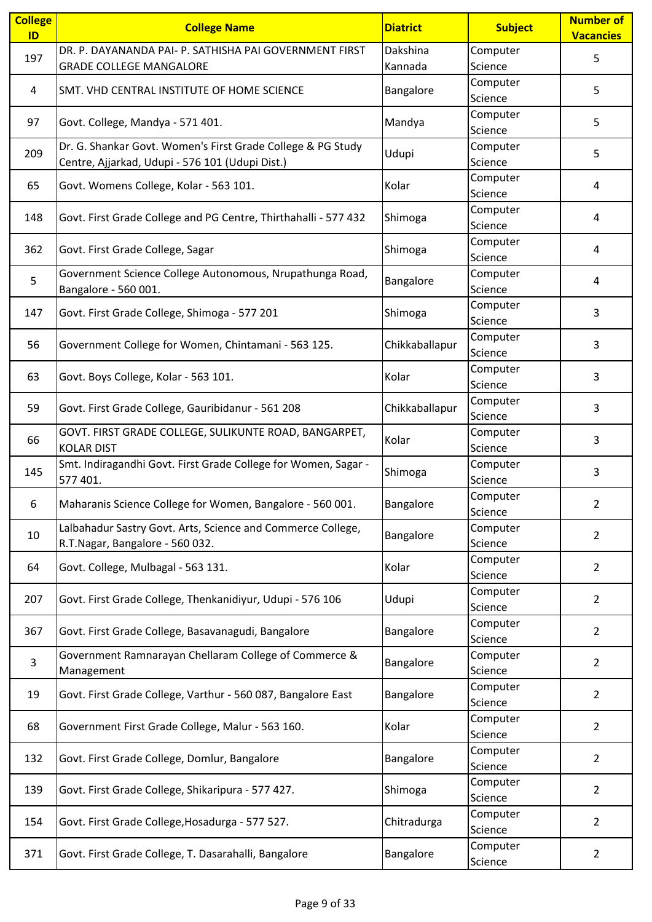| <b>College</b><br>ID | <b>College Name</b>                                             | <b>Diatrict</b> | <b>Subject</b> | <b>Number of</b><br><b>Vacancies</b> |
|----------------------|-----------------------------------------------------------------|-----------------|----------------|--------------------------------------|
|                      | DR. P. DAYANANDA PAI- P. SATHISHA PAI GOVERNMENT FIRST          | Dakshina        | Computer       |                                      |
| 197                  | <b>GRADE COLLEGE MANGALORE</b>                                  | Kannada         | Science        | 5                                    |
|                      |                                                                 |                 | Computer       |                                      |
| 4                    | SMT. VHD CENTRAL INSTITUTE OF HOME SCIENCE                      | Bangalore       | Science        | 5                                    |
|                      |                                                                 |                 | Computer       |                                      |
| 97                   | Govt. College, Mandya - 571 401.                                | Mandya          | Science        | 5                                    |
|                      | Dr. G. Shankar Govt. Women's First Grade College & PG Study     |                 | Computer       |                                      |
| 209                  | Centre, Ajjarkad, Udupi - 576 101 (Udupi Dist.)                 | Udupi           | Science        | 5                                    |
|                      |                                                                 |                 | Computer       |                                      |
| 65                   | Govt. Womens College, Kolar - 563 101.                          | Kolar           | Science        | 4                                    |
|                      |                                                                 |                 | Computer       |                                      |
| 148                  | Govt. First Grade College and PG Centre, Thirthahalli - 577 432 | Shimoga         | Science        | 4                                    |
|                      |                                                                 |                 | Computer       |                                      |
| 362                  | Govt. First Grade College, Sagar                                | Shimoga         | Science        | 4                                    |
|                      | Government Science College Autonomous, Nrupathunga Road,        |                 | Computer       |                                      |
| 5                    | Bangalore - 560 001.                                            | Bangalore       | Science        | 4                                    |
|                      |                                                                 |                 | Computer       |                                      |
| 147                  | Govt. First Grade College, Shimoga - 577 201                    | Shimoga         | Science        | 3                                    |
|                      |                                                                 |                 | Computer       |                                      |
| 56                   | Government College for Women, Chintamani - 563 125.             | Chikkaballapur  | Science        | 3                                    |
|                      |                                                                 |                 | Computer       |                                      |
| 63                   | Govt. Boys College, Kolar - 563 101.                            | Kolar           | Science        | 3                                    |
|                      |                                                                 |                 | Computer       |                                      |
| 59                   | Govt. First Grade College, Gauribidanur - 561 208               | Chikkaballapur  | Science        | 3                                    |
|                      | GOVT. FIRST GRADE COLLEGE, SULIKUNTE ROAD, BANGARPET,           |                 | Computer       |                                      |
| 66                   | <b>KOLAR DIST</b>                                               | Kolar           | Science        | 3                                    |
|                      | Smt. Indiragandhi Govt. First Grade College for Women, Sagar -  |                 | Computer       |                                      |
| 145                  | 577 401.                                                        | Shimoga         | Science        | 3                                    |
|                      |                                                                 |                 | Computer       |                                      |
| 6.                   | Maharanis Science College for Women, Bangalore - 560 001.       | Bangalore       | Science        | 2                                    |
|                      | Lalbahadur Sastry Govt. Arts, Science and Commerce College,     |                 | Computer       |                                      |
| 10                   | R.T.Nagar, Bangalore - 560 032.                                 | Bangalore       | Science        | 2                                    |
|                      |                                                                 |                 | Computer       |                                      |
| 64                   | Govt. College, Mulbagal - 563 131.                              | Kolar           | Science        | $\overline{2}$                       |
| 207                  | Govt. First Grade College, Thenkanidiyur, Udupi - 576 106       | Udupi           | Computer       | 2                                    |
|                      |                                                                 |                 | Science        |                                      |
| 367                  | Govt. First Grade College, Basavanagudi, Bangalore              | Bangalore       | Computer       | 2                                    |
|                      |                                                                 |                 | Science        |                                      |
| 3                    | Government Ramnarayan Chellaram College of Commerce &           | Bangalore       | Computer       | $\overline{2}$                       |
|                      | Management                                                      |                 | Science        |                                      |
| 19                   | Govt. First Grade College, Varthur - 560 087, Bangalore East    | Bangalore       | Computer       | 2                                    |
|                      |                                                                 |                 | Science        |                                      |
| 68                   | Government First Grade College, Malur - 563 160.                | Kolar           | Computer       | 2                                    |
|                      |                                                                 |                 | Science        |                                      |
| 132                  | Govt. First Grade College, Domlur, Bangalore                    | Bangalore       | Computer       | 2                                    |
|                      |                                                                 |                 | Science        |                                      |
| 139                  | Govt. First Grade College, Shikaripura - 577 427.               | Shimoga         | Computer       | 2                                    |
|                      |                                                                 |                 | Science        |                                      |
| 154                  | Govt. First Grade College, Hosadurga - 577 527.                 | Chitradurga     | Computer       | 2                                    |
|                      |                                                                 |                 | Science        |                                      |
| 371                  | Govt. First Grade College, T. Dasarahalli, Bangalore            | Bangalore       | Computer       | 2                                    |
|                      |                                                                 |                 | Science        |                                      |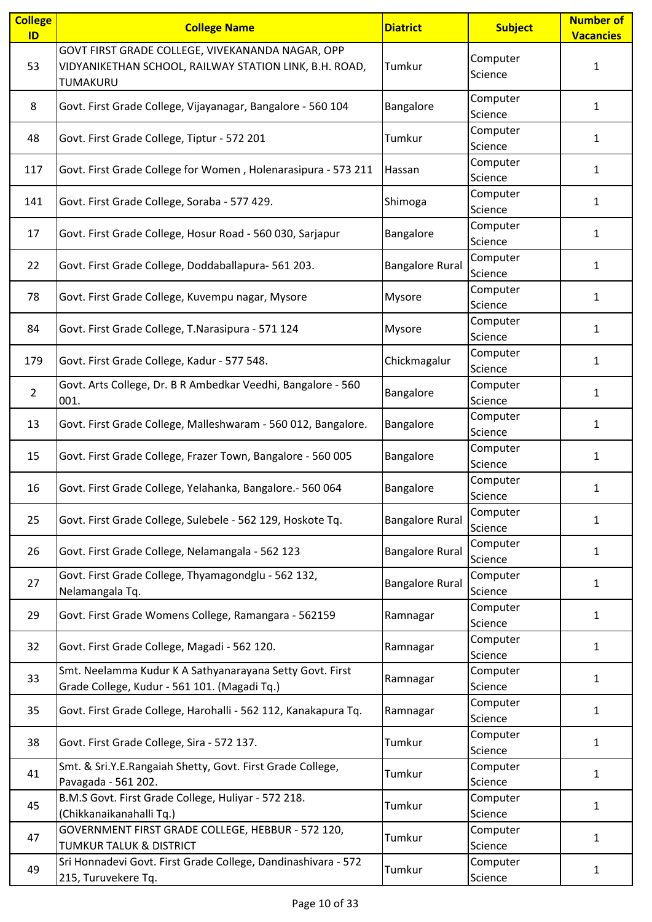| <b>College</b> | <b>College Name</b>                                                                                      | <b>Diatrict</b>        | <b>Subject</b>      | <b>Number of</b> |
|----------------|----------------------------------------------------------------------------------------------------------|------------------------|---------------------|------------------|
| ID             | GOVT FIRST GRADE COLLEGE, VIVEKANANDA NAGAR, OPP                                                         |                        |                     | <b>Vacancies</b> |
| 53             | VIDYANIKETHAN SCHOOL, RAILWAY STATION LINK, B.H. ROAD,<br>TUMAKURU                                       | Tumkur                 | Computer<br>Science | 1                |
| 8              | Govt. First Grade College, Vijayanagar, Bangalore - 560 104                                              | Bangalore              | Computer<br>Science | $\mathbf{1}$     |
| 48             | Govt. First Grade College, Tiptur - 572 201                                                              | Tumkur                 | Computer<br>Science | 1                |
| 117            | Govt. First Grade College for Women, Holenarasipura - 573 211                                            | Hassan                 | Computer<br>Science | $\mathbf{1}$     |
| 141            | Govt. First Grade College, Soraba - 577 429.                                                             | Shimoga                | Computer<br>Science | $\mathbf{1}$     |
| 17             | Govt. First Grade College, Hosur Road - 560 030, Sarjapur                                                | Bangalore              | Computer<br>Science | 1                |
| 22             | Govt. First Grade College, Doddaballapura- 561 203.                                                      | <b>Bangalore Rural</b> | Computer<br>Science | 1                |
| 78             | Govt. First Grade College, Kuvempu nagar, Mysore                                                         | Mysore                 | Computer<br>Science | 1                |
| 84             | Govt. First Grade College, T.Narasipura - 571 124                                                        | Mysore                 | Computer<br>Science | 1                |
| 179            | Govt. First Grade College, Kadur - 577 548.                                                              | Chickmagalur           | Computer<br>Science | $\mathbf{1}$     |
| $\overline{2}$ | Govt. Arts College, Dr. B R Ambedkar Veedhi, Bangalore - 560<br>001.                                     | Bangalore              | Computer<br>Science | $\mathbf{1}$     |
| 13             | Govt. First Grade College, Malleshwaram - 560 012, Bangalore.                                            | Bangalore              | Computer<br>Science | 1                |
| 15             | Govt. First Grade College, Frazer Town, Bangalore - 560 005                                              | Bangalore              | Computer<br>Science | 1                |
| 16             | Govt. First Grade College, Yelahanka, Bangalore.- 560 064                                                | Bangalore              | Computer<br>Science | 1                |
| 25             | Govt. First Grade College, Sulebele - 562 129, Hoskote Tq.                                               | <b>Bangalore Rural</b> | Computer<br>Science | $\mathbf{1}$     |
| 26             | Govt. First Grade College, Nelamangala - 562 123                                                         | <b>Bangalore Rural</b> | Computer<br>Science | $\mathbf{1}$     |
| 27             | Govt. First Grade College, Thyamagondglu - 562 132,<br>Nelamangala Tq.                                   | <b>Bangalore Rural</b> | Computer<br>Science | $\mathbf{1}$     |
| 29             | Govt. First Grade Womens College, Ramangara - 562159                                                     | Ramnagar               | Computer<br>Science | 1                |
| 32             | Govt. First Grade College, Magadi - 562 120.                                                             | Ramnagar               | Computer<br>Science | 1                |
| 33             | Smt. Neelamma Kudur K A Sathyanarayana Setty Govt. First<br>Grade College, Kudur - 561 101. (Magadi Tq.) | Ramnagar               | Computer<br>Science | 1                |
| 35             | Govt. First Grade College, Harohalli - 562 112, Kanakapura Tq.                                           | Ramnagar               | Computer<br>Science | 1                |
| 38             | Govt. First Grade College, Sira - 572 137.                                                               | Tumkur                 | Computer<br>Science | 1                |
| 41             | Smt. & Sri.Y.E.Rangaiah Shetty, Govt. First Grade College,<br>Pavagada - 561 202.                        | Tumkur                 | Computer<br>Science | $\mathbf{1}$     |
| 45             | B.M.S Govt. First Grade College, Huliyar - 572 218.<br>(Chikkanaikanahalli Tq.)                          | Tumkur                 | Computer<br>Science | 1                |
| 47             | GOVERNMENT FIRST GRADE COLLEGE, HEBBUR - 572 120,<br><b>TUMKUR TALUK &amp; DISTRICT</b>                  | Tumkur                 | Computer<br>Science | 1                |
| 49             | Sri Honnadevi Govt. First Grade College, Dandinashivara - 572<br>215, Turuvekere Tq.                     | Tumkur                 | Computer<br>Science | 1                |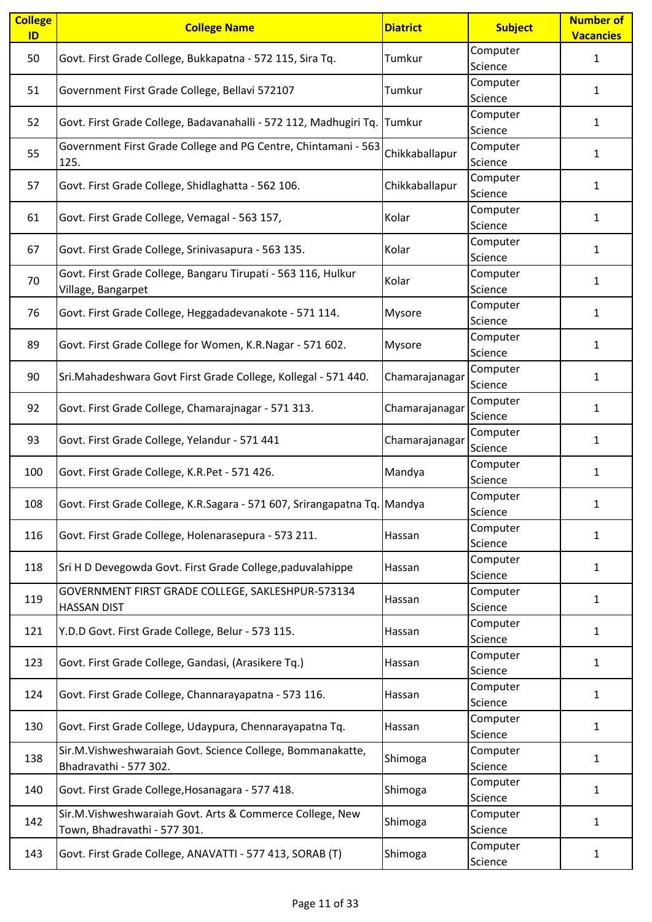| <b>College</b><br>ID | <b>College Name</b>                                                       | <b>Diatrict</b> | <b>Subject</b>      | <b>Number of</b><br><b>Vacancies</b> |
|----------------------|---------------------------------------------------------------------------|-----------------|---------------------|--------------------------------------|
| 50                   | Govt. First Grade College, Bukkapatna - 572 115, Sira Tq.                 | Tumkur          | Computer            | $\mathbf{1}$                         |
|                      |                                                                           |                 | Science             |                                      |
| 51                   | Government First Grade College, Bellavi 572107                            | Tumkur          | Computer            | $\mathbf{1}$                         |
|                      |                                                                           |                 | Science             |                                      |
| 52                   | Govt. First Grade College, Badavanahalli - 572 112, Madhugiri Tq.         | Tumkur          | Computer            | 1                                    |
|                      |                                                                           |                 | Science             |                                      |
| 55                   | Government First Grade College and PG Centre, Chintamani - 563            | Chikkaballapur  | Computer            | 1                                    |
|                      | 125.                                                                      |                 | Science             |                                      |
| 57                   | Govt. First Grade College, Shidlaghatta - 562 106.                        | Chikkaballapur  | Computer<br>Science | 1                                    |
|                      |                                                                           |                 | Computer            |                                      |
| 61                   | Govt. First Grade College, Vemagal - 563 157,                             | Kolar           | Science             | 1                                    |
|                      |                                                                           |                 | Computer            |                                      |
| 67                   | Govt. First Grade College, Srinivasapura - 563 135.                       | Kolar           | Science             | $\mathbf{1}$                         |
|                      | Govt. First Grade College, Bangaru Tirupati - 563 116, Hulkur             |                 | Computer            |                                      |
| 70                   | Village, Bangarpet                                                        | Kolar           | Science             | $\mathbf{1}$                         |
|                      |                                                                           |                 | Computer            |                                      |
| 76                   | Govt. First Grade College, Heggadadevanakote - 571 114.                   | Mysore          | Science             | $\mathbf{1}$                         |
|                      |                                                                           |                 | Computer            |                                      |
| 89                   | Govt. First Grade College for Women, K.R.Nagar - 571 602.                 | Mysore          | Science             | 1                                    |
| 90                   | Sri.Mahadeshwara Govt First Grade College, Kollegal - 571 440.            | Chamarajanagar  | Computer            | 1                                    |
|                      |                                                                           |                 | Science             |                                      |
| 92                   | Govt. First Grade College, Chamarajnagar - 571 313.                       | Chamarajanagar  | Computer            | $\mathbf{1}$                         |
|                      |                                                                           |                 | Science             |                                      |
| 93                   | Govt. First Grade College, Yelandur - 571 441                             | Chamarajanagar  | Computer            | $\mathbf{1}$                         |
|                      |                                                                           |                 | Science<br>Computer |                                      |
| 100                  | Govt. First Grade College, K.R.Pet - 571 426.                             | Mandya          | Science             | $\mathbf{1}$                         |
|                      |                                                                           |                 | Computer            |                                      |
| 108                  | Govt. First Grade College, K.R.Sagara - 571 607, Srirangapatna Tq. Mandya |                 | Science             |                                      |
|                      |                                                                           |                 | Computer            |                                      |
| 116                  | Govt. First Grade College, Holenarasepura - 573 211.                      | Hassan          | Science             | $\mathbf{1}$                         |
| 118                  | Sri H D Devegowda Govt. First Grade College, paduvalahippe                | Hassan          | Computer            | $\mathbf{1}$                         |
|                      |                                                                           |                 | Science             |                                      |
| 119                  | GOVERNMENT FIRST GRADE COLLEGE, SAKLESHPUR-573134                         | Hassan          | Computer            | 1                                    |
|                      | <b>HASSAN DIST</b>                                                        |                 | Science             |                                      |
| 121                  | Y.D.D Govt. First Grade College, Belur - 573 115.                         | Hassan          | Computer            | $\mathbf{1}$                         |
|                      |                                                                           |                 | Science<br>Computer |                                      |
| 123                  | Govt. First Grade College, Gandasi, (Arasikere Tq.)                       | Hassan          | Science             | $\mathbf{1}$                         |
|                      |                                                                           |                 | Computer            |                                      |
| 124                  | Govt. First Grade College, Channarayapatna - 573 116.                     | Hassan          | Science             | $\mathbf{1}$                         |
|                      |                                                                           |                 | Computer            |                                      |
| 130                  | Govt. First Grade College, Udaypura, Chennarayapatna Tq.                  | Hassan          | Science             | $\mathbf{1}$                         |
| 138                  | Sir.M.Vishweshwaraiah Govt. Science College, Bommanakatte,                | Shimoga         | Computer            | 1                                    |
|                      | Bhadravathi - 577 302.                                                    |                 | Science             |                                      |
| 140                  | Govt. First Grade College, Hosanagara - 577 418.                          | Shimoga         | Computer            | $\mathbf{1}$                         |
|                      |                                                                           |                 | Science             |                                      |
| 142                  | Sir.M.Vishweshwaraiah Govt. Arts & Commerce College, New                  | Shimoga         | Computer            | $\mathbf{1}$                         |
|                      | Town, Bhadravathi - 577 301.                                              |                 | Science             |                                      |
| 143                  | Govt. First Grade College, ANAVATTI - 577 413, SORAB (T)                  | Shimoga         | Computer<br>Science | 1                                    |
|                      |                                                                           |                 |                     |                                      |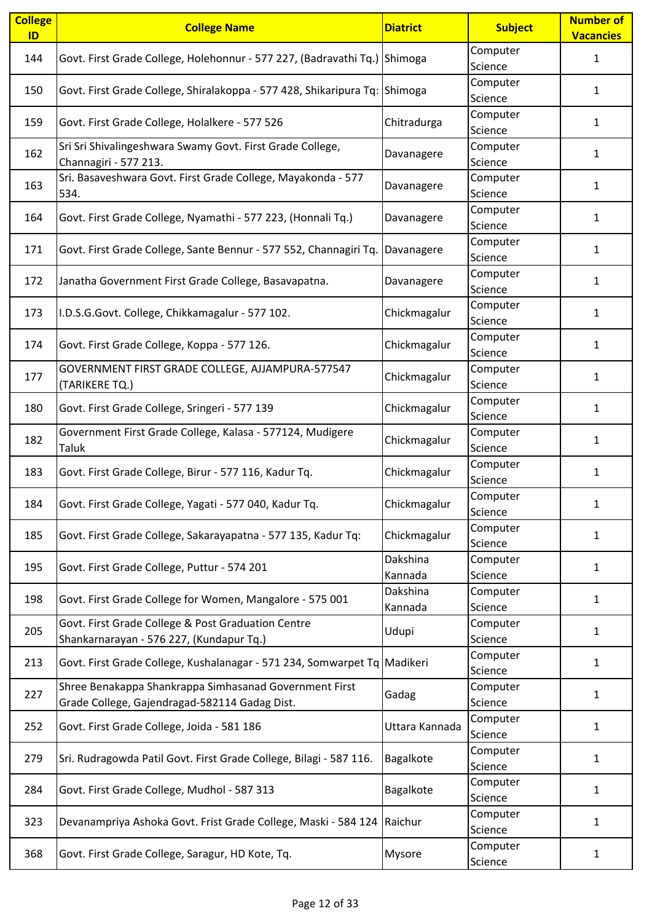| <b>College</b><br>ID | <b>College Name</b>                                                        | <b>Diatrict</b> | <b>Subject</b> | <b>Number of</b><br><b>Vacancies</b> |
|----------------------|----------------------------------------------------------------------------|-----------------|----------------|--------------------------------------|
|                      |                                                                            |                 | Computer       |                                      |
| 144                  | Govt. First Grade College, Holehonnur - 577 227, (Badravathi Tq.) Shimoga  |                 | Science        | $\mathbf{1}$                         |
|                      |                                                                            |                 | Computer       |                                      |
| 150                  | Govt. First Grade College, Shiralakoppa - 577 428, Shikaripura Tq: Shimoga |                 | Science        | 1                                    |
|                      |                                                                            |                 | Computer       |                                      |
| 159                  | Govt. First Grade College, Holalkere - 577 526                             | Chitradurga     | Science        | 1                                    |
|                      | Sri Sri Shivalingeshwara Swamy Govt. First Grade College,                  |                 | Computer       |                                      |
| 162                  | Channagiri - 577 213.                                                      | Davanagere      | Science        | $\mathbf{1}$                         |
|                      | Sri. Basaveshwara Govt. First Grade College, Mayakonda - 577               |                 | Computer       |                                      |
| 163                  | 534.                                                                       | Davanagere      | Science        | 1                                    |
|                      |                                                                            |                 | Computer       |                                      |
| 164                  | Govt. First Grade College, Nyamathi - 577 223, (Honnali Tq.)               | Davanagere      | Science        | $\mathbf{1}$                         |
|                      |                                                                            |                 | Computer       |                                      |
| 171                  | Govt. First Grade College, Sante Bennur - 577 552, Channagiri Tq.          | Davanagere      | Science        | $\mathbf{1}$                         |
|                      |                                                                            |                 | Computer       |                                      |
| 172                  | Janatha Government First Grade College, Basavapatna.                       | Davanagere      | Science        | 1                                    |
|                      |                                                                            |                 | Computer       |                                      |
| 173                  | I.D.S.G.Govt. College, Chikkamagalur - 577 102.                            | Chickmagalur    | Science        | 1                                    |
|                      |                                                                            |                 | Computer       |                                      |
| 174                  | Govt. First Grade College, Koppa - 577 126.                                | Chickmagalur    | Science        | $\mathbf{1}$                         |
|                      | GOVERNMENT FIRST GRADE COLLEGE, AJJAMPURA-577547                           |                 | Computer       |                                      |
| 177                  | (TARIKERE TQ.)                                                             | Chickmagalur    | Science        | $\mathbf{1}$                         |
|                      |                                                                            |                 | Computer       |                                      |
| 180                  | Govt. First Grade College, Sringeri - 577 139                              | Chickmagalur    | Science        | $\mathbf{1}$                         |
|                      | Government First Grade College, Kalasa - 577124, Mudigere                  |                 | Computer       |                                      |
| 182                  | Taluk                                                                      | Chickmagalur    | Science        | $\mathbf{1}$                         |
|                      |                                                                            |                 | Computer       |                                      |
| 183                  | Govt. First Grade College, Birur - 577 116, Kadur Tq.                      | Chickmagalur    | Science        | $\mathbf{1}$                         |
|                      |                                                                            |                 | Computer       |                                      |
| 184                  | Govt. First Grade College, Yagati - 577 040, Kadur Tq.                     | Chickmagalur    | Science        |                                      |
|                      |                                                                            |                 | Computer       |                                      |
| 185                  | Govt. First Grade College, Sakarayapatna - 577 135, Kadur Tq:              | Chickmagalur    | Science        | $\mathbf{1}$                         |
|                      |                                                                            | Dakshina        | Computer       |                                      |
| 195                  | Govt. First Grade College, Puttur - 574 201                                | Kannada         | Science        | $\mathbf{1}$                         |
|                      |                                                                            | Dakshina        | Computer       |                                      |
| 198                  | Govt. First Grade College for Women, Mangalore - 575 001                   | Kannada         | Science        | 1                                    |
| 205                  | Govt. First Grade College & Post Graduation Centre                         | Udupi           | Computer       | $\mathbf{1}$                         |
|                      | Shankarnarayan - 576 227, (Kundapur Tq.)                                   |                 | Science        |                                      |
| 213                  | Govt. First Grade College, Kushalanagar - 571 234, Somwarpet Tq Madikeri   |                 | Computer       | $\mathbf{1}$                         |
|                      |                                                                            |                 | Science        |                                      |
| 227                  | Shree Benakappa Shankrappa Simhasanad Government First                     | Gadag           | Computer       | 1                                    |
|                      | Grade College, Gajendragad-582114 Gadag Dist.                              |                 | Science        |                                      |
| 252                  | Govt. First Grade College, Joida - 581 186                                 | Uttara Kannada  | Computer       | 1                                    |
|                      |                                                                            |                 | Science        |                                      |
| 279                  | Sri. Rudragowda Patil Govt. First Grade College, Bilagi - 587 116.         | Bagalkote       | Computer       | 1                                    |
|                      |                                                                            |                 | Science        |                                      |
| 284                  | Govt. First Grade College, Mudhol - 587 313                                | Bagalkote       | Computer       | 1                                    |
|                      |                                                                            |                 | Science        |                                      |
| 323                  | Devanampriya Ashoka Govt. Frist Grade College, Maski - 584 124             | Raichur         | Computer       | $\mathbf{1}$                         |
|                      |                                                                            |                 | Science        |                                      |
| 368                  | Govt. First Grade College, Saragur, HD Kote, Tq.                           | Mysore          | Computer       | 1                                    |
|                      |                                                                            |                 | Science        |                                      |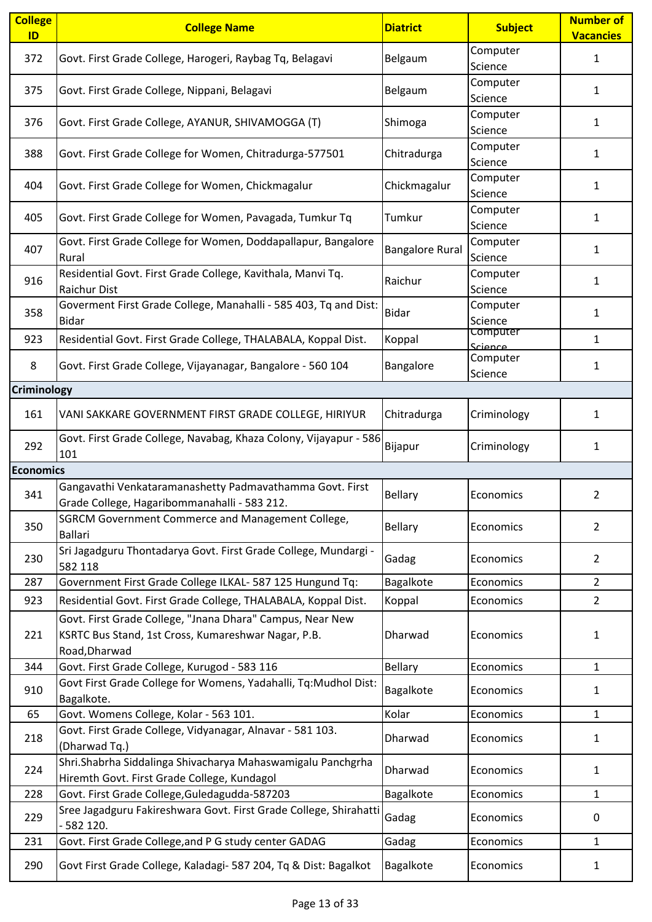| <b>College</b><br>ID | <b>College Name</b>                                                                                                               | <b>Diatrict</b>        | <b>Subject</b>      | <b>Number of</b><br><b>Vacancies</b> |
|----------------------|-----------------------------------------------------------------------------------------------------------------------------------|------------------------|---------------------|--------------------------------------|
| 372                  | Govt. First Grade College, Harogeri, Raybag Tq, Belagavi                                                                          | Belgaum                | Computer<br>Science | 1                                    |
| 375                  | Govt. First Grade College, Nippani, Belagavi                                                                                      | Belgaum                | Computer<br>Science | $\mathbf{1}$                         |
| 376                  | Govt. First Grade College, AYANUR, SHIVAMOGGA (T)                                                                                 | Shimoga                | Computer<br>Science | $\mathbf{1}$                         |
| 388                  | Govt. First Grade College for Women, Chitradurga-577501                                                                           | Chitradurga            | Computer<br>Science | 1                                    |
| 404                  | Govt. First Grade College for Women, Chickmagalur                                                                                 | Chickmagalur           | Computer<br>Science | 1                                    |
| 405                  | Govt. First Grade College for Women, Pavagada, Tumkur Tq                                                                          | Tumkur                 | Computer<br>Science | 1                                    |
| 407                  | Govt. First Grade College for Women, Doddapallapur, Bangalore<br>Rural                                                            | <b>Bangalore Rural</b> | Computer<br>Science | 1                                    |
| 916                  | Residential Govt. First Grade College, Kavithala, Manvi Tq.<br>Raichur Dist                                                       | Raichur                | Computer<br>Science | $\mathbf{1}$                         |
| 358                  | Goverment First Grade College, Manahalli - 585 403, Tq and Dist:<br><b>Bidar</b>                                                  | <b>Bidar</b>           | Computer<br>Science | $\mathbf{1}$                         |
| 923                  | Residential Govt. First Grade College, THALABALA, Koppal Dist.                                                                    | Koppal                 | Computer<br>Science | $\mathbf{1}$                         |
| 8                    | Govt. First Grade College, Vijayanagar, Bangalore - 560 104                                                                       | Bangalore              | Computer<br>Science | 1                                    |
| <b>Criminology</b>   |                                                                                                                                   |                        |                     |                                      |
| 161                  | VANI SAKKARE GOVERNMENT FIRST GRADE COLLEGE, HIRIYUR                                                                              | Chitradurga            | Criminology         | 1                                    |
| 292                  | Govt. First Grade College, Navabag, Khaza Colony, Vijayapur - 586<br>101                                                          | Bijapur                | Criminology         | 1                                    |
| <b>Economics</b>     |                                                                                                                                   |                        |                     |                                      |
| 341                  | Gangavathi Venkataramanashetty Padmavathamma Govt. First<br>Grade College, Hagaribommanahalli - 583 212.                          | <b>Bellary</b>         | Economics           | 2                                    |
| 350                  | SGRCM Government Commerce and Management College,<br><b>Ballari</b>                                                               | <b>Bellary</b>         | Economics           | $\overline{2}$                       |
| 230                  | Sri Jagadguru Thontadarya Govt. First Grade College, Mundargi -<br>582 118                                                        | Gadag                  | Economics           | $\overline{2}$                       |
| 287                  | Government First Grade College ILKAL- 587 125 Hungund Tq:                                                                         | Bagalkote              | Economics           | $\overline{2}$                       |
| 923                  | Residential Govt. First Grade College, THALABALA, Koppal Dist.                                                                    | Koppal                 | Economics           | $\overline{2}$                       |
| 221                  | Govt. First Grade College, "Jnana Dhara" Campus, Near New<br>KSRTC Bus Stand, 1st Cross, Kumareshwar Nagar, P.B.<br>Road, Dharwad | Dharwad                | Economics           | 1                                    |
| 344                  | Govt. First Grade College, Kurugod - 583 116                                                                                      | <b>Bellary</b>         | Economics           | 1                                    |
| 910                  | Govt First Grade College for Womens, Yadahalli, Tq:Mudhol Dist:<br>Bagalkote.                                                     | Bagalkote              | Economics           | 1                                    |
| 65                   | Govt. Womens College, Kolar - 563 101.                                                                                            | Kolar                  | Economics           | $\mathbf{1}$                         |
| 218                  | Govt. First Grade College, Vidyanagar, Alnavar - 581 103.<br>(Dharwad Tq.)                                                        | Dharwad                | Economics           | 1                                    |
| 224                  | Shri.Shabrha Siddalinga Shivacharya Mahaswamigalu Panchgrha<br>Hiremth Govt. First Grade College, Kundagol                        | Dharwad                | Economics           | 1                                    |
| 228                  | Govt. First Grade College, Guledagudda-587203                                                                                     | Bagalkote              | Economics           | $\mathbf{1}$                         |
| 229                  | Sree Jagadguru Fakireshwara Govt. First Grade College, Shirahatti<br>$-582$ 120.                                                  | Gadag                  | Economics           | 0                                    |
| 231                  | Govt. First Grade College, and P G study center GADAG                                                                             | Gadag                  | Economics           | 1                                    |
| 290                  | Govt First Grade College, Kaladagi- 587 204, Tq & Dist: Bagalkot                                                                  | Bagalkote              | Economics           | 1                                    |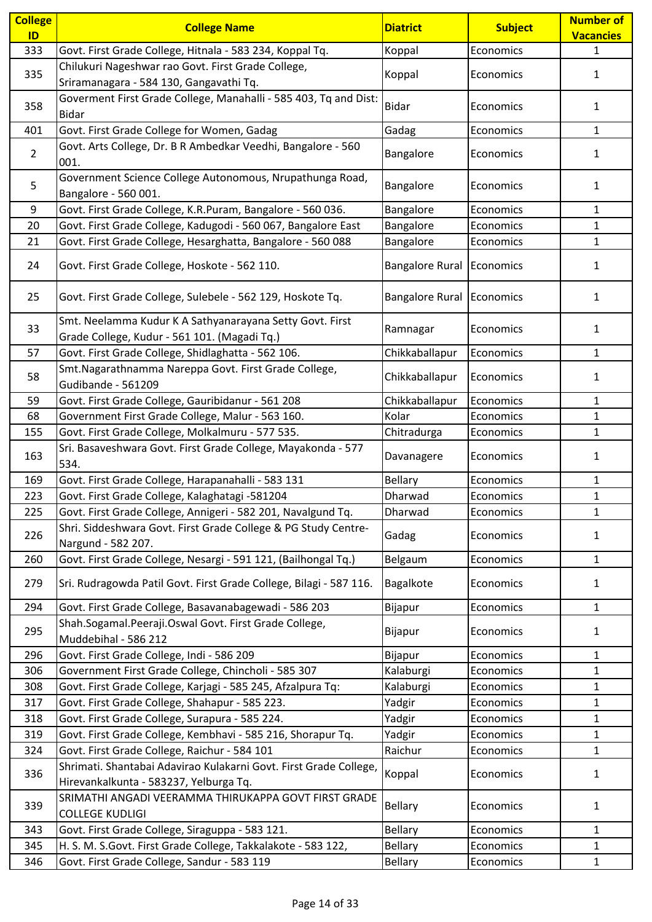| <b>College</b> | <b>College Name</b>                                                                                         | <b>Diatrict</b>        | <b>Subject</b> | <b>Number of</b> |
|----------------|-------------------------------------------------------------------------------------------------------------|------------------------|----------------|------------------|
| ID             |                                                                                                             |                        |                | <b>Vacancies</b> |
| 333            | Govt. First Grade College, Hitnala - 583 234, Koppal Tq.                                                    | Koppal                 | Economics      | $\mathbf{1}$     |
| 335            | Chilukuri Nageshwar rao Govt. First Grade College,                                                          | Koppal                 | Economics      | 1                |
|                | Sriramanagara - 584 130, Gangavathi Tq.                                                                     |                        |                |                  |
| 358            | Goverment First Grade College, Manahalli - 585 403, Tq and Dist:                                            | <b>Bidar</b>           | Economics      | 1                |
|                | <b>Bidar</b>                                                                                                |                        |                |                  |
| 401            | Govt. First Grade College for Women, Gadag                                                                  | Gadag                  | Economics      | 1                |
| $\overline{2}$ | Govt. Arts College, Dr. B R Ambedkar Veedhi, Bangalore - 560<br>001.                                        | Bangalore              | Economics      | 1                |
| 5              | Government Science College Autonomous, Nrupathunga Road,<br>Bangalore - 560 001.                            | Bangalore              | Economics      | 1                |
| 9              | Govt. First Grade College, K.R.Puram, Bangalore - 560 036.                                                  | Bangalore              | Economics      | $\mathbf{1}$     |
| 20             | Govt. First Grade College, Kadugodi - 560 067, Bangalore East                                               | Bangalore              | Economics      | 1                |
| 21             | Govt. First Grade College, Hesarghatta, Bangalore - 560 088                                                 | Bangalore              | Economics      | $\mathbf{1}$     |
| 24             | Govt. First Grade College, Hoskote - 562 110.                                                               | <b>Bangalore Rural</b> | Economics      | 1                |
| 25             | Govt. First Grade College, Sulebele - 562 129, Hoskote Tq.                                                  | <b>Bangalore Rural</b> | Economics      | 1                |
| 33             | Smt. Neelamma Kudur K A Sathyanarayana Setty Govt. First<br>Grade College, Kudur - 561 101. (Magadi Tq.)    | Ramnagar               | Economics      | 1                |
| 57             | Govt. First Grade College, Shidlaghatta - 562 106.                                                          | Chikkaballapur         | Economics      | $\mathbf{1}$     |
| 58             | Smt.Nagarathnamma Nareppa Govt. First Grade College,<br>Gudibande - 561209                                  | Chikkaballapur         | Economics      | 1                |
| 59             | Govt. First Grade College, Gauribidanur - 561 208                                                           | Chikkaballapur         | Economics      | $\mathbf{1}$     |
| 68             | Government First Grade College, Malur - 563 160.                                                            | Kolar                  | Economics      | 1                |
| 155            | Govt. First Grade College, Molkalmuru - 577 535.                                                            | Chitradurga            | Economics      | $\mathbf{1}$     |
| 163            | Sri. Basaveshwara Govt. First Grade College, Mayakonda - 577<br>534.                                        | Davanagere             | Economics      | 1                |
| 169            | Govt. First Grade College, Harapanahalli - 583 131                                                          | <b>Bellary</b>         | Economics      | 1                |
| 223            | Govt. First Grade College, Kalaghatagi -581204                                                              | Dharwad                | Economics      | $\mathbf{1}$     |
| 225            | Govt. First Grade College, Annigeri - 582 201, Navalgund Tq.                                                | Dharwad                | Economics      | $\mathbf{1}$     |
| 226            | Shri. Siddeshwara Govt. First Grade College & PG Study Centre-<br>Nargund - 582 207.                        | Gadag                  | Economics      | 1                |
| 260            | Govt. First Grade College, Nesargi - 591 121, (Bailhongal Tq.)                                              | Belgaum                | Economics      | 1                |
| 279            | Sri. Rudragowda Patil Govt. First Grade College, Bilagi - 587 116.                                          | Bagalkote              | Economics      | 1                |
| 294            | Govt. First Grade College, Basavanabagewadi - 586 203                                                       | Bijapur                | Economics      | 1                |
| 295            | Shah.Sogamal.Peeraji.Oswal Govt. First Grade College,<br>Muddebihal - 586 212                               | Bijapur                | Economics      | 1                |
| 296            | Govt. First Grade College, Indi - 586 209                                                                   | Bijapur                | Economics      | 1                |
| 306            | Government First Grade College, Chincholi - 585 307                                                         | Kalaburgi              | Economics      | $\mathbf{1}$     |
| 308            | Govt. First Grade College, Karjagi - 585 245, Afzalpura Tq:                                                 | Kalaburgi              | Economics      | $\mathbf{1}$     |
| 317            | Govt. First Grade College, Shahapur - 585 223.                                                              | Yadgir                 | Economics      | $\mathbf{1}$     |
| 318            | Govt. First Grade College, Surapura - 585 224.                                                              | Yadgir                 | Economics      | 1                |
| 319            | Govt. First Grade College, Kembhavi - 585 216, Shorapur Tq.                                                 | Yadgir                 | Economics      | 1                |
| 324            | Govt. First Grade College, Raichur - 584 101                                                                | Raichur                | Economics      | $\mathbf{1}$     |
| 336            | Shrimati. Shantabai Adavirao Kulakarni Govt. First Grade College,<br>Hirevankalkunta - 583237, Yelburga Tq. | Koppal                 | Economics      | 1                |
| 339            | SRIMATHI ANGADI VEERAMMA THIRUKAPPA GOVT FIRST GRADE<br><b>COLLEGE KUDLIGI</b>                              | <b>Bellary</b>         | Economics      | 1                |
| 343            | Govt. First Grade College, Siraguppa - 583 121.                                                             | <b>Bellary</b>         | Economics      | 1                |
| 345            | H. S. M. S. Govt. First Grade College, Takkalakote - 583 122,                                               | <b>Bellary</b>         | Economics      | 1                |
| 346            | Govt. First Grade College, Sandur - 583 119                                                                 | <b>Bellary</b>         | Economics      | $\mathbf{1}$     |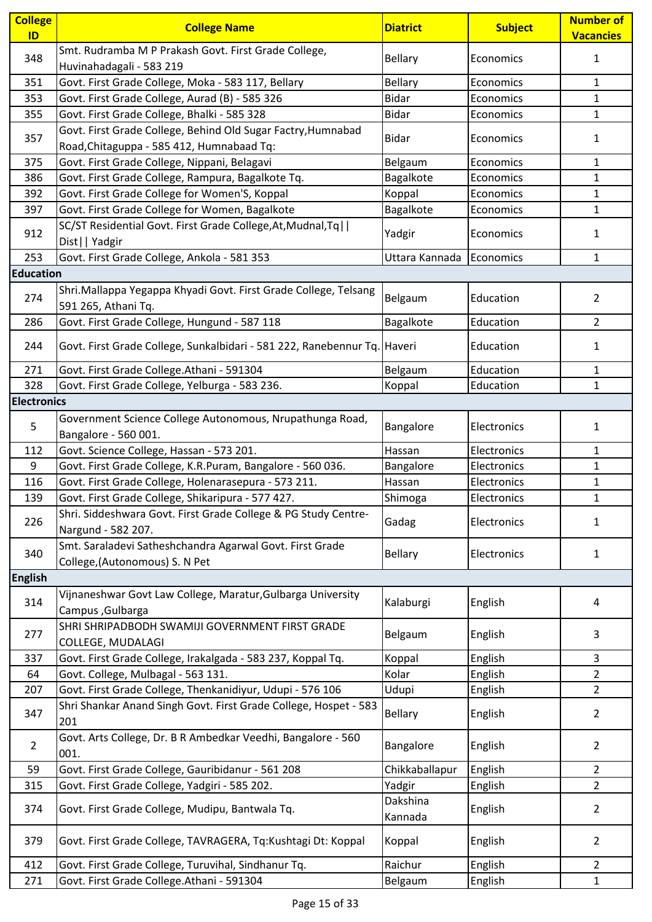| <b>College</b><br>ID | <b>College Name</b>                                                                                       | <b>Diatrict</b>     | <b>Subject</b> | <b>Number of</b><br><b>Vacancies</b> |
|----------------------|-----------------------------------------------------------------------------------------------------------|---------------------|----------------|--------------------------------------|
| 348                  | Smt. Rudramba M P Prakash Govt. First Grade College,<br>Huvinahadagali - 583 219                          | <b>Bellary</b>      | Economics      | $\mathbf{1}$                         |
| 351                  | Govt. First Grade College, Moka - 583 117, Bellary                                                        | <b>Bellary</b>      | Economics      | $\mathbf{1}$                         |
| 353                  | Govt. First Grade College, Aurad (B) - 585 326                                                            | <b>Bidar</b>        | Economics      | $\mathbf{1}$                         |
| 355                  | Govt. First Grade College, Bhalki - 585 328                                                               | <b>Bidar</b>        | Economics      | $\mathbf{1}$                         |
| 357                  | Govt. First Grade College, Behind Old Sugar Factry, Humnabad<br>Road, Chitaguppa - 585 412, Humnabaad Tq: | Bidar               | Economics      | $\mathbf{1}$                         |
| 375                  | Govt. First Grade College, Nippani, Belagavi                                                              | Belgaum             | Economics      | $\mathbf{1}$                         |
| 386                  | Govt. First Grade College, Rampura, Bagalkote Tq.                                                         | Bagalkote           | Economics      | 1                                    |
| 392                  | Govt. First Grade College for Women'S, Koppal                                                             | Koppal              | Economics      | $\mathbf{1}$                         |
| 397                  | Govt. First Grade College for Women, Bagalkote                                                            | Bagalkote           | Economics      | $\mathbf{1}$                         |
| 912                  | SC/ST Residential Govt. First Grade College, At, Mudnal, Tq  <br>Dist     Yadgir                          | Yadgir              | Economics      | $\mathbf{1}$                         |
| 253                  | Govt. First Grade College, Ankola - 581 353                                                               | Uttara Kannada      | Economics      | 1                                    |
| <b>Education</b>     |                                                                                                           |                     |                |                                      |
| 274                  | Shri.Mallappa Yegappa Khyadi Govt. First Grade College, Telsang<br>591 265, Athani Tq.                    | Belgaum             | Education      | $\overline{2}$                       |
| 286                  | Govt. First Grade College, Hungund - 587 118                                                              | Bagalkote           | Education      | $\overline{2}$                       |
| 244                  | Govt. First Grade College, Sunkalbidari - 581 222, Ranebennur Tq. Haveri                                  |                     | Education      | 1                                    |
| 271                  | Govt. First Grade College.Athani - 591304                                                                 | Belgaum             | Education      | $\mathbf{1}$                         |
| 328                  | Govt. First Grade College, Yelburga - 583 236.                                                            | Koppal              | Education      | $\mathbf{1}$                         |
| <b>Electronics</b>   |                                                                                                           |                     |                |                                      |
| 5                    | Government Science College Autonomous, Nrupathunga Road,<br>Bangalore - 560 001.                          | Bangalore           | Electronics    | $\mathbf{1}$                         |
| 112                  | Govt. Science College, Hassan - 573 201.                                                                  | Hassan              | Electronics    | $\mathbf{1}$                         |
| 9                    | Govt. First Grade College, K.R.Puram, Bangalore - 560 036.                                                | Bangalore           | Electronics    | $\mathbf{1}$                         |
| 116                  | Govt. First Grade College, Holenarasepura - 573 211.                                                      | Hassan              | Electronics    | 1                                    |
| 139                  | Govt. First Grade College, Shikaripura - 577 427.                                                         | Shimoga             | Electronics    | $\mathbf{1}$                         |
| 226                  | Shri. Siddeshwara Govt. First Grade College & PG Study Centre-<br>Nargund - 582 207.                      | Gadag               | Electronics    | $\mathbf{1}$                         |
| 340                  | Smt. Saraladevi Satheshchandra Agarwal Govt. First Grade<br>College, (Autonomous) S. N Pet                | Bellary             | Electronics    | $\mathbf{1}$                         |
| <b>English</b>       |                                                                                                           |                     |                |                                      |
| 314                  | Vijnaneshwar Govt Law College, Maratur, Gulbarga University<br>Campus, Gulbarga                           | Kalaburgi           | English        | $\overline{a}$                       |
| 277                  | SHRI SHRIPADBODH SWAMIJI GOVERNMENT FIRST GRADE<br>COLLEGE, MUDALAGI                                      | Belgaum             | English        | 3                                    |
| 337                  | Govt. First Grade College, Irakalgada - 583 237, Koppal Tq.                                               | Koppal              | English        | 3                                    |
| 64                   | Govt. College, Mulbagal - 563 131.                                                                        | Kolar               | English        | $\overline{2}$                       |
| 207                  | Govt. First Grade College, Thenkanidiyur, Udupi - 576 106                                                 | Udupi               | English        | $\overline{2}$                       |
| 347                  | Shri Shankar Anand Singh Govt. First Grade College, Hospet - 583<br>201                                   | <b>Bellary</b>      | English        | $\overline{2}$                       |
| $\overline{2}$       | Govt. Arts College, Dr. B R Ambedkar Veedhi, Bangalore - 560<br>001.                                      | Bangalore           | English        | $\overline{2}$                       |
| 59                   | Govt. First Grade College, Gauribidanur - 561 208                                                         | Chikkaballapur      | English        | $\overline{2}$                       |
| 315                  | Govt. First Grade College, Yadgiri - 585 202.                                                             | Yadgir              | English        | $\overline{2}$                       |
| 374                  | Govt. First Grade College, Mudipu, Bantwala Tq.                                                           | Dakshina<br>Kannada | English        | $\overline{2}$                       |
| 379                  | Govt. First Grade College, TAVRAGERA, Tq:Kushtagi Dt: Koppal                                              | Koppal              | English        | $\overline{2}$                       |
| 412                  | Govt. First Grade College, Turuvihal, Sindhanur Tq.                                                       | Raichur             | English        | $\overline{2}$                       |
| 271                  | Govt. First Grade College.Athani - 591304                                                                 | Belgaum             | English        | $\mathbf{1}$                         |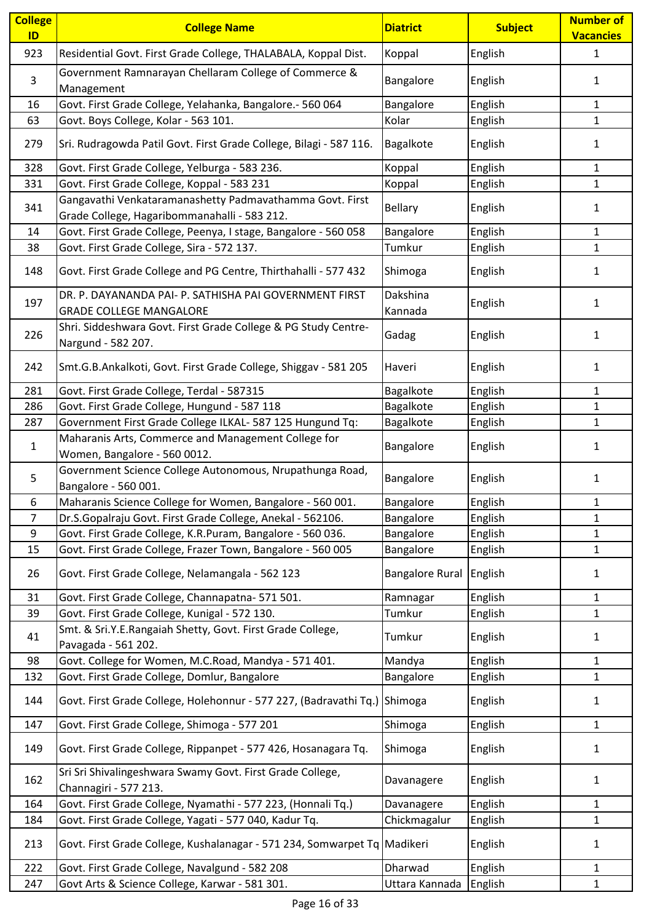| <b>College</b><br>ID | <b>College Name</b>                                                                                      | <b>Diatrict</b>        | <b>Subject</b> | <b>Number of</b><br><b>Vacancies</b> |
|----------------------|----------------------------------------------------------------------------------------------------------|------------------------|----------------|--------------------------------------|
| 923                  | Residential Govt. First Grade College, THALABALA, Koppal Dist.                                           | Koppal                 | English        | 1                                    |
| 3                    | Government Ramnarayan Chellaram College of Commerce &<br>Management                                      | Bangalore              | English        | 1                                    |
| 16                   | Govt. First Grade College, Yelahanka, Bangalore.- 560 064                                                | Bangalore              | English        | 1                                    |
| 63                   | Govt. Boys College, Kolar - 563 101.                                                                     | Kolar                  | English        | $\mathbf{1}$                         |
| 279                  | Sri. Rudragowda Patil Govt. First Grade College, Bilagi - 587 116.                                       | Bagalkote              | English        | 1                                    |
| 328                  | Govt. First Grade College, Yelburga - 583 236.                                                           | Koppal                 | English        | $\mathbf{1}$                         |
| 331                  | Govt. First Grade College, Koppal - 583 231                                                              | Koppal                 | English        | $\mathbf{1}$                         |
| 341                  | Gangavathi Venkataramanashetty Padmavathamma Govt. First<br>Grade College, Hagaribommanahalli - 583 212. | <b>Bellary</b>         | English        | 1                                    |
| 14                   | Govt. First Grade College, Peenya, I stage, Bangalore - 560 058                                          | Bangalore              | English        | 1                                    |
| 38                   | Govt. First Grade College, Sira - 572 137.                                                               | Tumkur                 | English        | $\mathbf{1}$                         |
| 148                  | Govt. First Grade College and PG Centre, Thirthahalli - 577 432                                          | Shimoga                | English        | 1                                    |
| 197                  | DR. P. DAYANANDA PAI- P. SATHISHA PAI GOVERNMENT FIRST<br><b>GRADE COLLEGE MANGALORE</b>                 | Dakshina<br>Kannada    | English        | 1                                    |
| 226                  | Shri. Siddeshwara Govt. First Grade College & PG Study Centre-<br>Nargund - 582 207.                     | Gadag                  | English        | 1                                    |
| 242                  | Smt.G.B.Ankalkoti, Govt. First Grade College, Shiggav - 581 205                                          | Haveri                 | English        | 1                                    |
| 281                  | Govt. First Grade College, Terdal - 587315                                                               | Bagalkote              | English        | $\mathbf{1}$                         |
| 286                  | Govt. First Grade College, Hungund - 587 118                                                             | Bagalkote              | English        | $\mathbf{1}$                         |
| 287                  | Government First Grade College ILKAL- 587 125 Hungund Tq:                                                | Bagalkote              | English        | 1                                    |
| $\mathbf{1}$         | Maharanis Arts, Commerce and Management College for<br>Women, Bangalore - 560 0012.                      | Bangalore              | English        | 1                                    |
| 5                    | Government Science College Autonomous, Nrupathunga Road,<br>Bangalore - 560 001.                         | Bangalore              | English        | 1                                    |
| 6                    | Maharanis Science College for Women, Bangalore - 560 001.                                                | Bangalore              | English        | 1                                    |
| $\overline{7}$       | Dr.S.Gopalraju Govt. First Grade College, Anekal - 562106.                                               | Bangalore              | English        | $\mathbf 1$                          |
| 9                    | Govt. First Grade College, K.R.Puram, Bangalore - 560 036.                                               | Bangalore              | English        | $\mathbf{1}$                         |
| 15                   | Govt. First Grade College, Frazer Town, Bangalore - 560 005                                              | Bangalore              | English        | $\mathbf{1}$                         |
| 26                   | Govt. First Grade College, Nelamangala - 562 123                                                         | <b>Bangalore Rural</b> | English        | 1                                    |
| 31                   | Govt. First Grade College, Channapatna- 571 501.                                                         | Ramnagar               | English        | $\mathbf{1}$                         |
| 39                   | Govt. First Grade College, Kunigal - 572 130.                                                            | Tumkur                 | English        | $\mathbf{1}$                         |
| 41                   | Smt. & Sri.Y.E.Rangaiah Shetty, Govt. First Grade College,<br>Pavagada - 561 202.                        | Tumkur                 | English        | $\mathbf{1}$                         |
| 98                   | Govt. College for Women, M.C.Road, Mandya - 571 401.                                                     | Mandya                 | English        | $\mathbf{1}$                         |
| 132                  | Govt. First Grade College, Domlur, Bangalore                                                             | Bangalore              | English        | $\mathbf{1}$                         |
| 144                  | Govt. First Grade College, Holehonnur - 577 227, (Badravathi Tq.)                                        | Shimoga                | English        | $\mathbf{1}$                         |
| 147                  | Govt. First Grade College, Shimoga - 577 201                                                             | Shimoga                | English        | 1                                    |
| 149                  | Govt. First Grade College, Rippanpet - 577 426, Hosanagara Tq.                                           | Shimoga                | English        | $\mathbf{1}$                         |
| 162                  | Sri Sri Shivalingeshwara Swamy Govt. First Grade College,<br>Channagiri - 577 213.                       | Davanagere             | English        | $\mathbf{1}$                         |
| 164                  | Govt. First Grade College, Nyamathi - 577 223, (Honnali Tq.)                                             | Davanagere             | English        | $\mathbf{1}$                         |
| 184                  | Govt. First Grade College, Yagati - 577 040, Kadur Tq.                                                   | Chickmagalur           | English        | $\mathbf{1}$                         |
| 213                  | Govt. First Grade College, Kushalanagar - 571 234, Somwarpet Tq Madikeri                                 |                        | English        | $\mathbf{1}$                         |
| 222                  | Govt. First Grade College, Navalgund - 582 208                                                           | Dharwad                | English        | 1                                    |
| 247                  | Govt Arts & Science College, Karwar - 581 301.                                                           | Uttara Kannada         | English        | $\mathbf{1}$                         |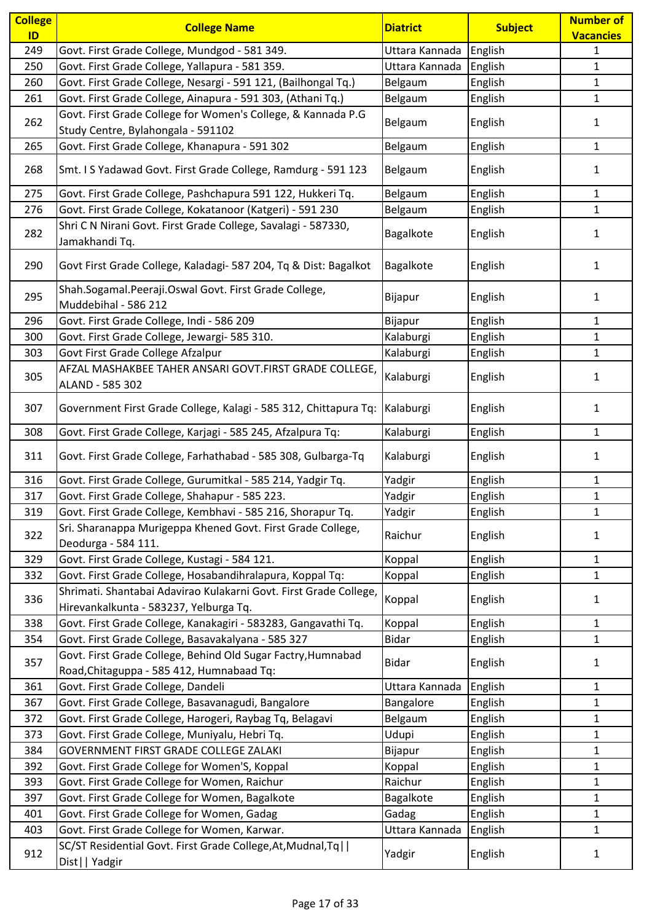| <b>College</b> | <b>College Name</b>                                                                                         | <b>Diatrict</b> | <b>Subject</b> | <b>Number of</b> |
|----------------|-------------------------------------------------------------------------------------------------------------|-----------------|----------------|------------------|
| ID<br>249      |                                                                                                             |                 | English        | <b>Vacancies</b> |
|                | Govt. First Grade College, Mundgod - 581 349.                                                               | Uttara Kannada  |                | $\mathbf{1}$     |
| 250            | Govt. First Grade College, Yallapura - 581 359.                                                             | Uttara Kannada  | English        | $\mathbf{1}$     |
| 260            | Govt. First Grade College, Nesargi - 591 121, (Bailhongal Tq.)                                              | Belgaum         | English        | 1                |
| 261            | Govt. First Grade College, Ainapura - 591 303, (Athani Tq.)                                                 | Belgaum         | English        | 1                |
| 262            | Govt. First Grade College for Women's College, & Kannada P.G                                                | Belgaum         | English        | 1                |
|                | Study Centre, Bylahongala - 591102                                                                          |                 |                |                  |
| 265            | Govt. First Grade College, Khanapura - 591 302                                                              | Belgaum         | English        | 1                |
| 268            | Smt. I S Yadawad Govt. First Grade College, Ramdurg - 591 123                                               | Belgaum         | English        | 1                |
| 275            | Govt. First Grade College, Pashchapura 591 122, Hukkeri Tq.                                                 | Belgaum         | English        | 1                |
| 276            | Govt. First Grade College, Kokatanoor (Katgeri) - 591 230                                                   | Belgaum         | English        | $\mathbf{1}$     |
| 282            | Shri C N Nirani Govt. First Grade College, Savalagi - 587330,                                               | Bagalkote       | English        | 1                |
|                | Jamakhandi Tq.                                                                                              |                 |                |                  |
| 290            | Govt First Grade College, Kaladagi- 587 204, Tq & Dist: Bagalkot                                            | Bagalkote       | English        | 1                |
| 295            | Shah.Sogamal.Peeraji.Oswal Govt. First Grade College,                                                       | Bijapur         | English        | 1                |
|                | Muddebihal - 586 212                                                                                        |                 |                |                  |
| 296            | Govt. First Grade College, Indi - 586 209                                                                   | Bijapur         | English        | 1                |
| 300            | Govt. First Grade College, Jewargi- 585 310.                                                                | Kalaburgi       | English        | 1                |
| 303            | Govt First Grade College Afzalpur                                                                           | Kalaburgi       | English        | 1                |
| 305            | AFZAL MASHAKBEE TAHER ANSARI GOVT.FIRST GRADE COLLEGE,<br>ALAND - 585 302                                   | Kalaburgi       | English        | 1                |
| 307            | Government First Grade College, Kalagi - 585 312, Chittapura Tq:                                            | Kalaburgi       | English        | 1                |
| 308            | Govt. First Grade College, Karjagi - 585 245, Afzalpura Tq:                                                 | Kalaburgi       | English        | $\mathbf{1}$     |
| 311            | Govt. First Grade College, Farhathabad - 585 308, Gulbarga-Tq                                               | Kalaburgi       | English        | 1                |
| 316            | Govt. First Grade College, Gurumitkal - 585 214, Yadgir Tq.                                                 | Yadgir          | English        | 1                |
| 317            | Govt. First Grade College, Shahapur - 585 223.                                                              | Yadgir          | English        | $\mathbf{1}$     |
| 319            | Govt. First Grade College, Kembhavi - 585 216, Shorapur Tq.                                                 | Yadgir          | English        | $\mathbf{1}$     |
|                | Sri. Sharanappa Murigeppa Khened Govt. First Grade College,                                                 |                 |                |                  |
| 322            | Deodurga - 584 111.                                                                                         | Raichur         | English        | 1                |
| 329            | Govt. First Grade College, Kustagi - 584 121.                                                               | Koppal          | English        | 1                |
| 332            | Govt. First Grade College, Hosabandihralapura, Koppal Tq:                                                   | Koppal          | English        | $\mathbf{1}$     |
| 336            | Shrimati. Shantabai Adavirao Kulakarni Govt. First Grade College,<br>Hirevankalkunta - 583237, Yelburga Tq. | Koppal          | English        | 1                |
| 338            | Govt. First Grade College, Kanakagiri - 583283, Gangavathi Tq.                                              | Koppal          | English        | 1                |
| 354            | Govt. First Grade College, Basavakalyana - 585 327                                                          | <b>Bidar</b>    | English        | 1                |
|                | Govt. First Grade College, Behind Old Sugar Factry, Humnabad                                                |                 |                |                  |
| 357            | Road, Chitaguppa - 585 412, Humnabaad Tq:                                                                   | <b>Bidar</b>    | English        | 1                |
| 361            | Govt. First Grade College, Dandeli                                                                          | Uttara Kannada  | English        | 1                |
| 367            | Govt. First Grade College, Basavanagudi, Bangalore                                                          | Bangalore       | English        | $\mathbf{1}$     |
| 372            | Govt. First Grade College, Harogeri, Raybag Tq, Belagavi                                                    | Belgaum         | English        | 1                |
| 373            | Govt. First Grade College, Muniyalu, Hebri Tq.                                                              | Udupi           | English        | 1                |
| 384            | GOVERNMENT FIRST GRADE COLLEGE ZALAKI                                                                       | Bijapur         | English        | 1                |
| 392            | Govt. First Grade College for Women'S, Koppal                                                               | Koppal          | English        | 1                |
| 393            | Govt. First Grade College for Women, Raichur                                                                | Raichur         | English        | $\mathbf{1}$     |
| 397            | Govt. First Grade College for Women, Bagalkote                                                              | Bagalkote       | English        | $\mathbf{1}$     |
| 401            | Govt. First Grade College for Women, Gadag                                                                  | Gadag           | English        | $\mathbf{1}$     |
| 403            | Govt. First Grade College for Women, Karwar.                                                                | Uttara Kannada  | English        | 1                |
|                | SC/ST Residential Govt. First Grade College, At, Mudnal, Tq                                                 |                 |                |                  |
| 912            | Dist     Yadgir                                                                                             | Yadgir          | English        | 1                |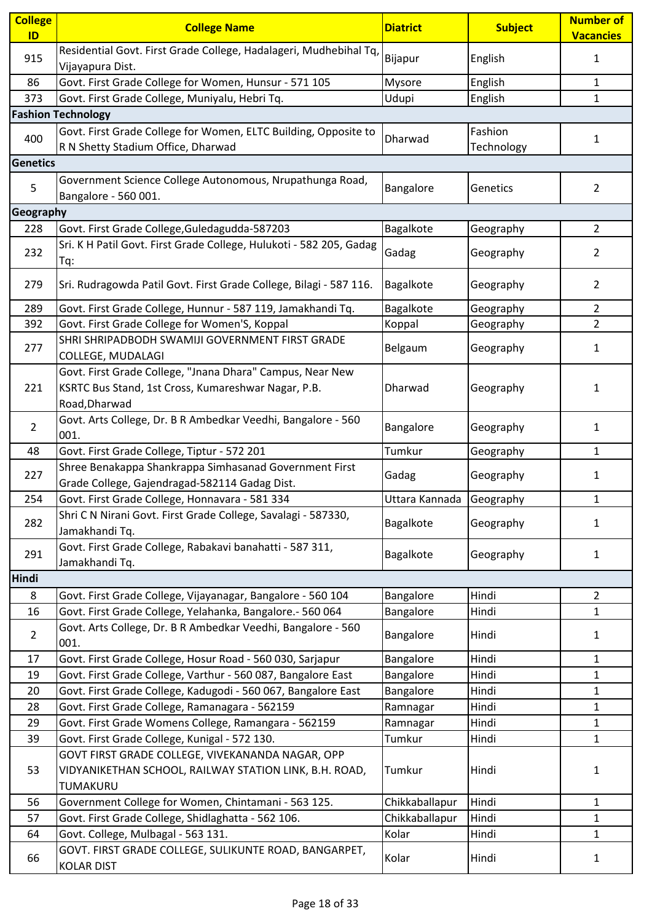| <b>College</b><br>ID | <b>College Name</b>                                                                                                               | <b>Diatrict</b> | <b>Subject</b>        | <b>Number of</b><br><b>Vacancies</b> |
|----------------------|-----------------------------------------------------------------------------------------------------------------------------------|-----------------|-----------------------|--------------------------------------|
| 915                  | Residential Govt. First Grade College, Hadalageri, Mudhebihal Tq,<br>Vijayapura Dist.                                             | Bijapur         | English               | $\mathbf{1}$                         |
| 86                   | Govt. First Grade College for Women, Hunsur - 571 105                                                                             | Mysore          | English               | 1                                    |
| 373                  | Govt. First Grade College, Muniyalu, Hebri Tq.                                                                                    | Udupi           | English               | $\mathbf{1}$                         |
|                      | <b>Fashion Technology</b>                                                                                                         |                 |                       |                                      |
| 400                  | Govt. First Grade College for Women, ELTC Building, Opposite to<br>R N Shetty Stadium Office, Dharwad                             | Dharwad         | Fashion<br>Technology | $\mathbf{1}$                         |
| <b>Genetics</b>      |                                                                                                                                   |                 |                       |                                      |
| 5                    | Government Science College Autonomous, Nrupathunga Road,<br>Bangalore - 560 001.                                                  | Bangalore       | Genetics              | $\overline{2}$                       |
| Geography            |                                                                                                                                   |                 |                       |                                      |
| 228                  | Govt. First Grade College, Guledagudda-587203                                                                                     | Bagalkote       | Geography             | $\overline{2}$                       |
| 232                  | Sri. K H Patil Govt. First Grade College, Hulukoti - 582 205, Gadag<br>Tq:                                                        | Gadag           | Geography             | 2                                    |
| 279                  | Sri. Rudragowda Patil Govt. First Grade College, Bilagi - 587 116.                                                                | Bagalkote       | Geography             | $\overline{2}$                       |
| 289                  | Govt. First Grade College, Hunnur - 587 119, Jamakhandi Tq.                                                                       | Bagalkote       | Geography             | $\overline{2}$                       |
| 392                  | Govt. First Grade College for Women'S, Koppal                                                                                     | Koppal          | Geography             | $\overline{2}$                       |
| 277                  | SHRI SHRIPADBODH SWAMIJI GOVERNMENT FIRST GRADE<br>COLLEGE, MUDALAGI                                                              | Belgaum         | Geography             | 1                                    |
| 221                  | Govt. First Grade College, "Jnana Dhara" Campus, Near New<br>KSRTC Bus Stand, 1st Cross, Kumareshwar Nagar, P.B.<br>Road, Dharwad | Dharwad         | Geography             | 1                                    |
| $\overline{2}$       | Govt. Arts College, Dr. B R Ambedkar Veedhi, Bangalore - 560<br>001.                                                              | Bangalore       | Geography             | $\mathbf{1}$                         |
| 48                   | Govt. First Grade College, Tiptur - 572 201                                                                                       | Tumkur          | Geography             | $\mathbf{1}$                         |
| 227                  | Shree Benakappa Shankrappa Simhasanad Government First<br>Grade College, Gajendragad-582114 Gadag Dist.                           | Gadag           | Geography             | 1                                    |
| 254                  | Govt. First Grade College, Honnavara - 581 334                                                                                    | Uttara Kannada  | Geography             | $\mathbf{1}$                         |
| 282                  | Shri C N Nirani Govt. First Grade College, Savalagi - 587330,<br>Jamakhandi Tq.                                                   | Bagalkote       | Geography             | 1                                    |
| 291                  | Govt. First Grade College, Rabakavi banahatti - 587 311,<br>Jamakhandi Tq.                                                        | Bagalkote       | Geography             | $\mathbf{1}$                         |
| <b>Hindi</b>         |                                                                                                                                   |                 |                       |                                      |
| 8                    | Govt. First Grade College, Vijayanagar, Bangalore - 560 104                                                                       | Bangalore       | Hindi                 | $\overline{2}$                       |
| 16                   | Govt. First Grade College, Yelahanka, Bangalore.- 560 064                                                                         | Bangalore       | Hindi                 | $\mathbf{1}$                         |
| $\overline{2}$       | Govt. Arts College, Dr. B R Ambedkar Veedhi, Bangalore - 560<br>001.                                                              | Bangalore       | Hindi                 | 1                                    |
| 17                   | Govt. First Grade College, Hosur Road - 560 030, Sarjapur                                                                         | Bangalore       | Hindi                 | 1                                    |
| 19                   | Govt. First Grade College, Varthur - 560 087, Bangalore East                                                                      | Bangalore       | Hindi                 | $\mathbf{1}$                         |
| 20                   | Govt. First Grade College, Kadugodi - 560 067, Bangalore East                                                                     | Bangalore       | Hindi                 | $\mathbf{1}$                         |
| 28                   | Govt. First Grade College, Ramanagara - 562159                                                                                    | Ramnagar        | Hindi                 | $\mathbf{1}$                         |
| 29                   | Govt. First Grade Womens College, Ramangara - 562159                                                                              | Ramnagar        | Hindi                 | $\mathbf{1}$                         |
| 39                   | Govt. First Grade College, Kunigal - 572 130.                                                                                     | Tumkur          | Hindi                 | $\mathbf{1}$                         |
| 53                   | GOVT FIRST GRADE COLLEGE, VIVEKANANDA NAGAR, OPP<br>VIDYANIKETHAN SCHOOL, RAILWAY STATION LINK, B.H. ROAD,<br>TUMAKURU            | Tumkur          | Hindi                 | $\mathbf{1}$                         |
| 56                   | Government College for Women, Chintamani - 563 125.                                                                               | Chikkaballapur  | Hindi                 | $\mathbf{1}$                         |
| 57                   | Govt. First Grade College, Shidlaghatta - 562 106.                                                                                | Chikkaballapur  | Hindi                 | $\mathbf{1}$                         |
| 64                   | Govt. College, Mulbagal - 563 131.                                                                                                | Kolar           | Hindi                 | $\mathbf{1}$                         |
| 66                   | GOVT. FIRST GRADE COLLEGE, SULIKUNTE ROAD, BANGARPET,<br><b>KOLAR DIST</b>                                                        | Kolar           | Hindi                 | 1                                    |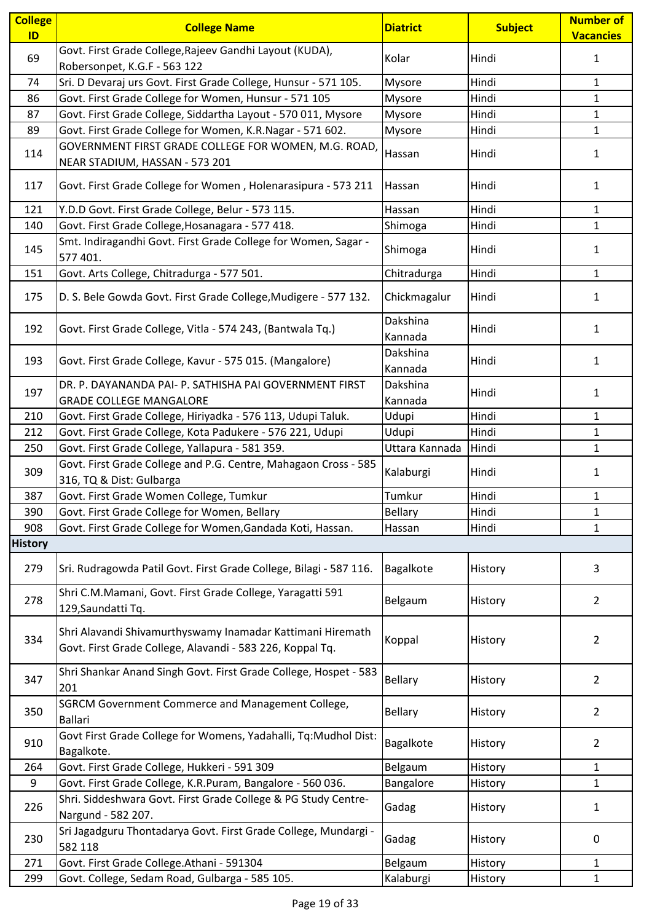| <b>College</b><br>ID | <b>College Name</b>                                                                                                     | <b>Diatrict</b>     | <b>Subject</b> | Number of<br><b>Vacancies</b> |
|----------------------|-------------------------------------------------------------------------------------------------------------------------|---------------------|----------------|-------------------------------|
| 69                   | Govt. First Grade College, Rajeev Gandhi Layout (KUDA),<br>Robersonpet, K.G.F - 563 122                                 | Kolar               | Hindi          | $\mathbf{1}$                  |
| 74                   | Sri. D Devaraj urs Govt. First Grade College, Hunsur - 571 105.                                                         | Mysore              | Hindi          | $\mathbf{1}$                  |
| 86                   | Govt. First Grade College for Women, Hunsur - 571 105                                                                   | Mysore              | Hindi          | $\mathbf{1}$                  |
| 87                   | Govt. First Grade College, Siddartha Layout - 570 011, Mysore                                                           | Mysore              | Hindi          | $\mathbf{1}$                  |
| 89                   | Govt. First Grade College for Women, K.R.Nagar - 571 602.                                                               | Mysore              | Hindi          | $\mathbf{1}$                  |
| 114                  | GOVERNMENT FIRST GRADE COLLEGE FOR WOMEN, M.G. ROAD,<br>NEAR STADIUM, HASSAN - 573 201                                  | Hassan              | Hindi          | $\mathbf{1}$                  |
| 117                  | Govt. First Grade College for Women, Holenarasipura - 573 211                                                           | Hassan              | Hindi          | $\mathbf{1}$                  |
| 121                  | Y.D.D Govt. First Grade College, Belur - 573 115.                                                                       | Hassan              | Hindi          | 1                             |
| 140                  | Govt. First Grade College, Hosanagara - 577 418.                                                                        | Shimoga             | Hindi          | $\mathbf{1}$                  |
| 145                  | Smt. Indiragandhi Govt. First Grade College for Women, Sagar -<br>577 401.                                              | Shimoga             | Hindi          | $\mathbf{1}$                  |
| 151                  | Govt. Arts College, Chitradurga - 577 501.                                                                              | Chitradurga         | Hindi          | $\mathbf{1}$                  |
| 175                  | D. S. Bele Gowda Govt. First Grade College, Mudigere - 577 132.                                                         | Chickmagalur        | Hindi          | 1                             |
| 192                  | Govt. First Grade College, Vitla - 574 243, (Bantwala Tq.)                                                              | Dakshina<br>Kannada | Hindi          | 1                             |
| 193                  | Govt. First Grade College, Kavur - 575 015. (Mangalore)                                                                 | Dakshina<br>Kannada | Hindi          | 1                             |
| 197                  | DR. P. DAYANANDA PAI- P. SATHISHA PAI GOVERNMENT FIRST<br><b>GRADE COLLEGE MANGALORE</b>                                | Dakshina<br>Kannada | Hindi          | $\mathbf{1}$                  |
| 210                  | Govt. First Grade College, Hiriyadka - 576 113, Udupi Taluk.                                                            | Udupi               | Hindi          | 1                             |
| 212                  | Govt. First Grade College, Kota Padukere - 576 221, Udupi                                                               | Udupi               | Hindi          | $\mathbf{1}$                  |
| 250                  | Govt. First Grade College, Yallapura - 581 359.                                                                         | Uttara Kannada      | Hindi          | $\mathbf{1}$                  |
| 309                  | Govt. First Grade College and P.G. Centre, Mahagaon Cross - 585<br>316, TQ & Dist: Gulbarga                             | Kalaburgi           | Hindi          | 1                             |
| 387                  | Govt. First Grade Women College, Tumkur                                                                                 | Tumkur              | Hindi          | $\mathbf{1}$                  |
| 390                  | Govt. First Grade College for Women, Bellary                                                                            | Bellary             | Hindi          | $\mathbf{1}$                  |
| 908                  | Govt. First Grade College for Women, Gandada Koti, Hassan.                                                              | Hassan              | Hindi          | $\mathbf{1}$                  |
| <b>History</b>       |                                                                                                                         |                     |                |                               |
| 279                  | Sri. Rudragowda Patil Govt. First Grade College, Bilagi - 587 116.                                                      | Bagalkote           | History        | 3                             |
| 278                  | Shri C.M.Mamani, Govt. First Grade College, Yaragatti 591<br>129, Saundatti Tq.                                         | Belgaum             | History        | $\overline{2}$                |
| 334                  | Shri Alavandi Shivamurthyswamy Inamadar Kattimani Hiremath<br>Govt. First Grade College, Alavandi - 583 226, Koppal Tq. | Koppal              | History        | $\overline{2}$                |
| 347                  | Shri Shankar Anand Singh Govt. First Grade College, Hospet - 583<br>201                                                 | Bellary             | History        | $\overline{2}$                |
| 350                  | <b>SGRCM Government Commerce and Management College,</b><br><b>Ballari</b>                                              | <b>Bellary</b>      | History        | $\overline{2}$                |
| 910                  | Govt First Grade College for Womens, Yadahalli, Tq:Mudhol Dist:<br>Bagalkote.                                           | Bagalkote           | History        | $\overline{2}$                |
| 264                  | Govt. First Grade College, Hukkeri - 591 309                                                                            | Belgaum             | History        | $\mathbf{1}$                  |
| 9                    | Govt. First Grade College, K.R.Puram, Bangalore - 560 036.                                                              | Bangalore           | History        | $\mathbf{1}$                  |
| 226                  | Shri. Siddeshwara Govt. First Grade College & PG Study Centre-<br>Nargund - 582 207.                                    | Gadag               | History        | $\mathbf{1}$                  |
| 230                  | Sri Jagadguru Thontadarya Govt. First Grade College, Mundargi -<br>582 118                                              | Gadag               | History        | 0                             |
| 271                  | Govt. First Grade College.Athani - 591304                                                                               | Belgaum             | History        | 1                             |
| 299                  | Govt. College, Sedam Road, Gulbarga - 585 105.                                                                          | Kalaburgi           | History        | $\mathbf{1}$                  |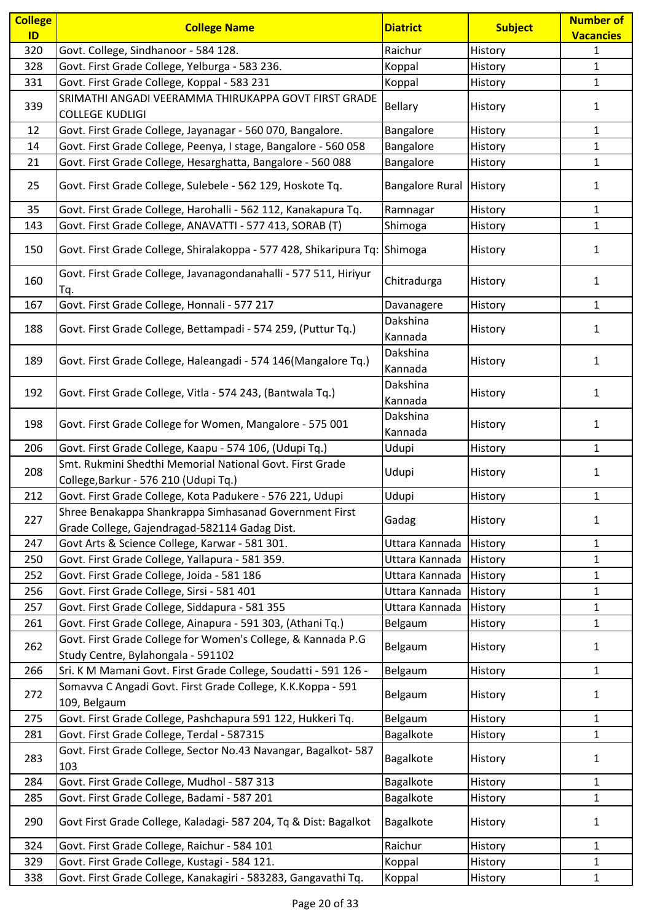| <b>College</b><br>ID | <b>College Name</b>                                                                                          | <b>Diatrict</b>        | <b>Subject</b> | <b>Number of</b><br><b>Vacancies</b> |
|----------------------|--------------------------------------------------------------------------------------------------------------|------------------------|----------------|--------------------------------------|
| 320                  | Govt. College, Sindhanoor - 584 128.                                                                         | Raichur                | History        | 1                                    |
| 328                  | Govt. First Grade College, Yelburga - 583 236.                                                               | Koppal                 | History        | $\mathbf{1}$                         |
| 331                  | Govt. First Grade College, Koppal - 583 231                                                                  | Koppal                 | History        | $\mathbf{1}$                         |
|                      | SRIMATHI ANGADI VEERAMMA THIRUKAPPA GOVT FIRST GRADE                                                         |                        |                |                                      |
| 339                  | <b>COLLEGE KUDLIGI</b>                                                                                       | <b>Bellary</b>         | History        | 1                                    |
| 12                   | Govt. First Grade College, Jayanagar - 560 070, Bangalore.                                                   | Bangalore              | History        | $\mathbf{1}$                         |
| 14                   | Govt. First Grade College, Peenya, I stage, Bangalore - 560 058                                              | Bangalore              | History        | $\mathbf{1}$                         |
| 21                   | Govt. First Grade College, Hesarghatta, Bangalore - 560 088                                                  | Bangalore              | History        | $\mathbf{1}$                         |
| 25                   | Govt. First Grade College, Sulebele - 562 129, Hoskote Tq.                                                   | <b>Bangalore Rural</b> | History        | 1                                    |
|                      |                                                                                                              |                        |                |                                      |
| 35                   | Govt. First Grade College, Harohalli - 562 112, Kanakapura Tq.                                               | Ramnagar               | History        | $\mathbf{1}$                         |
| 143                  | Govt. First Grade College, ANAVATTI - 577 413, SORAB (T)                                                     | Shimoga                | History        | $\mathbf{1}$                         |
| 150                  | Govt. First Grade College, Shiralakoppa - 577 428, Shikaripura Tq:                                           | Shimoga                | History        | 1                                    |
| 160                  | Govt. First Grade College, Javanagondanahalli - 577 511, Hiriyur<br>Tq.                                      | Chitradurga            | History        | 1                                    |
| 167                  | Govt. First Grade College, Honnali - 577 217                                                                 | Davanagere             | History        | $\mathbf{1}$                         |
| 188                  | Govt. First Grade College, Bettampadi - 574 259, (Puttur Tq.)                                                | Dakshina               | History        | 1                                    |
|                      |                                                                                                              | Kannada                |                |                                      |
| 189                  | Govt. First Grade College, Haleangadi - 574 146(Mangalore Tq.)                                               | Dakshina<br>Kannada    | History        | 1                                    |
| 192                  | Govt. First Grade College, Vitla - 574 243, (Bantwala Tq.)                                                   | Dakshina<br>Kannada    | History        | $\mathbf{1}$                         |
| 198                  | Govt. First Grade College for Women, Mangalore - 575 001                                                     | Dakshina<br>Kannada    | History        | 1                                    |
| 206                  | Govt. First Grade College, Kaapu - 574 106, (Udupi Tq.)                                                      | Udupi                  | History        | $\mathbf{1}$                         |
| 208                  | Smt. Rukmini Shedthi Memorial National Govt. First Grade<br>College, Barkur - 576 210 (Udupi Tq.)            | Udupi                  | History        | $\mathbf{1}$                         |
| 212                  | Govt. First Grade College, Kota Padukere - 576 221, Udupi                                                    | Udupi                  | History        | $\mathbf{1}$                         |
|                      | Shree Benakappa Shankrappa Simhasanad Government First                                                       |                        |                |                                      |
| 227                  | Grade College, Gajendragad-582114 Gadag Dist.                                                                | Gadag                  | History        | 1                                    |
| 247                  | Govt Arts & Science College, Karwar - 581 301.                                                               | Uttara Kannada         | History        | 1                                    |
| 250                  | Govt. First Grade College, Yallapura - 581 359.                                                              | Uttara Kannada         | History        | 1                                    |
| 252                  | Govt. First Grade College, Joida - 581 186                                                                   | Uttara Kannada         | History        | $\mathbf{1}$                         |
| 256                  | Govt. First Grade College, Sirsi - 581 401                                                                   | Uttara Kannada         | History        | $\mathbf{1}$                         |
| 257                  | Govt. First Grade College, Siddapura - 581 355                                                               | Uttara Kannada         | History        | $\mathbf{1}$                         |
| 261                  | Govt. First Grade College, Ainapura - 591 303, (Athani Tq.)                                                  | Belgaum                | History        | $\mathbf{1}$                         |
| 262                  | Govt. First Grade College for Women's College, & Kannada P.G<br>Study Centre, Bylahongala - 591102           | Belgaum                | History        | 1                                    |
| 266                  | Sri. K M Mamani Govt. First Grade College, Soudatti - 591 126 -                                              | Belgaum                | History        | $\mathbf{1}$                         |
| 272                  | Somavva C Angadi Govt. First Grade College, K.K.Koppa - 591                                                  | Belgaum                | History        | $\mathbf{1}$                         |
|                      | 109, Belgaum                                                                                                 |                        |                |                                      |
| 275                  | Govt. First Grade College, Pashchapura 591 122, Hukkeri Tq.                                                  | Belgaum                | History        | $\mathbf{1}$                         |
| 281                  | Govt. First Grade College, Terdal - 587315<br>Govt. First Grade College, Sector No.43 Navangar, Bagalkot-587 | Bagalkote              | History        | $\mathbf{1}$                         |
| 283                  | 103                                                                                                          | Bagalkote              | History        | 1                                    |
| 284                  | Govt. First Grade College, Mudhol - 587 313                                                                  | Bagalkote              | History        | $\mathbf{1}$                         |
| 285                  | Govt. First Grade College, Badami - 587 201                                                                  | Bagalkote              | History        | $\mathbf{1}$                         |
| 290                  | Govt First Grade College, Kaladagi- 587 204, Tq & Dist: Bagalkot                                             | Bagalkote              | History        | $\mathbf{1}$                         |
| 324                  | Govt. First Grade College, Raichur - 584 101                                                                 | Raichur                | History        | $\mathbf{1}$                         |
| 329                  | Govt. First Grade College, Kustagi - 584 121.                                                                | Koppal                 | History        | $\mathbf{1}$                         |
| 338                  | Govt. First Grade College, Kanakagiri - 583283, Gangavathi Tq.                                               | Koppal                 | History        | $\mathbf{1}$                         |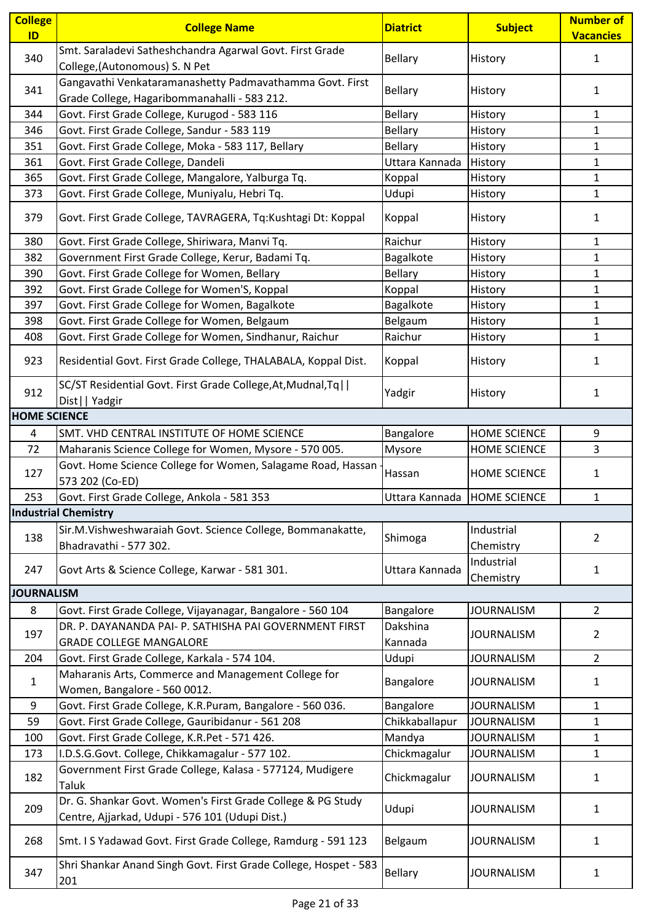| <b>College</b><br>ID | <b>College Name</b>                                                                                            | <b>Diatrict</b>               | <b>Subject</b>          | <b>Number of</b><br><b>Vacancies</b> |
|----------------------|----------------------------------------------------------------------------------------------------------------|-------------------------------|-------------------------|--------------------------------------|
| 340                  | Smt. Saraladevi Satheshchandra Agarwal Govt. First Grade<br>College, (Autonomous) S. N Pet                     | Bellary                       | History                 | 1                                    |
| 341                  | Gangavathi Venkataramanashetty Padmavathamma Govt. First<br>Grade College, Hagaribommanahalli - 583 212.       | <b>Bellary</b>                | History                 | 1                                    |
| 344                  | Govt. First Grade College, Kurugod - 583 116                                                                   | <b>Bellary</b>                | History                 | 1                                    |
| 346                  | Govt. First Grade College, Sandur - 583 119                                                                    | Bellary                       | History                 | $\mathbf{1}$                         |
| 351                  | Govt. First Grade College, Moka - 583 117, Bellary                                                             | <b>Bellary</b>                | History                 | $\mathbf{1}$                         |
| 361                  | Govt. First Grade College, Dandeli                                                                             | Uttara Kannada                | History                 | $\mathbf{1}$                         |
| 365                  | Govt. First Grade College, Mangalore, Yalburga Tq.                                                             | Koppal                        | History                 | $\mathbf{1}$                         |
| 373                  | Govt. First Grade College, Muniyalu, Hebri Tq.                                                                 | Udupi                         | History                 | $\mathbf{1}$                         |
| 379                  | Govt. First Grade College, TAVRAGERA, Tq:Kushtagi Dt: Koppal                                                   | Koppal                        | History                 | 1                                    |
| 380                  | Govt. First Grade College, Shiriwara, Manvi Tq.                                                                | Raichur                       | History                 | $\mathbf{1}$                         |
| 382                  | Government First Grade College, Kerur, Badami Tq.                                                              | Bagalkote                     | History                 | $\mathbf{1}$                         |
| 390                  | Govt. First Grade College for Women, Bellary                                                                   | <b>Bellary</b>                | History                 | $\mathbf{1}$                         |
| 392                  | Govt. First Grade College for Women'S, Koppal                                                                  | Koppal                        | History                 | $\mathbf{1}$                         |
| 397                  | Govt. First Grade College for Women, Bagalkote                                                                 | Bagalkote                     | History                 | $\mathbf{1}$                         |
| 398                  | Govt. First Grade College for Women, Belgaum                                                                   | Belgaum                       | History                 | $\mathbf{1}$                         |
| 408                  | Govt. First Grade College for Women, Sindhanur, Raichur                                                        | Raichur                       | History                 | $\mathbf{1}$                         |
| 923                  | Residential Govt. First Grade College, THALABALA, Koppal Dist.                                                 | Koppal                        | History                 | 1                                    |
| 912                  | SC/ST Residential Govt. First Grade College, At, Mudnal, Tq  <br>Dist     Yadgir                               | Yadgir                        | History                 | 1                                    |
| <b>HOME SCIENCE</b>  |                                                                                                                |                               |                         |                                      |
| 4                    | SMT. VHD CENTRAL INSTITUTE OF HOME SCIENCE                                                                     | Bangalore                     | <b>HOME SCIENCE</b>     | 9                                    |
| 72                   | Maharanis Science College for Women, Mysore - 570 005.                                                         | Mysore                        | HOME SCIENCE            | 3                                    |
| 127                  | Govt. Home Science College for Women, Salagame Road, Hassan<br>573 202 (Co-ED)                                 | Hassan                        | <b>HOME SCIENCE</b>     | 1                                    |
| 253                  | Govt. First Grade College, Ankola - 581 353                                                                    | Uttara Kannada   HOME SCIENCE |                         | $\mathbf{1}$                         |
|                      | <b>Industrial Chemistry</b>                                                                                    |                               |                         |                                      |
| 138                  | Sir.M.Vishweshwaraiah Govt. Science College, Bommanakatte,<br>Bhadravathi - 577 302.                           | Shimoga                       | Industrial<br>Chemistry | $\overline{2}$                       |
| 247                  | Govt Arts & Science College, Karwar - 581 301.                                                                 | Uttara Kannada                | Industrial              |                                      |
|                      |                                                                                                                |                               | Chemistry               | 1                                    |
| <b>JOURNALISM</b>    |                                                                                                                |                               |                         |                                      |
| 8                    | Govt. First Grade College, Vijayanagar, Bangalore - 560 104                                                    | Bangalore                     | <b>JOURNALISM</b>       | $\overline{2}$                       |
| 197                  | DR. P. DAYANANDA PAI- P. SATHISHA PAI GOVERNMENT FIRST<br><b>GRADE COLLEGE MANGALORE</b>                       | Dakshina<br>Kannada           | <b>JOURNALISM</b>       | $\overline{2}$                       |
| 204                  | Govt. First Grade College, Karkala - 574 104.                                                                  | Udupi                         | <b>JOURNALISM</b>       | $\overline{2}$                       |
| $\mathbf{1}$         | Maharanis Arts, Commerce and Management College for<br>Women, Bangalore - 560 0012.                            | Bangalore                     | <b>JOURNALISM</b>       | 1                                    |
| 9                    | Govt. First Grade College, K.R.Puram, Bangalore - 560 036.                                                     | Bangalore                     | <b>JOURNALISM</b>       | $\mathbf{1}$                         |
| 59                   | Govt. First Grade College, Gauribidanur - 561 208                                                              | Chikkaballapur                | <b>JOURNALISM</b>       | $\mathbf{1}$                         |
| 100                  | Govt. First Grade College, K.R.Pet - 571 426.                                                                  | Mandya                        | <b>JOURNALISM</b>       | 1                                    |
| 173                  | I.D.S.G.Govt. College, Chikkamagalur - 577 102.                                                                | Chickmagalur                  | <b>JOURNALISM</b>       | $\mathbf{1}$                         |
| 182                  | Government First Grade College, Kalasa - 577124, Mudigere<br>Taluk                                             | Chickmagalur                  | <b>JOURNALISM</b>       | 1                                    |
| 209                  | Dr. G. Shankar Govt. Women's First Grade College & PG Study<br>Centre, Ajjarkad, Udupi - 576 101 (Udupi Dist.) | Udupi                         | <b>JOURNALISM</b>       | 1                                    |
| 268                  | Smt. I S Yadawad Govt. First Grade College, Ramdurg - 591 123                                                  | Belgaum                       | <b>JOURNALISM</b>       | $\mathbf{1}$                         |
| 347                  | Shri Shankar Anand Singh Govt. First Grade College, Hospet - 583<br>201                                        | <b>Bellary</b>                | JOURNALISM              | 1                                    |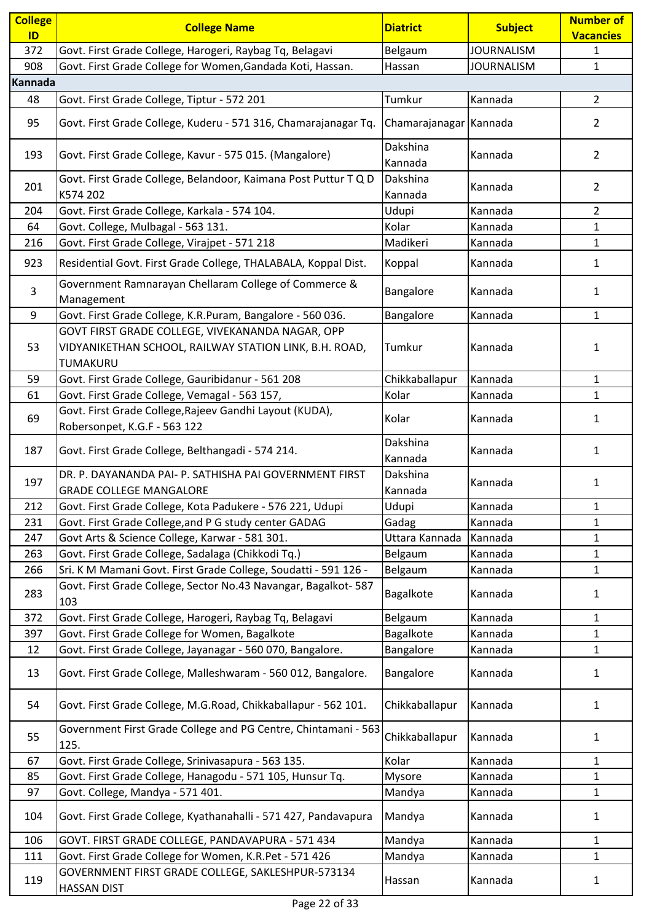| <b>College</b> | <b>College Name</b>                                                                                                    | <b>Diatrict</b>        | <b>Subject</b>    | <b>Number of</b> |
|----------------|------------------------------------------------------------------------------------------------------------------------|------------------------|-------------------|------------------|
| ID             |                                                                                                                        |                        |                   | <b>Vacancies</b> |
| 372            | Govt. First Grade College, Harogeri, Raybag Tq, Belagavi                                                               | Belgaum                | <b>JOURNALISM</b> | $\mathbf{1}$     |
| 908            | Govt. First Grade College for Women, Gandada Koti, Hassan.                                                             | Hassan                 | <b>JOURNALISM</b> | $\mathbf{1}$     |
| Kannada        |                                                                                                                        |                        |                   |                  |
| 48             | Govt. First Grade College, Tiptur - 572 201                                                                            | Tumkur                 | Kannada           | $\overline{2}$   |
| 95             | Govt. First Grade College, Kuderu - 571 316, Chamarajanagar Tq.                                                        | Chamarajanagar Kannada |                   | $\overline{2}$   |
| 193            | Govt. First Grade College, Kavur - 575 015. (Mangalore)                                                                | Dakshina<br>Kannada    | Kannada           | $\overline{2}$   |
| 201            | Govt. First Grade College, Belandoor, Kaimana Post Puttur T Q D<br>K574 202                                            | Dakshina<br>Kannada    | Kannada           | 2                |
| 204            | Govt. First Grade College, Karkala - 574 104.                                                                          | Udupi                  | Kannada           | $\overline{2}$   |
| 64             | Govt. College, Mulbagal - 563 131.                                                                                     | Kolar                  | Kannada           | $\mathbf{1}$     |
| 216            | Govt. First Grade College, Virajpet - 571 218                                                                          | Madikeri               | Kannada           | $\mathbf{1}$     |
| 923            | Residential Govt. First Grade College, THALABALA, Koppal Dist.                                                         | Koppal                 | Kannada           | $\mathbf{1}$     |
| 3              | Government Ramnarayan Chellaram College of Commerce &<br>Management                                                    | Bangalore              | Kannada           | 1                |
| 9              | Govt. First Grade College, K.R.Puram, Bangalore - 560 036.                                                             | Bangalore              | Kannada           | $\mathbf{1}$     |
| 53             | GOVT FIRST GRADE COLLEGE, VIVEKANANDA NAGAR, OPP<br>VIDYANIKETHAN SCHOOL, RAILWAY STATION LINK, B.H. ROAD,<br>TUMAKURU | Tumkur                 | Kannada           | 1                |
| 59             | Govt. First Grade College, Gauribidanur - 561 208                                                                      | Chikkaballapur         | Kannada           | $\mathbf{1}$     |
| 61             | Govt. First Grade College, Vemagal - 563 157,                                                                          | Kolar                  | Kannada           | $\mathbf{1}$     |
| 69             | Govt. First Grade College, Rajeev Gandhi Layout (KUDA),<br>Robersonpet, K.G.F - 563 122                                | Kolar                  | Kannada           | 1                |
| 187            | Govt. First Grade College, Belthangadi - 574 214.                                                                      | Dakshina<br>Kannada    | Kannada           | $\mathbf{1}$     |
| 197            | DR. P. DAYANANDA PAI- P. SATHISHA PAI GOVERNMENT FIRST<br><b>GRADE COLLEGE MANGALORE</b>                               | Dakshina<br>Kannada    | Kannada           | $\mathbf{1}$     |
| 212            | Govt. First Grade College, Kota Padukere - 576 221, Udupi                                                              | Udupi                  | Kannada           | 1                |
| 231            | Govt. First Grade College, and P G study center GADAG                                                                  | Gadag                  | Kannada           | $\mathbf{1}$     |
| 247            | Govt Arts & Science College, Karwar - 581 301.                                                                         | Uttara Kannada         | Kannada           | $\mathbf{1}$     |
| 263            | Govt. First Grade College, Sadalaga (Chikkodi Tq.)                                                                     | Belgaum                | Kannada           | $\mathbf{1}$     |
| 266            | Sri. K M Mamani Govt. First Grade College, Soudatti - 591 126 -                                                        | Belgaum                | Kannada           | $\mathbf{1}$     |
| 283            | Govt. First Grade College, Sector No.43 Navangar, Bagalkot- 587<br>103                                                 | Bagalkote              | Kannada           | 1                |
| 372            | Govt. First Grade College, Harogeri, Raybag Tq, Belagavi                                                               | Belgaum                | Kannada           | $\mathbf{1}$     |
| 397            | Govt. First Grade College for Women, Bagalkote                                                                         | Bagalkote              | Kannada           | 1                |
| 12             | Govt. First Grade College, Jayanagar - 560 070, Bangalore.                                                             | Bangalore              | Kannada           | $\mathbf{1}$     |
| 13             | Govt. First Grade College, Malleshwaram - 560 012, Bangalore.                                                          | Bangalore              | Kannada           | 1                |
| 54             | Govt. First Grade College, M.G.Road, Chikkaballapur - 562 101.                                                         | Chikkaballapur         | Kannada           | 1                |
| 55             | Government First Grade College and PG Centre, Chintamani - 563<br>125.                                                 | Chikkaballapur         | Kannada           | $\mathbf{1}$     |
| 67             | Govt. First Grade College, Srinivasapura - 563 135.                                                                    | Kolar                  | Kannada           | $\mathbf{1}$     |
| 85             | Govt. First Grade College, Hanagodu - 571 105, Hunsur Tq.                                                              | Mysore                 | Kannada           | 1                |
| 97             | Govt. College, Mandya - 571 401.                                                                                       | Mandya                 | Kannada           | $\mathbf{1}$     |
| 104            | Govt. First Grade College, Kyathanahalli - 571 427, Pandavapura                                                        | Mandya                 | Kannada           | $\mathbf{1}$     |
| 106            | GOVT. FIRST GRADE COLLEGE, PANDAVAPURA - 571 434                                                                       | Mandya                 | Kannada           | 1                |
| 111            | Govt. First Grade College for Women, K.R.Pet - 571 426                                                                 | Mandya                 | Kannada           | $\mathbf{1}$     |
| 119            | GOVERNMENT FIRST GRADE COLLEGE, SAKLESHPUR-573134<br><b>HASSAN DIST</b>                                                | Hassan                 | Kannada           | $\mathbf{1}$     |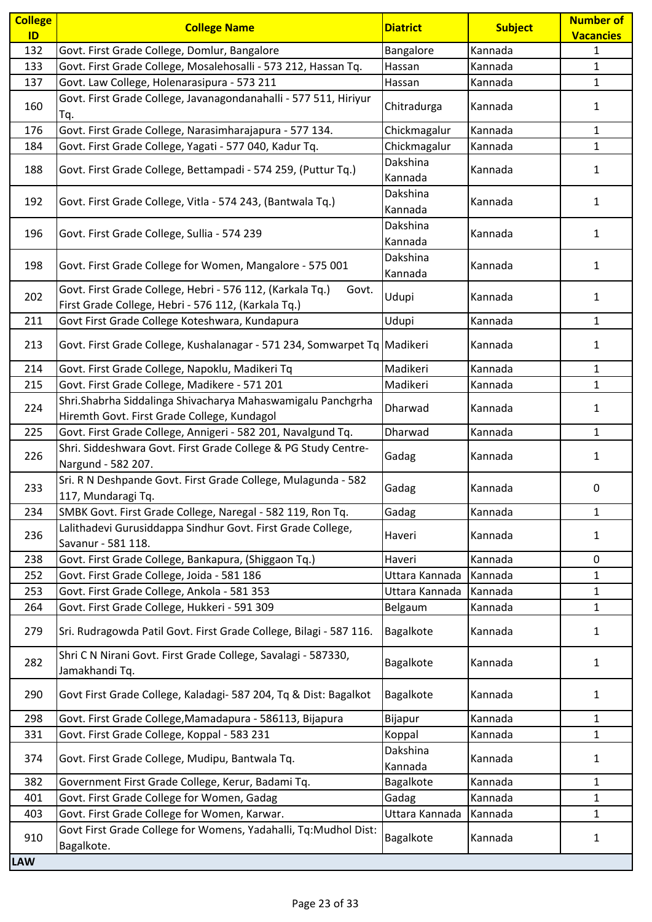| <b>College</b> | <b>College Name</b>                                                                                                       | <b>Diatrict</b>     | <b>Subject</b> | <b>Number of</b> |
|----------------|---------------------------------------------------------------------------------------------------------------------------|---------------------|----------------|------------------|
| ID             |                                                                                                                           |                     |                | <b>Vacancies</b> |
| 132            | Govt. First Grade College, Domlur, Bangalore                                                                              | Bangalore           | Kannada        | 1                |
| 133            | Govt. First Grade College, Mosalehosalli - 573 212, Hassan Tq.                                                            | Hassan              | Kannada        | $\mathbf{1}$     |
| 137            | Govt. Law College, Holenarasipura - 573 211                                                                               | Hassan              | Kannada        | $\mathbf{1}$     |
| 160            | Govt. First Grade College, Javanagondanahalli - 577 511, Hiriyur<br>Tq.                                                   | Chitradurga         | Kannada        | 1                |
| 176            | Govt. First Grade College, Narasimharajapura - 577 134.                                                                   | Chickmagalur        | Kannada        | $\mathbf{1}$     |
| 184            | Govt. First Grade College, Yagati - 577 040, Kadur Tq.                                                                    | Chickmagalur        | Kannada        | $\mathbf{1}$     |
| 188            | Govt. First Grade College, Bettampadi - 574 259, (Puttur Tq.)                                                             | Dakshina<br>Kannada | Kannada        | 1                |
| 192            | Govt. First Grade College, Vitla - 574 243, (Bantwala Tq.)                                                                | Dakshina<br>Kannada | Kannada        | $\mathbf{1}$     |
| 196            | Govt. First Grade College, Sullia - 574 239                                                                               | Dakshina<br>Kannada | Kannada        | 1                |
| 198            | Govt. First Grade College for Women, Mangalore - 575 001                                                                  | Dakshina<br>Kannada | Kannada        | 1                |
| 202            | Govt. First Grade College, Hebri - 576 112, (Karkala Tq.)<br>Govt.<br>First Grade College, Hebri - 576 112, (Karkala Tq.) | Udupi               | Kannada        | $\mathbf{1}$     |
| 211            | Govt First Grade College Koteshwara, Kundapura                                                                            | Udupi               | Kannada        | $\mathbf{1}$     |
| 213            | Govt. First Grade College, Kushalanagar - 571 234, Somwarpet Tq Madikeri                                                  |                     | Kannada        | 1                |
| 214            | Govt. First Grade College, Napoklu, Madikeri Tq                                                                           | Madikeri            | Kannada        | $\mathbf{1}$     |
| 215            | Govt. First Grade College, Madikere - 571 201                                                                             | Madikeri            | Kannada        | $\mathbf{1}$     |
| 224            | Shri.Shabrha Siddalinga Shivacharya Mahaswamigalu Panchgrha<br>Hiremth Govt. First Grade College, Kundagol                | Dharwad             | Kannada        | 1                |
| 225            | Govt. First Grade College, Annigeri - 582 201, Navalgund Tq.                                                              | Dharwad             | Kannada        | $\mathbf{1}$     |
| 226            | Shri. Siddeshwara Govt. First Grade College & PG Study Centre-<br>Nargund - 582 207.                                      | Gadag               | Kannada        | 1                |
| 233            | Sri. R N Deshpande Govt. First Grade College, Mulagunda - 582<br>117, Mundaragi Tq.                                       | Gadag               | Kannada        | 0                |
| 234            | SMBK Govt. First Grade College, Naregal - 582 119, Ron Tq.                                                                | Gadag               | Kannada        | $\mathbf{1}$     |
| 236            | Lalithadevi Gurusiddappa Sindhur Govt. First Grade College,<br>Savanur - 581 118.                                         | Haveri              | Kannada        | 1                |
| 238            | Govt. First Grade College, Bankapura, (Shiggaon Tq.)                                                                      | Haveri              | Kannada        | 0                |
| 252            | Govt. First Grade College, Joida - 581 186                                                                                | Uttara Kannada      | Kannada        | $\mathbf{1}$     |
| 253            | Govt. First Grade College, Ankola - 581 353                                                                               | Uttara Kannada      | Kannada        | $\mathbf{1}$     |
| 264            | Govt. First Grade College, Hukkeri - 591 309                                                                              | Belgaum             | Kannada        | $\mathbf{1}$     |
| 279            | Sri. Rudragowda Patil Govt. First Grade College, Bilagi - 587 116.                                                        | Bagalkote           | Kannada        | $\mathbf{1}$     |
| 282            | Shri C N Nirani Govt. First Grade College, Savalagi - 587330,<br>Jamakhandi Tq.                                           | Bagalkote           | Kannada        | 1                |
| 290            | Govt First Grade College, Kaladagi- 587 204, Tq & Dist: Bagalkot                                                          | Bagalkote           | Kannada        | $\mathbf{1}$     |
| 298            | Govt. First Grade College, Mamadapura - 586113, Bijapura                                                                  | Bijapur             | Kannada        | $\mathbf{1}$     |
| 331            | Govt. First Grade College, Koppal - 583 231                                                                               | Koppal              | Kannada        | $\mathbf{1}$     |
| 374            | Govt. First Grade College, Mudipu, Bantwala Tq.                                                                           | Dakshina<br>Kannada | Kannada        | $\mathbf{1}$     |
| 382            | Government First Grade College, Kerur, Badami Tq.                                                                         | Bagalkote           | Kannada        | $\mathbf{1}$     |
| 401            | Govt. First Grade College for Women, Gadag                                                                                | Gadag               | Kannada        | 1                |
| 403            | Govt. First Grade College for Women, Karwar.                                                                              | Uttara Kannada      | Kannada        | $\mathbf{1}$     |
| 910            | Govt First Grade College for Womens, Yadahalli, Tq:Mudhol Dist:<br>Bagalkote.                                             | Bagalkote           | Kannada        | 1                |
| <b>LAW</b>     |                                                                                                                           |                     |                |                  |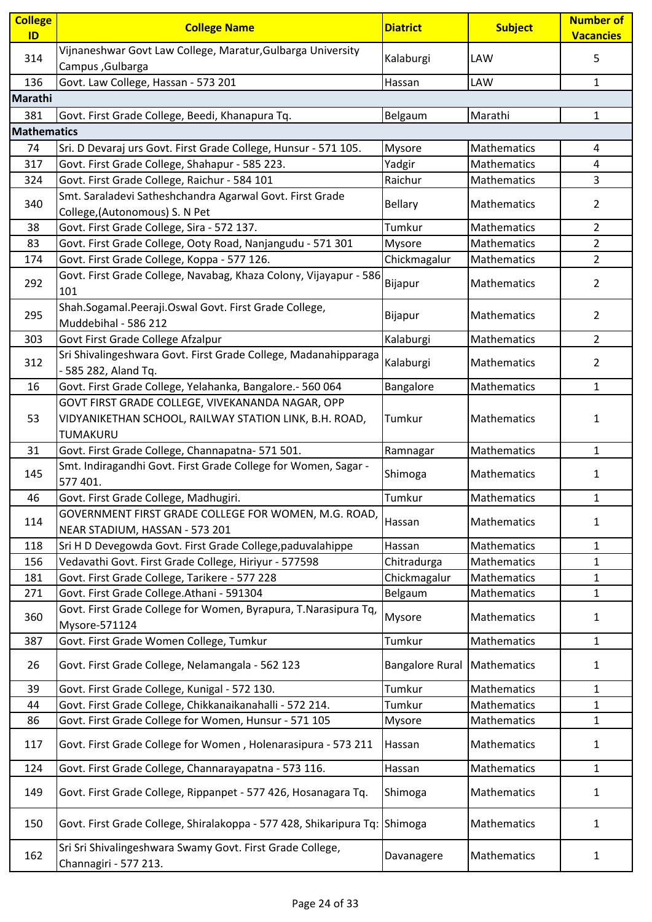| <b>College</b><br>ID | <b>College Name</b>                                                                     | <b>Diatrict</b>        | <b>Subject</b> | <b>Number of</b><br><b>Vacancies</b> |
|----------------------|-----------------------------------------------------------------------------------------|------------------------|----------------|--------------------------------------|
| 314                  | Vijnaneshwar Govt Law College, Maratur, Gulbarga University<br>Campus, Gulbarga         | Kalaburgi              | LAW            | 5                                    |
| 136                  | Govt. Law College, Hassan - 573 201                                                     | Hassan                 | LAW            | $\mathbf{1}$                         |
| Marathi              |                                                                                         |                        |                |                                      |
| 381                  | Govt. First Grade College, Beedi, Khanapura Tq.                                         | Belgaum                | Marathi        | $\mathbf{1}$                         |
| <b>Mathematics</b>   |                                                                                         |                        |                |                                      |
| 74                   | Sri. D Devaraj urs Govt. First Grade College, Hunsur - 571 105.                         | Mysore                 | Mathematics    | $\overline{4}$                       |
| 317                  | Govt. First Grade College, Shahapur - 585 223.                                          | Yadgir                 | Mathematics    | 4                                    |
| 324                  | Govt. First Grade College, Raichur - 584 101                                            | Raichur                | Mathematics    | 3                                    |
| 340                  | Smt. Saraladevi Satheshchandra Agarwal Govt. First Grade                                | <b>Bellary</b>         | Mathematics    | 2                                    |
|                      | College, (Autonomous) S. N Pet<br>Govt. First Grade College, Sira - 572 137.            | Tumkur                 | Mathematics    | $\overline{2}$                       |
| 38                   |                                                                                         |                        |                |                                      |
| 83                   | Govt. First Grade College, Ooty Road, Nanjangudu - 571 301                              | Mysore                 | Mathematics    | $\overline{2}$                       |
| 174                  | Govt. First Grade College, Koppa - 577 126.                                             | Chickmagalur           | Mathematics    | $\overline{2}$                       |
| 292                  | Govt. First Grade College, Navabag, Khaza Colony, Vijayapur - 586<br>101                | Bijapur                | Mathematics    | 2                                    |
| 295                  | Shah.Sogamal.Peeraji.Oswal Govt. First Grade College,<br>Muddebihal - 586 212           | Bijapur                | Mathematics    | 2                                    |
| 303                  | Govt First Grade College Afzalpur                                                       | Kalaburgi              | Mathematics    | $\overline{2}$                       |
| 312                  | Sri Shivalingeshwara Govt. First Grade College, Madanahipparaga<br>- 585 282, Aland Tq. | Kalaburgi              | Mathematics    | 2                                    |
| 16                   | Govt. First Grade College, Yelahanka, Bangalore.- 560 064                               | Bangalore              | Mathematics    | 1                                    |
|                      | GOVT FIRST GRADE COLLEGE, VIVEKANANDA NAGAR, OPP                                        |                        |                |                                      |
| 53                   | VIDYANIKETHAN SCHOOL, RAILWAY STATION LINK, B.H. ROAD,<br>TUMAKURU                      | Tumkur                 | Mathematics    | 1                                    |
| 31                   | Govt. First Grade College, Channapatna- 571 501.                                        | Ramnagar               | Mathematics    | $\mathbf{1}$                         |
| 145                  | Smt. Indiragandhi Govt. First Grade College for Women, Sagar -<br>577 401.              | Shimoga                | Mathematics    | 1                                    |
| 46                   | Govt. First Grade College, Madhugiri.                                                   | Tumkur                 | Mathematics    | $\mathbf{1}$                         |
|                      | GOVERNMENT FIRST GRADE COLLEGE FOR WOMEN, M.G. ROAD,                                    |                        |                |                                      |
| 114                  | NEAR STADIUM, HASSAN - 573 201                                                          | Hassan                 | Mathematics    | 1                                    |
| 118                  | Sri H D Devegowda Govt. First Grade College, paduvalahippe                              | Hassan                 | Mathematics    | 1                                    |
| 156                  | Vedavathi Govt. First Grade College, Hiriyur - 577598                                   | Chitradurga            | Mathematics    | $\mathbf{1}$                         |
| 181                  | Govt. First Grade College, Tarikere - 577 228                                           | Chickmagalur           | Mathematics    | 1                                    |
| 271                  | Govt. First Grade College.Athani - 591304                                               | Belgaum                | Mathematics    | $\mathbf{1}$                         |
| 360                  | Govt. First Grade College for Women, Byrapura, T.Narasipura Tq,<br>Mysore-571124        | Mysore                 | Mathematics    | 1                                    |
| 387                  | Govt. First Grade Women College, Tumkur                                                 | Tumkur                 | Mathematics    | $\mathbf{1}$                         |
| 26                   | Govt. First Grade College, Nelamangala - 562 123                                        | <b>Bangalore Rural</b> | Mathematics    | 1                                    |
| 39                   | Govt. First Grade College, Kunigal - 572 130.                                           | Tumkur                 | Mathematics    | 1                                    |
| 44                   | Govt. First Grade College, Chikkanaikanahalli - 572 214.                                | Tumkur                 | Mathematics    | $\mathbf{1}$                         |
| 86                   | Govt. First Grade College for Women, Hunsur - 571 105                                   | Mysore                 | Mathematics    | $\mathbf{1}$                         |
| 117                  | Govt. First Grade College for Women, Holenarasipura - 573 211                           | Hassan                 | Mathematics    | $\mathbf{1}$                         |
| 124                  | Govt. First Grade College, Channarayapatna - 573 116.                                   | Hassan                 | Mathematics    | $\mathbf{1}$                         |
| 149                  | Govt. First Grade College, Rippanpet - 577 426, Hosanagara Tq.                          | Shimoga                | Mathematics    | 1                                    |
| 150                  | Govt. First Grade College, Shiralakoppa - 577 428, Shikaripura Tq: Shimoga              |                        | Mathematics    | $\mathbf{1}$                         |
| 162                  | Sri Sri Shivalingeshwara Swamy Govt. First Grade College,<br>Channagiri - 577 213.      | Davanagere             | Mathematics    | 1                                    |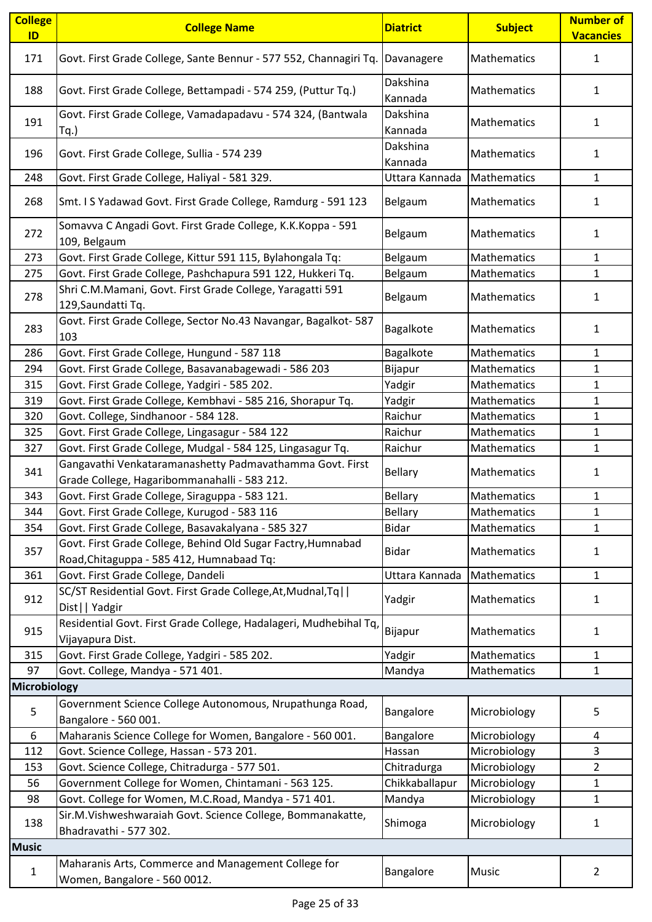| <b>College</b><br>ID | <b>College Name</b>                                                                                       | <b>Diatrict</b>     | <b>Subject</b> | <b>Number of</b><br><b>Vacancies</b> |
|----------------------|-----------------------------------------------------------------------------------------------------------|---------------------|----------------|--------------------------------------|
| 171                  | Govt. First Grade College, Sante Bennur - 577 552, Channagiri Tq.                                         | Davanagere          | Mathematics    | 1                                    |
| 188                  | Govt. First Grade College, Bettampadi - 574 259, (Puttur Tq.)                                             | Dakshina<br>Kannada | Mathematics    | 1                                    |
| 191                  | Govt. First Grade College, Vamadapadavu - 574 324, (Bantwala<br>Tq.)                                      | Dakshina<br>Kannada | Mathematics    | 1                                    |
| 196                  | Govt. First Grade College, Sullia - 574 239                                                               | Dakshina<br>Kannada | Mathematics    | $\mathbf{1}$                         |
| 248                  | Govt. First Grade College, Haliyal - 581 329.                                                             | Uttara Kannada      | Mathematics    | 1                                    |
| 268                  | Smt. I S Yadawad Govt. First Grade College, Ramdurg - 591 123                                             | Belgaum             | Mathematics    | 1                                    |
| 272                  | Somavva C Angadi Govt. First Grade College, K.K.Koppa - 591<br>109, Belgaum                               | Belgaum             | Mathematics    | $\mathbf{1}$                         |
| 273                  | Govt. First Grade College, Kittur 591 115, Bylahongala Tq:                                                | Belgaum             | Mathematics    | 1                                    |
| 275                  | Govt. First Grade College, Pashchapura 591 122, Hukkeri Tq.                                               | Belgaum             | Mathematics    | $\mathbf{1}$                         |
| 278                  | Shri C.M.Mamani, Govt. First Grade College, Yaragatti 591<br>129, Saundatti Tq.                           | Belgaum             | Mathematics    | 1                                    |
| 283                  | Govt. First Grade College, Sector No.43 Navangar, Bagalkot- 587<br>103                                    | Bagalkote           | Mathematics    | 1                                    |
| 286                  | Govt. First Grade College, Hungund - 587 118                                                              | Bagalkote           | Mathematics    | 1                                    |
| 294                  | Govt. First Grade College, Basavanabagewadi - 586 203                                                     | Bijapur             | Mathematics    | $\mathbf{1}$                         |
| 315                  | Govt. First Grade College, Yadgiri - 585 202.                                                             | Yadgir              | Mathematics    | 1                                    |
| 319                  | Govt. First Grade College, Kembhavi - 585 216, Shorapur Tq.                                               | Yadgir              | Mathematics    | $\mathbf{1}$                         |
| 320                  | Govt. College, Sindhanoor - 584 128.                                                                      | Raichur             | Mathematics    | 1                                    |
| 325                  | Govt. First Grade College, Lingasagur - 584 122                                                           | Raichur             | Mathematics    | $\mathbf{1}$                         |
| 327                  | Govt. First Grade College, Mudgal - 584 125, Lingasagur Tq.                                               | Raichur             | Mathematics    | $\mathbf{1}$                         |
| 341                  | Gangavathi Venkataramanashetty Padmavathamma Govt. First<br>Grade College, Hagaribommanahalli - 583 212.  | <b>Bellary</b>      | Mathematics    | 1                                    |
| 343                  | Govt. First Grade College, Siraguppa - 583 121.                                                           | <b>Bellary</b>      | Mathematics    | 1                                    |
| 344                  | Govt. First Grade College, Kurugod - 583 116                                                              | <b>Bellary</b>      | Mathematics    | 1                                    |
| 354                  | Govt. First Grade College, Basavakalyana - 585 327                                                        | <b>Bidar</b>        | Mathematics    | 1                                    |
| 357                  | Govt. First Grade College, Behind Old Sugar Factry, Humnabad<br>Road, Chitaguppa - 585 412, Humnabaad Tq: | <b>Bidar</b>        | Mathematics    | $\mathbf{1}$                         |
| 361                  | Govt. First Grade College, Dandeli                                                                        | Uttara Kannada      | Mathematics    | $\mathbf{1}$                         |
| 912                  | SC/ST Residential Govt. First Grade College, At, Mudnal, Tq  <br>Dist     Yadgir                          | Yadgir              | Mathematics    | 1                                    |
| 915                  | Residential Govt. First Grade College, Hadalageri, Mudhebihal Tq,<br>Vijayapura Dist.                     | Bijapur             | Mathematics    | $\mathbf{1}$                         |
| 315                  | Govt. First Grade College, Yadgiri - 585 202.                                                             | Yadgir              | Mathematics    | $\mathbf{1}$                         |
| 97                   | Govt. College, Mandya - 571 401.                                                                          | Mandya              | Mathematics    | 1                                    |
| Microbiology         |                                                                                                           |                     |                |                                      |
| 5                    | Government Science College Autonomous, Nrupathunga Road,<br>Bangalore - 560 001.                          | Bangalore           | Microbiology   | 5                                    |
| 6                    | Maharanis Science College for Women, Bangalore - 560 001.                                                 | Bangalore           | Microbiology   | 4                                    |
| 112                  | Govt. Science College, Hassan - 573 201.                                                                  | Hassan              | Microbiology   | 3                                    |
| 153                  | Govt. Science College, Chitradurga - 577 501.                                                             | Chitradurga         | Microbiology   | $\overline{2}$                       |
| 56                   | Government College for Women, Chintamani - 563 125.                                                       | Chikkaballapur      | Microbiology   | 1                                    |
| 98                   | Govt. College for Women, M.C.Road, Mandya - 571 401.                                                      | Mandya              | Microbiology   | $\mathbf{1}$                         |
|                      | Sir.M.Vishweshwaraiah Govt. Science College, Bommanakatte,                                                |                     |                |                                      |
| 138                  | Bhadravathi - 577 302.                                                                                    | Shimoga             | Microbiology   | 1                                    |
| <b>Music</b>         |                                                                                                           |                     |                |                                      |
| 1                    | Maharanis Arts, Commerce and Management College for<br>Women, Bangalore - 560 0012.                       | Bangalore           | <b>Music</b>   | $\overline{2}$                       |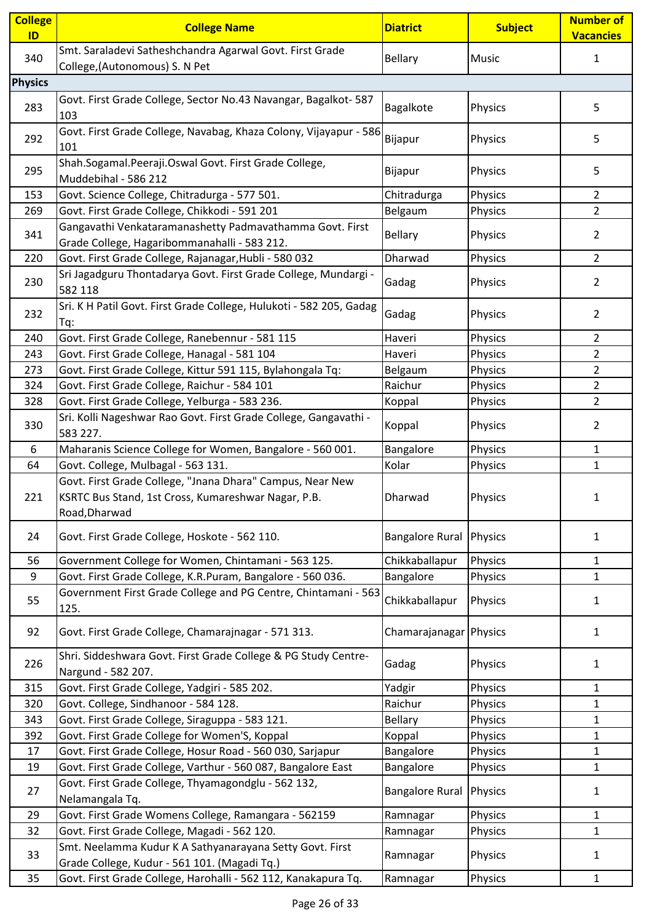| <b>College</b><br>ID | <b>College Name</b>                                                                                                               | <b>Diatrict</b>        | <b>Subject</b> | <b>Number of</b><br><b>Vacancies</b> |
|----------------------|-----------------------------------------------------------------------------------------------------------------------------------|------------------------|----------------|--------------------------------------|
| 340                  | Smt. Saraladevi Satheshchandra Agarwal Govt. First Grade<br>College, (Autonomous) S. N Pet                                        | <b>Bellary</b>         | <b>Music</b>   | 1                                    |
| <b>Physics</b>       |                                                                                                                                   |                        |                |                                      |
| 283                  | Govt. First Grade College, Sector No.43 Navangar, Bagalkot- 587<br>103                                                            | Bagalkote              | <b>Physics</b> | 5                                    |
| 292                  | Govt. First Grade College, Navabag, Khaza Colony, Vijayapur - 586<br>101                                                          | Bijapur                | Physics        | 5                                    |
| 295                  | Shah.Sogamal.Peeraji.Oswal Govt. First Grade College,<br>Muddebihal - 586 212                                                     | Bijapur                | Physics        | 5                                    |
| 153                  | Govt. Science College, Chitradurga - 577 501.                                                                                     | Chitradurga            | Physics        | $\overline{2}$                       |
| 269                  | Govt. First Grade College, Chikkodi - 591 201                                                                                     | Belgaum                | Physics        | $\overline{2}$                       |
| 341                  | Gangavathi Venkataramanashetty Padmavathamma Govt. First<br>Grade College, Hagaribommanahalli - 583 212.                          | <b>Bellary</b>         | Physics        | 2                                    |
| 220                  | Govt. First Grade College, Rajanagar, Hubli - 580 032                                                                             | Dharwad                | Physics        | $\overline{2}$                       |
| 230                  | Sri Jagadguru Thontadarya Govt. First Grade College, Mundargi -<br>582 118                                                        | Gadag                  | Physics        | 2                                    |
| 232                  | Sri. K H Patil Govt. First Grade College, Hulukoti - 582 205, Gadag<br>Tq:                                                        | Gadag                  | Physics        | $\overline{2}$                       |
| 240                  | Govt. First Grade College, Ranebennur - 581 115                                                                                   | Haveri                 | Physics        | $\overline{2}$                       |
| 243                  | Govt. First Grade College, Hanagal - 581 104                                                                                      | Haveri                 | Physics        | $\overline{2}$                       |
| 273                  | Govt. First Grade College, Kittur 591 115, Bylahongala Tq:                                                                        | Belgaum                | Physics        | $\overline{2}$                       |
| 324                  | Govt. First Grade College, Raichur - 584 101                                                                                      | Raichur                | Physics        | $\overline{2}$                       |
| 328                  | Govt. First Grade College, Yelburga - 583 236.                                                                                    | Koppal                 | Physics        | $\overline{2}$                       |
| 330                  | Sri. Kolli Nageshwar Rao Govt. First Grade College, Gangavathi -<br>583 227.                                                      | Koppal                 | Physics        | $\overline{2}$                       |
| 6                    | Maharanis Science College for Women, Bangalore - 560 001.                                                                         | Bangalore              | Physics        | 1                                    |
| 64                   | Govt. College, Mulbagal - 563 131.                                                                                                | Kolar                  | Physics        | $\mathbf{1}$                         |
| 221                  | Govt. First Grade College, "Jnana Dhara" Campus, Near New<br>KSRTC Bus Stand, 1st Cross, Kumareshwar Nagar, P.B.<br>Road, Dharwad | Dharwad                | <b>Physics</b> | 1                                    |
| 24                   | Govt. First Grade College, Hoskote - 562 110.                                                                                     | <b>Bangalore Rural</b> | Physics        | 1                                    |
| 56                   | Government College for Women, Chintamani - 563 125.                                                                               | Chikkaballapur         | Physics        | 1                                    |
| 9                    | Govt. First Grade College, K.R.Puram, Bangalore - 560 036.                                                                        | Bangalore              | Physics        | $\mathbf{1}$                         |
| 55                   | Government First Grade College and PG Centre, Chintamani - 563<br>125.                                                            | Chikkaballapur         | <b>Physics</b> | 1                                    |
| 92                   | Govt. First Grade College, Chamarajnagar - 571 313.                                                                               | Chamarajanagar Physics |                | 1                                    |
| 226                  | Shri. Siddeshwara Govt. First Grade College & PG Study Centre-<br>Nargund - 582 207.                                              | Gadag                  | <b>Physics</b> | 1                                    |
| 315                  | Govt. First Grade College, Yadgiri - 585 202.                                                                                     | Yadgir                 | Physics        | $\mathbf{1}$                         |
| 320                  | Govt. College, Sindhanoor - 584 128.                                                                                              | Raichur                | Physics        | 1                                    |
| 343                  | Govt. First Grade College, Siraguppa - 583 121.                                                                                   | <b>Bellary</b>         | Physics        | 1                                    |
| 392                  | Govt. First Grade College for Women'S, Koppal                                                                                     | Koppal                 | Physics        | $\mathbf{1}$                         |
| 17                   | Govt. First Grade College, Hosur Road - 560 030, Sarjapur                                                                         | Bangalore              | Physics        | 1                                    |
| 19                   | Govt. First Grade College, Varthur - 560 087, Bangalore East                                                                      | Bangalore              | Physics        | $\mathbf{1}$                         |
| 27                   | Govt. First Grade College, Thyamagondglu - 562 132,<br>Nelamangala Tq.                                                            | <b>Bangalore Rural</b> | Physics        | 1                                    |
| 29                   | Govt. First Grade Womens College, Ramangara - 562159                                                                              | Ramnagar               | Physics        | 1                                    |
| 32                   | Govt. First Grade College, Magadi - 562 120.                                                                                      | Ramnagar               | Physics        | 1                                    |
| 33                   | Smt. Neelamma Kudur K A Sathyanarayana Setty Govt. First<br>Grade College, Kudur - 561 101. (Magadi Tq.)                          | Ramnagar               | Physics        | 1                                    |
| 35                   | Govt. First Grade College, Harohalli - 562 112, Kanakapura Tq.                                                                    | Ramnagar               | Physics        | 1                                    |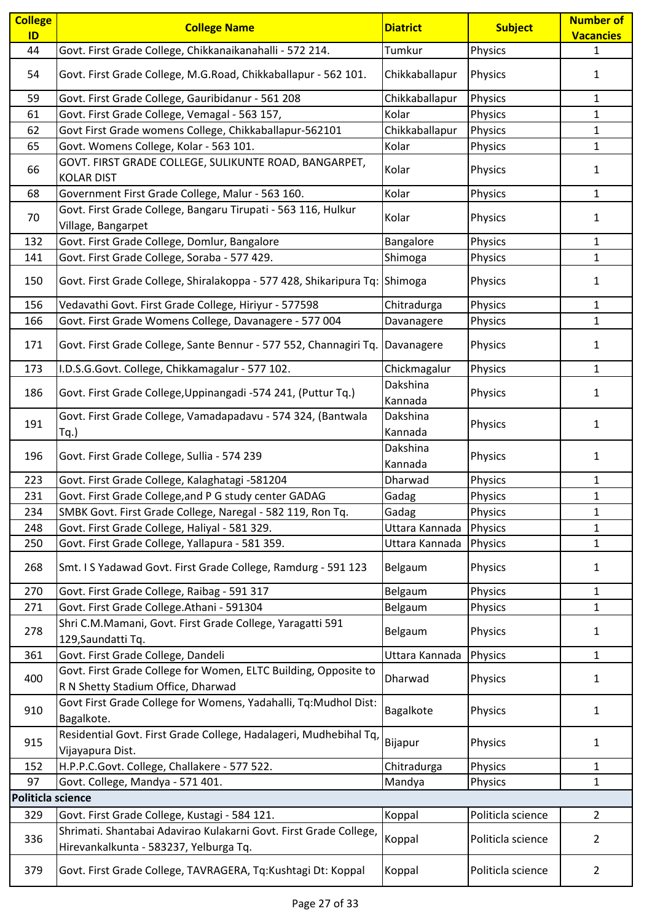| <b>College</b>    | <b>College Name</b>                                                                                         | <b>Diatrict</b>     | <b>Subject</b>    | <b>Number of</b> |
|-------------------|-------------------------------------------------------------------------------------------------------------|---------------------|-------------------|------------------|
| ID                |                                                                                                             |                     |                   | <b>Vacancies</b> |
| 44                | Govt. First Grade College, Chikkanaikanahalli - 572 214.                                                    | Tumkur              | Physics           | $\mathbf{1}$     |
| 54                | Govt. First Grade College, M.G.Road, Chikkaballapur - 562 101.                                              | Chikkaballapur      | Physics           | 1                |
| 59                | Govt. First Grade College, Gauribidanur - 561 208                                                           | Chikkaballapur      | Physics           | $\mathbf{1}$     |
| 61                | Govt. First Grade College, Vemagal - 563 157,                                                               | Kolar               | Physics           | 1                |
| 62                | Govt First Grade womens College, Chikkaballapur-562101                                                      | Chikkaballapur      | Physics           | 1                |
| 65                | Govt. Womens College, Kolar - 563 101.                                                                      | Kolar               | Physics           | $\mathbf{1}$     |
| 66                | GOVT. FIRST GRADE COLLEGE, SULIKUNTE ROAD, BANGARPET,<br><b>KOLAR DIST</b>                                  | Kolar               | Physics           | 1                |
| 68                | Government First Grade College, Malur - 563 160.                                                            | Kolar               | Physics           | $\mathbf{1}$     |
| 70                | Govt. First Grade College, Bangaru Tirupati - 563 116, Hulkur<br>Village, Bangarpet                         | Kolar               | <b>Physics</b>    | $\mathbf{1}$     |
| 132               | Govt. First Grade College, Domlur, Bangalore                                                                | Bangalore           | Physics           | $\mathbf{1}$     |
| 141               | Govt. First Grade College, Soraba - 577 429.                                                                | Shimoga             | Physics           | $\mathbf{1}$     |
| 150               | Govt. First Grade College, Shiralakoppa - 577 428, Shikaripura Tq: Shimoga                                  |                     | Physics           | 1                |
| 156               | Vedavathi Govt. First Grade College, Hiriyur - 577598                                                       | Chitradurga         | Physics           | $\mathbf{1}$     |
| 166               | Govt. First Grade Womens College, Davanagere - 577 004                                                      | Davanagere          | Physics           | $\mathbf{1}$     |
| 171               | Govt. First Grade College, Sante Bennur - 577 552, Channagiri Tq.                                           | Davanagere          | <b>Physics</b>    | 1                |
| 173               | I.D.S.G.Govt. College, Chikkamagalur - 577 102.                                                             | Chickmagalur        | Physics           | 1                |
| 186               | Govt. First Grade College, Uppinangadi -574 241, (Puttur Tq.)                                               | Dakshina<br>Kannada | Physics           | $\mathbf{1}$     |
| 191               | Govt. First Grade College, Vamadapadavu - 574 324, (Bantwala<br>$Tq.$ )                                     | Dakshina<br>Kannada | Physics           | 1                |
| 196               | Govt. First Grade College, Sullia - 574 239                                                                 | Dakshina<br>Kannada | Physics           | 1                |
| 223               | Govt. First Grade College, Kalaghatagi -581204                                                              | Dharwad             | Physics           | 1                |
| 231               | Govt. First Grade College, and P G study center GADAG                                                       | Gadag               | Physics           | $\mathbf{1}$     |
| 234               | SMBK Govt. First Grade College, Naregal - 582 119, Ron Tq.                                                  | Gadag               | Physics           | $\mathbf{1}$     |
| 248               | Govt. First Grade College, Haliyal - 581 329.                                                               | Uttara Kannada      | <b>Physics</b>    | $\mathbf{1}$     |
| 250               | Govt. First Grade College, Yallapura - 581 359.                                                             | Uttara Kannada      | Physics           | $\mathbf{1}$     |
| 268               | Smt. I S Yadawad Govt. First Grade College, Ramdurg - 591 123                                               | Belgaum             | Physics           | $\mathbf{1}$     |
| 270               | Govt. First Grade College, Raibag - 591 317                                                                 | Belgaum             | Physics           | $\mathbf{1}$     |
| 271               | Govt. First Grade College.Athani - 591304                                                                   | Belgaum             | Physics           | $\mathbf{1}$     |
| 278               | Shri C.M.Mamani, Govt. First Grade College, Yaragatti 591<br>129, Saundatti Tq.                             | Belgaum             | Physics           | $\mathbf{1}$     |
| 361               | Govt. First Grade College, Dandeli                                                                          | Uttara Kannada      | Physics           | $\mathbf{1}$     |
| 400               | Govt. First Grade College for Women, ELTC Building, Opposite to<br>R N Shetty Stadium Office, Dharwad       | Dharwad             | <b>Physics</b>    | 1                |
| 910               | Govt First Grade College for Womens, Yadahalli, Tq:Mudhol Dist:<br>Bagalkote.                               | Bagalkote           | Physics           | $\mathbf{1}$     |
| 915               | Residential Govt. First Grade College, Hadalageri, Mudhebihal Tq,<br>Vijayapura Dist.                       | Bijapur             | <b>Physics</b>    | 1                |
| 152               | H.P.P.C.Govt. College, Challakere - 577 522.                                                                | Chitradurga         | Physics           | 1                |
| 97                | Govt. College, Mandya - 571 401.                                                                            | Mandya              | Physics           | $\mathbf{1}$     |
| Politicla science |                                                                                                             |                     |                   |                  |
| 329               | Govt. First Grade College, Kustagi - 584 121.                                                               | Koppal              | Politicla science | $\overline{2}$   |
| 336               | Shrimati. Shantabai Adavirao Kulakarni Govt. First Grade College,<br>Hirevankalkunta - 583237, Yelburga Tq. | Koppal              | Politicla science | $\overline{2}$   |
| 379               | Govt. First Grade College, TAVRAGERA, Tq:Kushtagi Dt: Koppal                                                | Koppal              | Politicla science | $\overline{2}$   |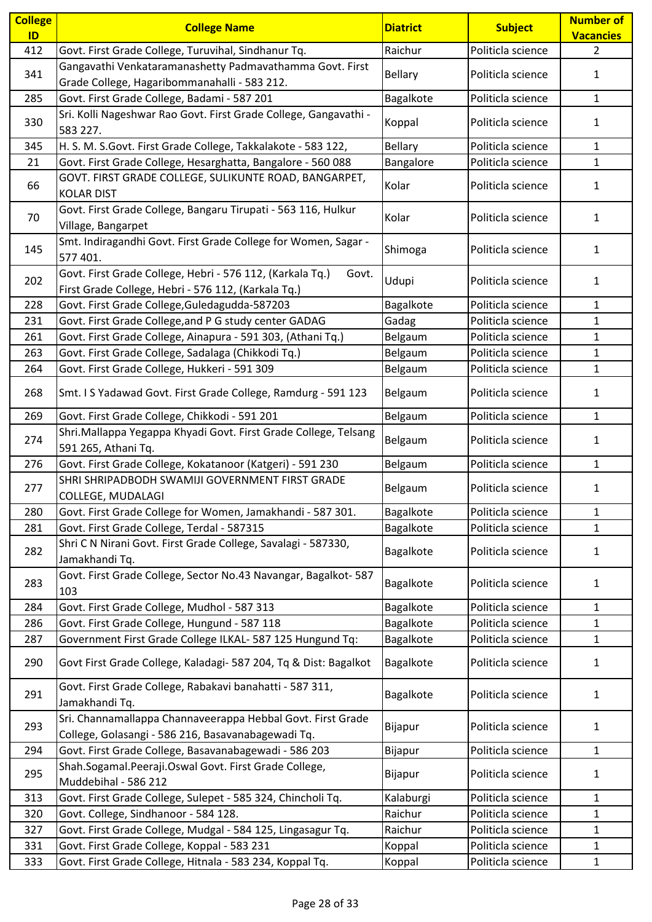| <b>College</b><br>ID | <b>College Name</b>                                                                                                       | <b>Diatrict</b> | <b>Subject</b>    | <b>Number of</b><br><b>Vacancies</b> |
|----------------------|---------------------------------------------------------------------------------------------------------------------------|-----------------|-------------------|--------------------------------------|
| 412                  | Govt. First Grade College, Turuvihal, Sindhanur Tq.                                                                       | Raichur         | Politicla science | $\overline{2}$                       |
|                      | Gangavathi Venkataramanashetty Padmavathamma Govt. First                                                                  |                 |                   |                                      |
| 341                  | Grade College, Hagaribommanahalli - 583 212.                                                                              | <b>Bellary</b>  | Politicla science | $\mathbf{1}$                         |
| 285                  | Govt. First Grade College, Badami - 587 201                                                                               | Bagalkote       | Politicla science | $\mathbf{1}$                         |
| 330                  | Sri. Kolli Nageshwar Rao Govt. First Grade College, Gangavathi -<br>583 227.                                              | Koppal          | Politicla science | $\mathbf{1}$                         |
| 345                  | H. S. M. S.Govt. First Grade College, Takkalakote - 583 122,                                                              | Bellary         | Politicla science | $\mathbf{1}$                         |
| 21                   | Govt. First Grade College, Hesarghatta, Bangalore - 560 088                                                               | Bangalore       | Politicla science | $\mathbf{1}$                         |
| 66                   | GOVT. FIRST GRADE COLLEGE, SULIKUNTE ROAD, BANGARPET,<br><b>KOLAR DIST</b>                                                | Kolar           | Politicla science | $\mathbf{1}$                         |
| 70                   | Govt. First Grade College, Bangaru Tirupati - 563 116, Hulkur<br>Village, Bangarpet                                       | Kolar           | Politicla science | $\mathbf{1}$                         |
| 145                  | Smt. Indiragandhi Govt. First Grade College for Women, Sagar -<br>577 401.                                                | Shimoga         | Politicla science | $\mathbf{1}$                         |
| 202                  | Govt. First Grade College, Hebri - 576 112, (Karkala Tq.)<br>Govt.<br>First Grade College, Hebri - 576 112, (Karkala Tq.) | Udupi           | Politicla science | $\mathbf{1}$                         |
| 228                  | Govt. First Grade College, Guledagudda-587203                                                                             | Bagalkote       | Politicla science | 1                                    |
| 231                  | Govt. First Grade College, and P G study center GADAG                                                                     | Gadag           | Politicla science | $\mathbf{1}$                         |
| 261                  | Govt. First Grade College, Ainapura - 591 303, (Athani Tq.)                                                               | Belgaum         | Politicla science | $\mathbf{1}$                         |
| 263                  | Govt. First Grade College, Sadalaga (Chikkodi Tq.)                                                                        | Belgaum         | Politicla science | $\mathbf{1}$                         |
| 264                  | Govt. First Grade College, Hukkeri - 591 309                                                                              | Belgaum         | Politicla science | $\mathbf{1}$                         |
| 268                  | Smt. I S Yadawad Govt. First Grade College, Ramdurg - 591 123                                                             | Belgaum         | Politicla science | 1                                    |
| 269                  | Govt. First Grade College, Chikkodi - 591 201                                                                             | Belgaum         | Politicla science | $\mathbf{1}$                         |
| 274                  | Shri.Mallappa Yegappa Khyadi Govt. First Grade College, Telsang<br>591 265, Athani Tq.                                    | Belgaum         | Politicla science | $\mathbf{1}$                         |
| 276                  | Govt. First Grade College, Kokatanoor (Katgeri) - 591 230                                                                 | Belgaum         | Politicla science | $\mathbf{1}$                         |
| 277                  | SHRI SHRIPADBODH SWAMIJI GOVERNMENT FIRST GRADE<br>COLLEGE, MUDALAGI                                                      | Belgaum         | Politicla science | 1                                    |
| 280                  | Govt. First Grade College for Women, Jamakhandi - 587 301.                                                                | Bagalkote       | Politicla science | $\mathbf{1}$                         |
| 281                  | Govt. First Grade College, Terdal - 587315                                                                                | Bagalkote       | Politicla science | $\mathbf{1}$                         |
| 282                  | Shri C N Nirani Govt. First Grade College, Savalagi - 587330,<br>Jamakhandi Tq.                                           | Bagalkote       | Politicla science | $\mathbf{1}$                         |
| 283                  | Govt. First Grade College, Sector No.43 Navangar, Bagalkot- 587<br>103                                                    | Bagalkote       | Politicla science | $\mathbf{1}$                         |
| 284                  | Govt. First Grade College, Mudhol - 587 313                                                                               | Bagalkote       | Politicla science | 1                                    |
| 286                  | Govt. First Grade College, Hungund - 587 118                                                                              | Bagalkote       | Politicla science | $\mathbf{1}$                         |
| 287                  | Government First Grade College ILKAL- 587 125 Hungund Tq:                                                                 | Bagalkote       | Politicla science | $\mathbf{1}$                         |
| 290                  | Govt First Grade College, Kaladagi- 587 204, Tq & Dist: Bagalkot                                                          | Bagalkote       | Politicla science | $\mathbf{1}$                         |
| 291                  | Govt. First Grade College, Rabakavi banahatti - 587 311,<br>Jamakhandi Tq.                                                | Bagalkote       | Politicla science | $\mathbf{1}$                         |
| 293                  | Sri. Channamallappa Channaveerappa Hebbal Govt. First Grade<br>College, Golasangi - 586 216, Basavanabagewadi Tq.         | Bijapur         | Politicla science | $\mathbf{1}$                         |
| 294                  | Govt. First Grade College, Basavanabagewadi - 586 203                                                                     | Bijapur         | Politicla science | $\mathbf{1}$                         |
|                      | Shah.Sogamal.Peeraji.Oswal Govt. First Grade College,                                                                     |                 |                   |                                      |
| 295                  | Muddebihal - 586 212                                                                                                      | Bijapur         | Politicla science | $\mathbf{1}$                         |
| 313                  | Govt. First Grade College, Sulepet - 585 324, Chincholi Tq.                                                               | Kalaburgi       | Politicla science | 1                                    |
| 320                  | Govt. College, Sindhanoor - 584 128.                                                                                      | Raichur         | Politicla science | $\mathbf{1}$                         |
| 327                  | Govt. First Grade College, Mudgal - 584 125, Lingasagur Tq.                                                               | Raichur         | Politicla science | $\mathbf{1}$                         |
| 331                  | Govt. First Grade College, Koppal - 583 231                                                                               | Koppal          | Politicla science | $\mathbf{1}$                         |
| 333                  | Govt. First Grade College, Hitnala - 583 234, Koppal Tq.                                                                  | Koppal          | Politicla science | $\mathbf{1}$                         |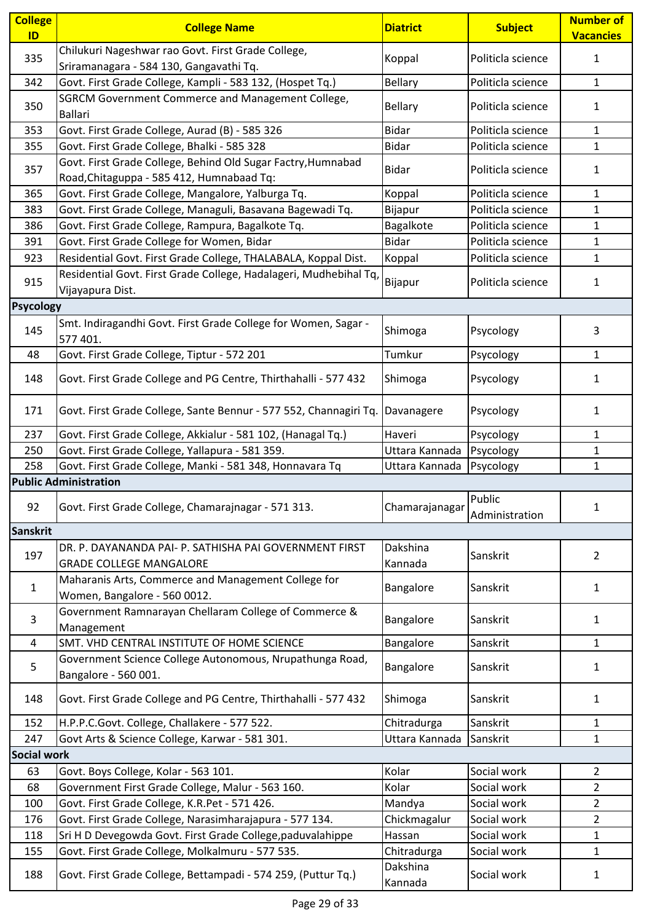| <b>College</b><br>ID | <b>College Name</b>                                                                                       | <b>Diatrict</b>     | <b>Subject</b>           | <b>Number of</b><br><b>Vacancies</b> |
|----------------------|-----------------------------------------------------------------------------------------------------------|---------------------|--------------------------|--------------------------------------|
| 335                  | Chilukuri Nageshwar rao Govt. First Grade College,<br>Sriramanagara - 584 130, Gangavathi Tq.             | Koppal              | Politicla science        | $\mathbf{1}$                         |
| 342                  | Govt. First Grade College, Kampli - 583 132, (Hospet Tq.)                                                 | <b>Bellary</b>      | Politicla science        | $\mathbf{1}$                         |
| 350                  | SGRCM Government Commerce and Management College,<br><b>Ballari</b>                                       | <b>Bellary</b>      | Politicla science        | 1                                    |
| 353                  | Govt. First Grade College, Aurad (B) - 585 326                                                            | <b>Bidar</b>        | Politicla science        | $\mathbf{1}$                         |
| 355                  | Govt. First Grade College, Bhalki - 585 328                                                               | <b>Bidar</b>        | Politicla science        | $\mathbf{1}$                         |
| 357                  | Govt. First Grade College, Behind Old Sugar Factry, Humnabad<br>Road, Chitaguppa - 585 412, Humnabaad Tq: | <b>Bidar</b>        | Politicla science        | 1                                    |
| 365                  | Govt. First Grade College, Mangalore, Yalburga Tq.                                                        | Koppal              | Politicla science        | $\mathbf{1}$                         |
| 383                  | Govt. First Grade College, Managuli, Basavana Bagewadi Tq.                                                | Bijapur             | Politicla science        | 1                                    |
| 386                  | Govt. First Grade College, Rampura, Bagalkote Tq.                                                         | Bagalkote           | Politicla science        | $\mathbf{1}$                         |
| 391                  | Govt. First Grade College for Women, Bidar                                                                | <b>Bidar</b>        | Politicla science        | 1                                    |
| 923                  | Residential Govt. First Grade College, THALABALA, Koppal Dist.                                            | Koppal              | Politicla science        | $\mathbf{1}$                         |
| 915                  | Residential Govt. First Grade College, Hadalageri, Mudhebihal Tq,<br>Vijayapura Dist.                     | Bijapur             | Politicla science        | 1                                    |
| <b>Psycology</b>     |                                                                                                           |                     |                          |                                      |
| 145                  | Smt. Indiragandhi Govt. First Grade College for Women, Sagar -<br>577 401.                                | Shimoga             | Psycology                | 3                                    |
| 48                   | Govt. First Grade College, Tiptur - 572 201                                                               | Tumkur              | Psycology                | $\mathbf{1}$                         |
| 148                  | Govt. First Grade College and PG Centre, Thirthahalli - 577 432                                           | Shimoga             | Psycology                | 1                                    |
| 171                  | Govt. First Grade College, Sante Bennur - 577 552, Channagiri Tq.                                         | Davanagere          | Psycology                | 1                                    |
| 237                  | Govt. First Grade College, Akkialur - 581 102, (Hanagal Tq.)                                              | Haveri              | Psycology                | $\mathbf{1}$                         |
| 250                  | Govt. First Grade College, Yallapura - 581 359.                                                           | Uttara Kannada      | Psycology                | $\mathbf{1}$                         |
| 258                  | Govt. First Grade College, Manki - 581 348, Honnavara Tq                                                  | Uttara Kannada      | Psycology                | $\mathbf{1}$                         |
|                      | <b>Public Administration</b>                                                                              |                     |                          |                                      |
| 92                   | Govt. First Grade College, Chamarajnagar - 571 313.                                                       | Chamarajanagar      | Public<br>Administration | 1                                    |
| <b>Sanskrit</b>      |                                                                                                           |                     |                          |                                      |
| 197                  | DR. P. DAYANANDA PAI- P. SATHISHA PAI GOVERNMENT FIRST<br><b>GRADE COLLEGE MANGALORE</b>                  | Dakshina<br>Kannada | Sanskrit                 | $\overline{2}$                       |
| $\mathbf{1}$         | Maharanis Arts, Commerce and Management College for<br>Women, Bangalore - 560 0012.                       | Bangalore           | Sanskrit                 | 1                                    |
| 3                    | Government Ramnarayan Chellaram College of Commerce &<br>Management                                       | Bangalore           | Sanskrit                 | $\mathbf{1}$                         |
| 4                    | SMT. VHD CENTRAL INSTITUTE OF HOME SCIENCE                                                                | Bangalore           | Sanskrit                 | $\mathbf{1}$                         |
| 5                    | Government Science College Autonomous, Nrupathunga Road,<br>Bangalore - 560 001.                          | Bangalore           | Sanskrit                 | $\mathbf{1}$                         |
| 148                  | Govt. First Grade College and PG Centre, Thirthahalli - 577 432                                           | Shimoga             | Sanskrit                 | $\mathbf{1}$                         |
| 152                  | H.P.P.C.Govt. College, Challakere - 577 522.                                                              | Chitradurga         | Sanskrit                 | $\mathbf{1}$                         |
| 247                  | Govt Arts & Science College, Karwar - 581 301.                                                            | Uttara Kannada      | Sanskrit                 | $\mathbf{1}$                         |
| <b>Social work</b>   |                                                                                                           |                     |                          |                                      |
| 63                   | Govt. Boys College, Kolar - 563 101.                                                                      | Kolar               | Social work              | $\overline{2}$                       |
| 68                   | Government First Grade College, Malur - 563 160.                                                          | Kolar               | Social work              | $\overline{2}$                       |
| 100                  | Govt. First Grade College, K.R.Pet - 571 426.                                                             | Mandya              | Social work              | $\overline{2}$                       |
| 176                  | Govt. First Grade College, Narasimharajapura - 577 134.                                                   | Chickmagalur        | Social work              | $\overline{2}$                       |
| 118                  | Sri H D Devegowda Govt. First Grade College, paduvalahippe                                                | Hassan              | Social work              | $\mathbf{1}$                         |
| 155                  | Govt. First Grade College, Molkalmuru - 577 535.                                                          | Chitradurga         | Social work              | $\mathbf{1}$                         |
| 188                  | Govt. First Grade College, Bettampadi - 574 259, (Puttur Tq.)                                             | Dakshina<br>Kannada | Social work              | 1                                    |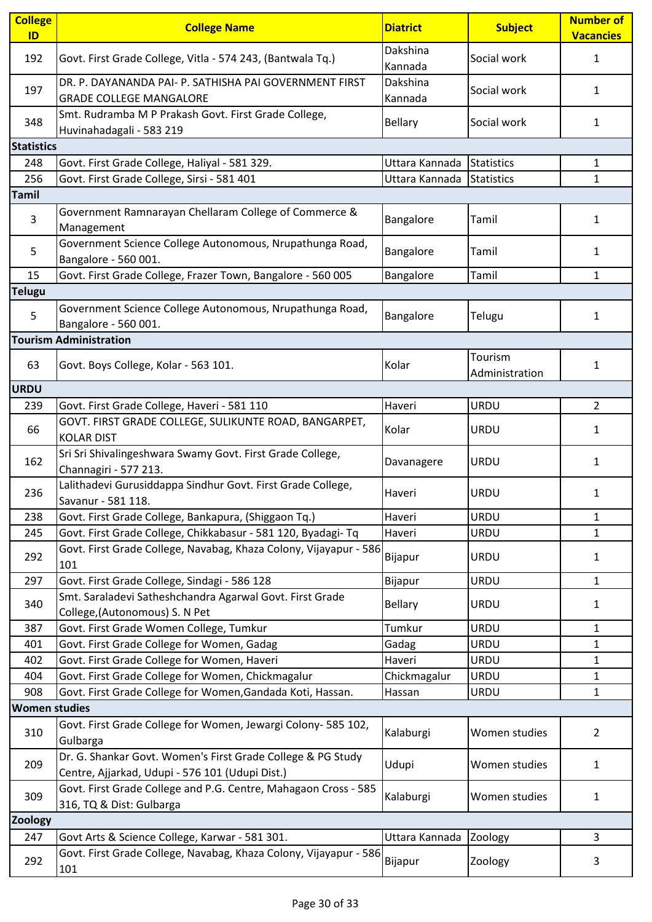| <b>College</b><br>ID | <b>College Name</b>                                                                                            | <b>Diatrict</b>     | <b>Subject</b>            | <b>Number of</b><br><b>Vacancies</b> |
|----------------------|----------------------------------------------------------------------------------------------------------------|---------------------|---------------------------|--------------------------------------|
| 192                  | Govt. First Grade College, Vitla - 574 243, (Bantwala Tq.)                                                     | Dakshina<br>Kannada | Social work               | $\mathbf{1}$                         |
| 197                  | DR. P. DAYANANDA PAI- P. SATHISHA PAI GOVERNMENT FIRST<br><b>GRADE COLLEGE MANGALORE</b>                       | Dakshina<br>Kannada | Social work               | 1                                    |
| 348                  | Smt. Rudramba M P Prakash Govt. First Grade College,<br>Huvinahadagali - 583 219                               | <b>Bellary</b>      | Social work               | $\mathbf{1}$                         |
| <b>Statistics</b>    |                                                                                                                |                     |                           |                                      |
| 248                  | Govt. First Grade College, Haliyal - 581 329.                                                                  | Uttara Kannada      | Statistics                | $\mathbf{1}$                         |
| 256                  | Govt. First Grade College, Sirsi - 581 401                                                                     | Uttara Kannada      | Statistics                | $\mathbf{1}$                         |
| <b>Tamil</b>         |                                                                                                                |                     |                           |                                      |
| 3                    | Government Ramnarayan Chellaram College of Commerce &<br>Management                                            | Bangalore           | Tamil                     | 1                                    |
| 5                    | Government Science College Autonomous, Nrupathunga Road,<br>Bangalore - 560 001.                               | Bangalore           | Tamil                     | 1                                    |
| 15                   | Govt. First Grade College, Frazer Town, Bangalore - 560 005                                                    | Bangalore           | Tamil                     | $\mathbf{1}$                         |
| <b>Telugu</b>        |                                                                                                                |                     |                           |                                      |
| 5                    | Government Science College Autonomous, Nrupathunga Road,<br>Bangalore - 560 001.                               | Bangalore           | Telugu                    | $\mathbf{1}$                         |
|                      | <b>Tourism Administration</b>                                                                                  |                     |                           |                                      |
| 63                   | Govt. Boys College, Kolar - 563 101.                                                                           | Kolar               | Tourism<br>Administration | $\mathbf{1}$                         |
| <b>URDU</b>          |                                                                                                                |                     |                           |                                      |
| 239                  | Govt. First Grade College, Haveri - 581 110                                                                    | Haveri              | <b>URDU</b>               | 2                                    |
| 66                   | GOVT. FIRST GRADE COLLEGE, SULIKUNTE ROAD, BANGARPET,<br><b>KOLAR DIST</b>                                     | Kolar               | <b>URDU</b>               | 1                                    |
| 162                  | Sri Sri Shivalingeshwara Swamy Govt. First Grade College,<br>Channagiri - 577 213.                             | Davanagere          | URDU                      | $\mathbf{1}$                         |
| 236                  | Lalithadevi Gurusiddappa Sindhur Govt. First Grade College,<br>Savanur - 581 118.                              | Haveri              | <b>URDU</b>               | 1                                    |
| 238                  | Govt. First Grade College, Bankapura, (Shiggaon Tq.)                                                           | Haveri              | <b>URDU</b>               | $\mathbf{1}$                         |
| 245                  | Govt. First Grade College, Chikkabasur - 581 120, Byadagi- Tq                                                  | Haveri              | <b>URDU</b>               | $\mathbf{1}$                         |
| 292                  | Govt. First Grade College, Navabag, Khaza Colony, Vijayapur - 586<br>101                                       | Bijapur             | <b>URDU</b>               | 1                                    |
| 297                  | Govt. First Grade College, Sindagi - 586 128                                                                   | Bijapur             | URDU                      | $\mathbf{1}$                         |
| 340                  | Smt. Saraladevi Satheshchandra Agarwal Govt. First Grade<br>College, (Autonomous) S. N Pet                     | <b>Bellary</b>      | <b>URDU</b>               | $\mathbf{1}$                         |
| 387                  | Govt. First Grade Women College, Tumkur                                                                        | Tumkur              | <b>URDU</b>               | $\mathbf{1}$                         |
| 401                  | Govt. First Grade College for Women, Gadag                                                                     | Gadag               | <b>URDU</b>               | $\mathbf{1}$                         |
| 402                  | Govt. First Grade College for Women, Haveri                                                                    | Haveri              | <b>URDU</b>               | 1                                    |
| 404                  | Govt. First Grade College for Women, Chickmagalur                                                              | Chickmagalur        | <b>URDU</b>               | $\mathbf{1}$                         |
| 908                  | Govt. First Grade College for Women, Gandada Koti, Hassan.                                                     | Hassan              | <b>URDU</b>               | $\mathbf{1}$                         |
| <b>Women studies</b> |                                                                                                                |                     |                           |                                      |
| 310                  | Govt. First Grade College for Women, Jewargi Colony- 585 102,<br>Gulbarga                                      | Kalaburgi           | Women studies             | $\overline{2}$                       |
| 209                  | Dr. G. Shankar Govt. Women's First Grade College & PG Study<br>Centre, Ajjarkad, Udupi - 576 101 (Udupi Dist.) | Udupi               | Women studies             | 1                                    |
| 309                  | Govt. First Grade College and P.G. Centre, Mahagaon Cross - 585<br>316, TQ & Dist: Gulbarga                    | Kalaburgi           | Women studies             | $\mathbf{1}$                         |
| <b>Zoology</b>       |                                                                                                                |                     |                           |                                      |
| 247                  | Govt Arts & Science College, Karwar - 581 301.                                                                 | Uttara Kannada      | Zoology                   | 3                                    |
| 292                  | Govt. First Grade College, Navabag, Khaza Colony, Vijayapur - 586<br>101                                       | Bijapur             | Zoology                   | 3                                    |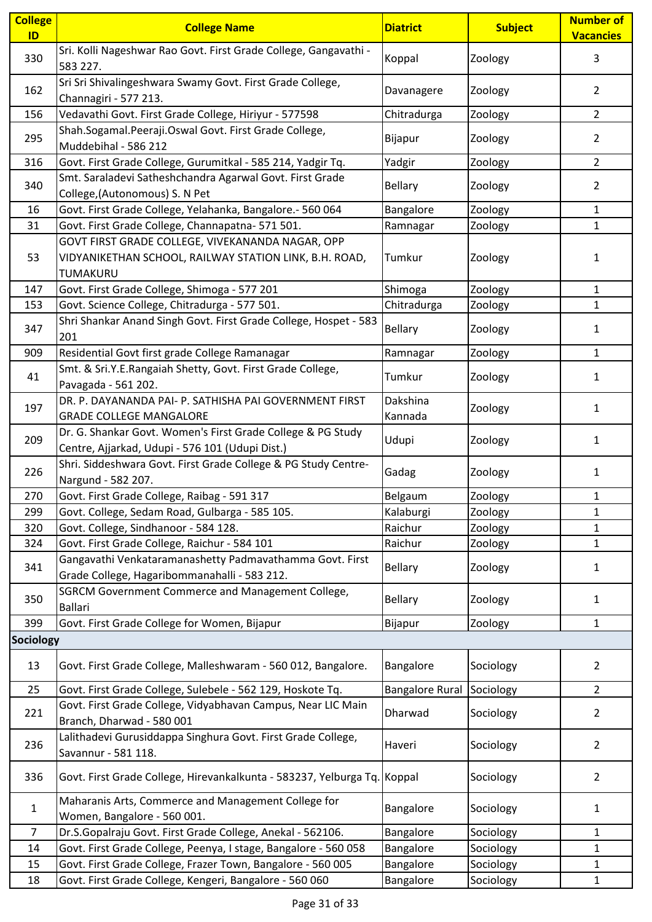| <b>College</b><br>ID | <b>College Name</b>                                                                                                    | <b>Diatrict</b>        | <b>Subject</b> | <b>Number of</b><br><b>Vacancies</b> |
|----------------------|------------------------------------------------------------------------------------------------------------------------|------------------------|----------------|--------------------------------------|
| 330                  | Sri. Kolli Nageshwar Rao Govt. First Grade College, Gangavathi -<br>583 227.                                           | Koppal                 | Zoology        | 3                                    |
| 162                  | Sri Sri Shivalingeshwara Swamy Govt. First Grade College,<br>Channagiri - 577 213.                                     | Davanagere             | Zoology        | $\overline{2}$                       |
| 156                  | Vedavathi Govt. First Grade College, Hiriyur - 577598                                                                  | Chitradurga            | Zoology        | $\overline{2}$                       |
| 295                  | Shah.Sogamal.Peeraji.Oswal Govt. First Grade College,<br>Muddebihal - 586 212                                          | Bijapur                | Zoology        | $\overline{2}$                       |
| 316                  | Govt. First Grade College, Gurumitkal - 585 214, Yadgir Tq.                                                            | Yadgir                 | Zoology        | $\overline{2}$                       |
| 340                  | Smt. Saraladevi Satheshchandra Agarwal Govt. First Grade<br>College, (Autonomous) S. N Pet                             | Bellary                | Zoology        | 2                                    |
| 16                   | Govt. First Grade College, Yelahanka, Bangalore.- 560 064                                                              | Bangalore              | Zoology        | 1                                    |
| 31                   | Govt. First Grade College, Channapatna- 571 501.                                                                       | Ramnagar               | Zoology        | $\mathbf{1}$                         |
| 53                   | GOVT FIRST GRADE COLLEGE, VIVEKANANDA NAGAR, OPP<br>VIDYANIKETHAN SCHOOL, RAILWAY STATION LINK, B.H. ROAD,<br>TUMAKURU | Tumkur                 | Zoology        | 1                                    |
| 147                  | Govt. First Grade College, Shimoga - 577 201                                                                           | Shimoga                | Zoology        | 1                                    |
| 153                  | Govt. Science College, Chitradurga - 577 501.                                                                          | Chitradurga            | Zoology        | $\mathbf{1}$                         |
| 347                  | Shri Shankar Anand Singh Govt. First Grade College, Hospet - 583<br>201                                                | <b>Bellary</b>         | Zoology        | 1                                    |
| 909                  | Residential Govt first grade College Ramanagar                                                                         | Ramnagar               | Zoology        | $\mathbf{1}$                         |
| 41                   | Smt. & Sri.Y.E.Rangaiah Shetty, Govt. First Grade College,<br>Pavagada - 561 202.                                      | Tumkur                 | Zoology        | 1                                    |
|                      | DR. P. DAYANANDA PAI- P. SATHISHA PAI GOVERNMENT FIRST                                                                 | Dakshina               |                |                                      |
| 197                  | <b>GRADE COLLEGE MANGALORE</b>                                                                                         | Kannada                | Zoology        | 1                                    |
| 209                  | Dr. G. Shankar Govt. Women's First Grade College & PG Study<br>Centre, Ajjarkad, Udupi - 576 101 (Udupi Dist.)         | Udupi                  | Zoology        | 1                                    |
| 226                  | Shri. Siddeshwara Govt. First Grade College & PG Study Centre-<br>Nargund - 582 207.                                   | Gadag                  | Zoology        | 1                                    |
| 270                  | Govt. First Grade College, Raibag - 591 317                                                                            | Belgaum                | Zoology        | 1                                    |
| 299                  | Govt. College, Sedam Road, Gulbarga - 585 105.                                                                         | Kalaburgi              | Zoology        | 1                                    |
| 320                  | Govt. College, Sindhanoor - 584 128.                                                                                   | Raichur                | Zoology        | $\mathbf{1}$                         |
| 324                  | Govt. First Grade College, Raichur - 584 101                                                                           | Raichur                | Zoology        | $\mathbf{1}$                         |
| 341                  | Gangavathi Venkataramanashetty Padmavathamma Govt. First<br>Grade College, Hagaribommanahalli - 583 212.               | <b>Bellary</b>         | Zoology        | 1                                    |
| 350                  | SGRCM Government Commerce and Management College,<br><b>Ballari</b>                                                    | <b>Bellary</b>         | Zoology        | 1                                    |
| 399                  | Govt. First Grade College for Women, Bijapur                                                                           | Bijapur                | Zoology        | 1                                    |
| <b>Sociology</b>     |                                                                                                                        |                        |                |                                      |
| 13                   | Govt. First Grade College, Malleshwaram - 560 012, Bangalore.                                                          | Bangalore              | Sociology      | 2                                    |
| 25                   | Govt. First Grade College, Sulebele - 562 129, Hoskote Tq.                                                             | <b>Bangalore Rural</b> | Sociology      | $\overline{2}$                       |
| 221                  | Govt. First Grade College, Vidyabhavan Campus, Near LIC Main                                                           | Dharwad                | Sociology      | 2                                    |
|                      | Branch, Dharwad - 580 001                                                                                              |                        |                |                                      |
| 236                  | Lalithadevi Gurusiddappa Singhura Govt. First Grade College,<br>Savannur - 581 118.                                    | Haveri                 | Sociology      | 2                                    |
| 336                  | Govt. First Grade College, Hirevankalkunta - 583237, Yelburga Tq.                                                      | Koppal                 | Sociology      | $\overline{2}$                       |
| $\mathbf{1}$         | Maharanis Arts, Commerce and Management College for<br>Women, Bangalore - 560 001.                                     | Bangalore              | Sociology      | 1                                    |
| $\overline{7}$       | Dr.S.Gopalraju Govt. First Grade College, Anekal - 562106.                                                             | Bangalore              | Sociology      | $\mathbf{1}$                         |
| 14                   | Govt. First Grade College, Peenya, I stage, Bangalore - 560 058                                                        | Bangalore              | Sociology      | 1                                    |
| 15                   | Govt. First Grade College, Frazer Town, Bangalore - 560 005                                                            | Bangalore              | Sociology      | $\mathbf{1}$                         |
| 18                   | Govt. First Grade College, Kengeri, Bangalore - 560 060                                                                | Bangalore              | Sociology      | $\mathbf{1}$                         |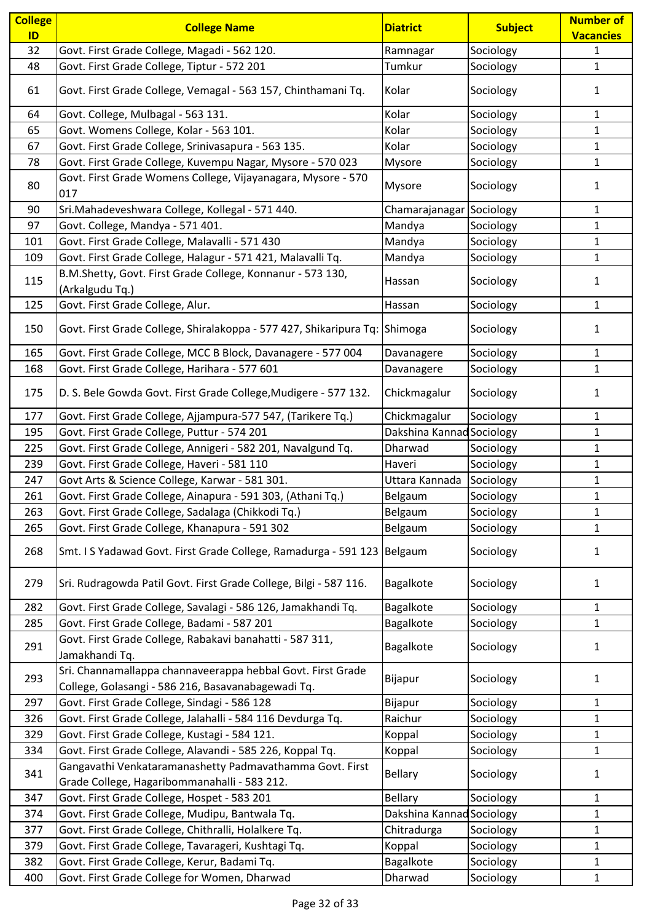| <b>College</b><br>ID | <b>College Name</b>                                                                                               | <b>Diatrict</b>           | <b>Subject</b> | <b>Number of</b><br><b>Vacancies</b> |
|----------------------|-------------------------------------------------------------------------------------------------------------------|---------------------------|----------------|--------------------------------------|
| 32                   | Govt. First Grade College, Magadi - 562 120.                                                                      | Ramnagar                  | Sociology      | $\mathbf{1}$                         |
| 48                   | Govt. First Grade College, Tiptur - 572 201                                                                       | Tumkur                    | Sociology      | $\mathbf{1}$                         |
| 61                   | Govt. First Grade College, Vemagal - 563 157, Chinthamani Tq.                                                     | Kolar                     | Sociology      | 1                                    |
| 64                   | Govt. College, Mulbagal - 563 131.                                                                                | Kolar                     | Sociology      | $\mathbf{1}$                         |
| 65                   | Govt. Womens College, Kolar - 563 101.                                                                            | Kolar                     | Sociology      | $\mathbf{1}$                         |
| 67                   | Govt. First Grade College, Srinivasapura - 563 135.                                                               | Kolar                     | Sociology      | 1                                    |
| 78                   | Govt. First Grade College, Kuvempu Nagar, Mysore - 570 023                                                        | Mysore                    | Sociology      | $\mathbf{1}$                         |
| 80                   | Govt. First Grade Womens College, Vijayanagara, Mysore - 570<br>017                                               | Mysore                    | Sociology      | 1                                    |
| 90                   | Sri.Mahadeveshwara College, Kollegal - 571 440.                                                                   | Chamarajanagar Sociology  |                | 1                                    |
| 97                   | Govt. College, Mandya - 571 401.                                                                                  | Mandya                    | Sociology      | 1                                    |
| 101                  | Govt. First Grade College, Malavalli - 571 430                                                                    | Mandya                    | Sociology      | 1                                    |
| 109                  | Govt. First Grade College, Halagur - 571 421, Malavalli Tq.                                                       | Mandya                    | Sociology      | $\mathbf{1}$                         |
| 115                  | B.M.Shetty, Govt. First Grade College, Konnanur - 573 130,<br>(Arkalgudu Tq.)                                     | Hassan                    | Sociology      | 1                                    |
| 125                  | Govt. First Grade College, Alur.                                                                                  | Hassan                    | Sociology      | $\mathbf{1}$                         |
| 150                  | Govt. First Grade College, Shiralakoppa - 577 427, Shikaripura Tq: Shimoga                                        |                           | Sociology      | 1                                    |
| 165                  | Govt. First Grade College, MCC B Block, Davanagere - 577 004                                                      | Davanagere                | Sociology      | 1                                    |
| 168                  | Govt. First Grade College, Harihara - 577 601                                                                     | Davanagere                | Sociology      | $\mathbf{1}$                         |
| 175                  | D. S. Bele Gowda Govt. First Grade College, Mudigere - 577 132.                                                   | Chickmagalur              | Sociology      | 1                                    |
| 177                  | Govt. First Grade College, Ajjampura-577 547, (Tarikere Tq.)                                                      | Chickmagalur              | Sociology      | 1                                    |
| 195                  | Govt. First Grade College, Puttur - 574 201                                                                       | Dakshina Kannad Sociology |                | $\mathbf{1}$                         |
| 225                  | Govt. First Grade College, Annigeri - 582 201, Navalgund Tq.                                                      | Dharwad                   | Sociology      | $\mathbf{1}$                         |
| 239                  | Govt. First Grade College, Haveri - 581 110                                                                       | Haveri                    | Sociology      | $\mathbf{1}$                         |
| 247                  | Govt Arts & Science College, Karwar - 581 301.                                                                    | Uttara Kannada            | Sociology      | $\mathbf{1}$                         |
| 261                  | Govt. First Grade College, Ainapura - 591 303, (Athani Tq.)                                                       | Belgaum                   | Sociology      | $\mathbf{1}$                         |
| 263                  | Govt. First Grade College, Sadalaga (Chikkodi Tq.)                                                                | Belgaum                   | Sociology      | $\mathbf{1}$                         |
| 265                  | Govt. First Grade College, Khanapura - 591 302                                                                    | Belgaum                   | Sociology      | 1                                    |
| 268                  | Smt. I S Yadawad Govt. First Grade College, Ramadurga - 591 123                                                   | Belgaum                   | Sociology      | 1                                    |
| 279                  | Sri. Rudragowda Patil Govt. First Grade College, Bilgi - 587 116.                                                 | Bagalkote                 | Sociology      | $\mathbf{1}$                         |
| 282                  | Govt. First Grade College, Savalagi - 586 126, Jamakhandi Tq.                                                     | Bagalkote                 | Sociology      | 1                                    |
| 285                  | Govt. First Grade College, Badami - 587 201                                                                       | Bagalkote                 | Sociology      | $\mathbf{1}$                         |
| 291                  | Govt. First Grade College, Rabakavi banahatti - 587 311,<br>Jamakhandi Tq.                                        | Bagalkote                 | Sociology      | 1                                    |
| 293                  | Sri. Channamallappa channaveerappa hebbal Govt. First Grade<br>College, Golasangi - 586 216, Basavanabagewadi Tq. | Bijapur                   | Sociology      | 1                                    |
| 297                  | Govt. First Grade College, Sindagi - 586 128                                                                      | Bijapur                   | Sociology      | 1                                    |
| 326                  | Govt. First Grade College, Jalahalli - 584 116 Devdurga Tq.                                                       | Raichur                   | Sociology      | $\mathbf{1}$                         |
| 329                  | Govt. First Grade College, Kustagi - 584 121.                                                                     | Koppal                    | Sociology      | $\mathbf{1}$                         |
| 334                  | Govt. First Grade College, Alavandi - 585 226, Koppal Tq.                                                         | Koppal                    | Sociology      | $\mathbf{1}$                         |
| 341                  | Gangavathi Venkataramanashetty Padmavathamma Govt. First<br>Grade College, Hagaribommanahalli - 583 212.          | <b>Bellary</b>            | Sociology      | 1                                    |
| 347                  | Govt. First Grade College, Hospet - 583 201                                                                       | <b>Bellary</b>            | Sociology      | 1                                    |
| 374                  | Govt. First Grade College, Mudipu, Bantwala Tq.                                                                   | Dakshina Kannad Sociology |                | $\mathbf{1}$                         |
| 377                  | Govt. First Grade College, Chithralli, Holalkere Tq.                                                              | Chitradurga               | Sociology      | 1                                    |
| 379                  | Govt. First Grade College, Tavarageri, Kushtagi Tq.                                                               | Koppal                    | Sociology      | $\mathbf{1}$                         |
| 382                  | Govt. First Grade College, Kerur, Badami Tq.                                                                      | Bagalkote                 | Sociology      | $\mathbf{1}$                         |
| 400                  | Govt. First Grade College for Women, Dharwad                                                                      | Dharwad                   | Sociology      | $\mathbf{1}$                         |